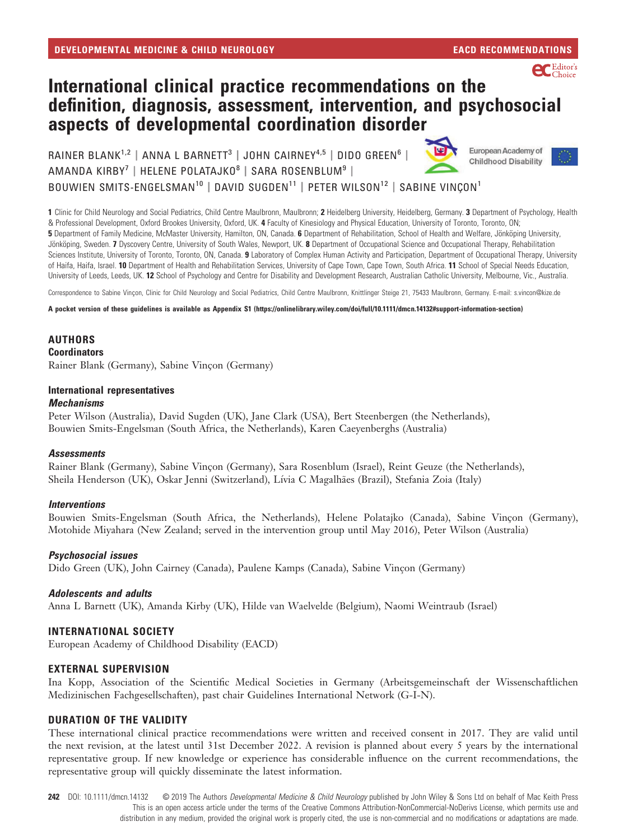European Academy of **Childhood Disability** 



# International clinical practice recommendations on the definition, diagnosis, assessment, intervention, and psychosocial aspects of developmental coordination disorder

RAINER BLANK<sup>1,2</sup> | ANNA L BARNETT<sup>3</sup> | JOHN CAIRNEY<sup>4,5</sup> | DIDO GREEN<sup>6</sup> | AMANDA KIRBY<sup>7</sup> | HELENE POLATAJKO<sup>8</sup> | SARA ROSENBLUM<sup>9</sup> |

BOUWIEN SMITS-ENGELSMAN<sup>10</sup> | DAVID SUGDEN<sup>11</sup> | PETER WILSON<sup>12</sup> | SABINE VINCON<sup>1</sup>

1 Clinic for Child Neurology and Social Pediatrics, Child Centre Maulbronn, Maulbronn; 2 Heidelberg University, Heidelberg, Germany. 3 Department of Psychology, Health & Professional Development, Oxford Brookes University, Oxford, UK. 4 Faculty of Kinesiology and Physical Education, University of Toronto, Toronto, ON; 5 Department of Family Medicine, McMaster University, Hamilton, ON, Canada. 6 Department of Rehabilitation, School of Health and Welfare, Jönköping University, Jönköping, Sweden. 7 Dyscovery Centre, University of South Wales, Newport, UK. 8 Department of Occupational Science and Occupational Therapy, Rehabilitation Sciences Institute, University of Toronto, Toronto, ON, Canada. 9 Laboratory of Complex Human Activity and Participation, Department of Occupational Therapy, University of Haifa, Haifa, Israel. 10 Department of Health and Rehabilitation Services, University of Cape Town, Cape Town, South Africa. 11 School of Special Needs Education, University of Leeds, Leeds, UK. 12 School of Psychology and Centre for Disability and Development Research, Australian Catholic University, Melbourne, Vic., Australia.

Correspondence to Sabine Vinçon, Clinic for Child Neurology and Social Pediatrics, Child Centre Maulbronn, Knittlinger Steige 21, 75433 Maulbronn, Germany. E-mail: [s.vincon@kize.de](mailto:)

A pocket version of these guidelines is available as Appendix S1 [\(https://onlinelibrary.wiley.com/doi/full/10.1111/dmcn.14132#support-information-section](https://onlinelibrary.wiley.com/doi/full/10.1111/dmcn.14132#support-information-section))

# AUTHORS

**Coordinators** 

Rainer Blank (Germany), Sabine Vincon (Germany)

# International representatives

# Mechanisms

Peter Wilson (Australia), David Sugden (UK), Jane Clark (USA), Bert Steenbergen (the Netherlands), Bouwien Smits-Engelsman (South Africa, the Netherlands), Karen Caeyenberghs (Australia)

# **Assessments**

Rainer Blank (Germany), Sabine Vincon (Germany), Sara Rosenblum (Israel), Reint Geuze (the Netherlands), Sheila Henderson (UK), Oskar Jenni (Switzerland), Lívia C Magalhães (Brazil), Stefania Zoia (Italy)

# **Interventions**

Bouwien Smits-Engelsman (South Africa, the Netherlands), Helene Polatajko (Canada), Sabine Vincon (Germany), Motohide Miyahara (New Zealand; served in the intervention group until May 2016), Peter Wilson (Australia)

# Psychosocial issues

Dido Green (UK), John Cairney (Canada), Paulene Kamps (Canada), Sabine Vincon (Germany)

# Adolescents and adults

Anna L Barnett (UK), Amanda Kirby (UK), Hilde van Waelvelde (Belgium), Naomi Weintraub (Israel)

# INTERNATIONAL SOCIETY

European Academy of Childhood Disability (EACD)

# EXTERNAL SUPERVISION

Ina Kopp, Association of the Scientific Medical Societies in Germany (Arbeitsgemeinschaft der Wissenschaftlichen Medizinischen Fachgesellschaften), past chair Guidelines International Network (G-I-N).

# DURATION OF THE VALIDITY

These international clinical practice recommendations were written and received consent in 2017. They are valid until the next revision, at the latest until 31st December 2022. A revision is planned about every 5 years by the international representative group. If new knowledge or experience has considerable influence on the current recommendations, the representative group will quickly disseminate the latest information.

242 DOI: 10.1111/dmcn.14132 © 2019 The Authors Developmental Medicine & Child Neurology published by John Wiley & Sons Ltd on behalf of Mac Keith Press This is an open access article under the terms of the [Creative Commons Attribution-NonCommercial-NoDerivs](http://creativecommons.org/licenses/by-nc-nd/4.0/) License, which permits use and distribution in any medium, provided the original work is properly cited, the use is non-commercial and no modifications or adaptations are made.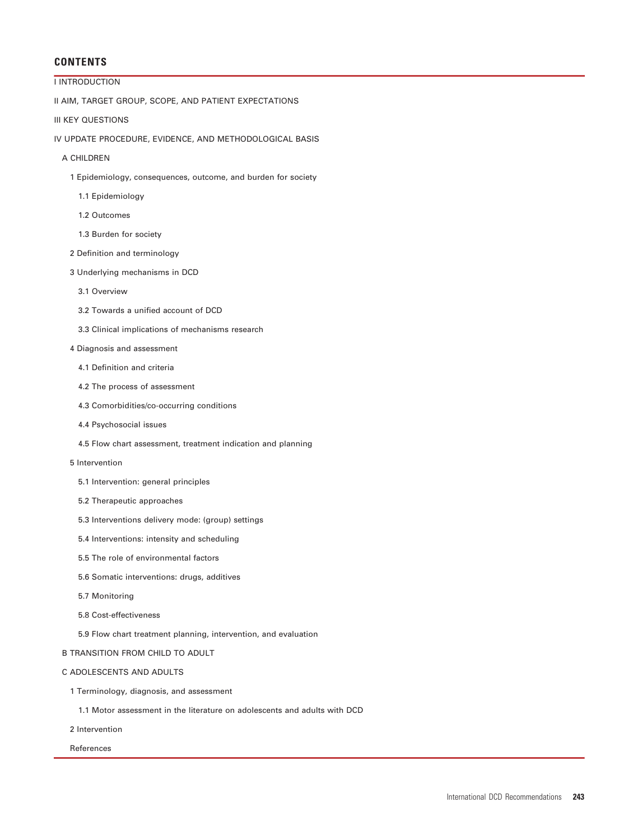# **CONTENTS**

I INTRODUCTION II AIM, TARGET GROUP, SCOPE, AND PATIENT EXPECTATIONS III KEY QUESTIONS IV UPDATE PROCEDURE, EVIDENCE, AND METHODOLOGICAL BASIS A CHILDREN 1 Epidemiology, consequences, outcome, and burden for society 1.1 Epidemiology 1.2 Outcomes 1.3 Burden for society 2 Definition and terminology 3 Underlying mechanisms in DCD 3.1 Overview 3.2 Towards a unified account of DCD 3.3 Clinical implications of mechanisms research 4 Diagnosis and assessment 4.1 Definition and criteria 4.2 The process of assessment 4.3 Comorbidities/co-occurring conditions 4.4 Psychosocial issues

- 4.5 Flow chart assessment, treatment indication and planning
- 5 Intervention
	- 5.1 Intervention: general principles
	- 5.2 Therapeutic approaches
	- 5.3 Interventions delivery mode: (group) settings
	- 5.4 Interventions: intensity and scheduling
	- 5.5 The role of environmental factors
	- 5.6 Somatic interventions: drugs, additives
	- 5.7 Monitoring
	- 5.8 Cost-effectiveness
	- 5.9 Flow chart treatment planning, intervention, and evaluation
- B TRANSITION FROM CHILD TO ADULT

#### C ADOLESCENTS AND ADULTS

1 Terminology, diagnosis, and assessment

1.1 Motor assessment in the literature on adolescents and adults with DCD

- 2 Intervention
- References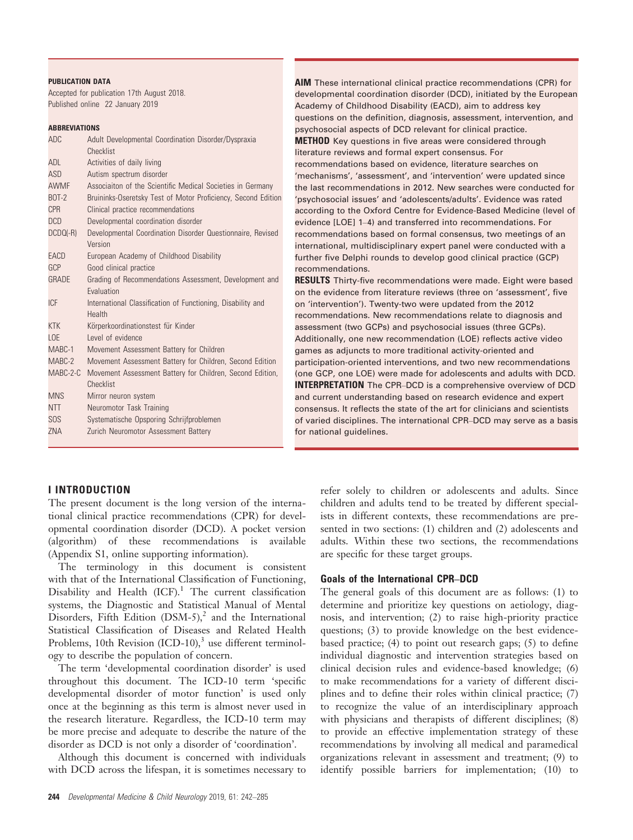#### PUBLICATION DATA

Accepted for publication 17th August 2018. Published online 22 January 2019

#### **ARRREVIATIONS**

| <b>ADC</b>      | Adult Developmental Coordination Disorder/Dyspraxia           |
|-----------------|---------------------------------------------------------------|
|                 | Checklist                                                     |
| ADL             | Activities of daily living                                    |
| ASD             | Autism spectrum disorder                                      |
| <b>AWMF</b>     | Associaiton of the Scientific Medical Societies in Germany    |
| <b>BOT-2</b>    | Bruininks-Oseretsky Test of Motor Proficiency, Second Edition |
| <b>CPR</b>      | Clinical practice recommendations                             |
| <b>DCD</b>      | Developmental coordination disorder                           |
| $DCDO(-R)$      | Developmental Coordination Disorder Questionnaire, Revised    |
|                 | Version                                                       |
| EACD            | European Academy of Childhood Disability                      |
| GCP             | Good clinical practice                                        |
| GRADE           | Grading of Recommendations Assessment, Development and        |
|                 | <b>Fvaluation</b>                                             |
| <b>ICF</b>      | International Classification of Functioning, Disability and   |
|                 | Health                                                        |
| <b>KTK</b>      | Körperkoordinationstest für Kinder                            |
| L <sub>OE</sub> | Level of evidence                                             |
| MABC-1          | Movement Assessment Battery for Children                      |
| MABC-2          | Movement Assessment Battery for Children, Second Edition      |
| $MABC-2-C$      | Movement Assessment Battery for Children, Second Edition,     |
|                 | Checklist                                                     |
| <b>MNS</b>      | Mirror neuron system                                          |
| <b>NTT</b>      | Neuromotor Task Training                                      |
| SOS             | Systematische Opsporing Schrijfproblemen                      |
| <b>ZNA</b>      | Zurich Neuromotor Assessment Battery                          |
|                 |                                                               |

AIM These international clinical practice recommendations (CPR) for developmental coordination disorder (DCD), initiated by the European Academy of Childhood Disability (EACD), aim to address key questions on the definition, diagnosis, assessment, intervention, and psychosocial aspects of DCD relevant for clinical practice. METHOD Key questions in five areas were considered through literature reviews and formal expert consensus. For recommendations based on evidence, literature searches on 'mechanisms', 'assessment', and 'intervention' were updated since the last recommendations in 2012. New searches were conducted for 'psychosocial issues' and 'adolescents/adults'. Evidence was rated according to the Oxford Centre for Evidence-Based Medicine (level of evidence [LOE] 1–4) and transferred into recommendations. For recommendations based on formal consensus, two meetings of an international, multidisciplinary expert panel were conducted with a further five Delphi rounds to develop good clinical practice (GCP) recommendations. **RESULTS** Thirty-five recommendations were made. Eight were based

on the evidence from literature reviews (three on 'assessment', five on 'intervention'). Twenty-two were updated from the 2012 recommendations. New recommendations relate to diagnosis and assessment (two GCPs) and psychosocial issues (three GCPs). Additionally, one new recommendation (LOE) reflects active video games as adjuncts to more traditional activity-oriented and participation-oriented interventions, and two new recommendations (one GCP, one LOE) were made for adolescents and adults with DCD. INTERPRETATION The CPR–DCD is a comprehensive overview of DCD and current understanding based on research evidence and expert consensus. It reflects the state of the art for clinicians and scientists of varied disciplines. The international CPR–DCD may serve as a basis for national guidelines.

# I INTRODUCTION

The present document is the long version of the international clinical practice recommendations (CPR) for developmental coordination disorder (DCD). A pocket version (algorithm) of these recommendations is available (Appendix S1, online supporting information).

The terminology in this document is consistent with that of the International Classification of Functioning, Disability and Health  $(ICF).$ <sup>1</sup> The current classification systems, the Diagnostic and Statistical Manual of Mental Disorders, Fifth Edition  $(DSM-5)^2$  and the International Statistical Classification of Diseases and Related Health Problems, 10th Revision  $(ICD-10)$ ,<sup>3</sup> use different terminology to describe the population of concern.

The term 'developmental coordination disorder' is used throughout this document. The ICD-10 term 'specific developmental disorder of motor function' is used only once at the beginning as this term is almost never used in the research literature. Regardless, the ICD-10 term may be more precise and adequate to describe the nature of the disorder as DCD is not only a disorder of 'coordination'.

Although this document is concerned with individuals with DCD across the lifespan, it is sometimes necessary to

refer solely to children or adolescents and adults. Since children and adults tend to be treated by different specialists in different contexts, these recommendations are presented in two sections: (1) children and (2) adolescents and adults. Within these two sections, the recommendations are specific for these target groups.

#### Goals of the International CPR–DCD

The general goals of this document are as follows: (1) to determine and prioritize key questions on aetiology, diagnosis, and intervention; (2) to raise high-priority practice questions; (3) to provide knowledge on the best evidencebased practice; (4) to point out research gaps; (5) to define individual diagnostic and intervention strategies based on clinical decision rules and evidence-based knowledge; (6) to make recommendations for a variety of different disciplines and to define their roles within clinical practice; (7) to recognize the value of an interdisciplinary approach with physicians and therapists of different disciplines; (8) to provide an effective implementation strategy of these recommendations by involving all medical and paramedical organizations relevant in assessment and treatment; (9) to identify possible barriers for implementation; (10) to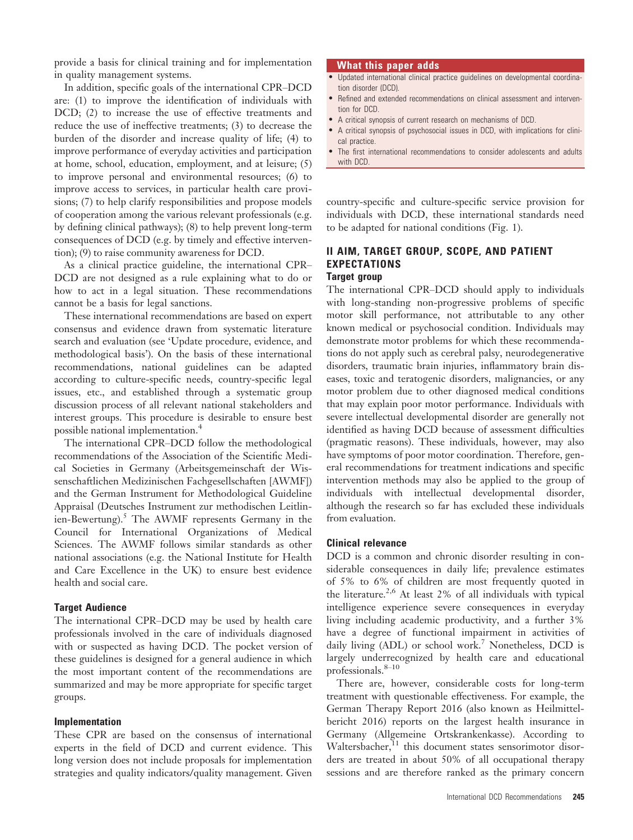provide a basis for clinical training and for implementation in quality management systems.

In addition, specific goals of the international CPR–DCD are: (1) to improve the identification of individuals with DCD; (2) to increase the use of effective treatments and reduce the use of ineffective treatments; (3) to decrease the burden of the disorder and increase quality of life; (4) to improve performance of everyday activities and participation at home, school, education, employment, and at leisure; (5) to improve personal and environmental resources; (6) to improve access to services, in particular health care provisions; (7) to help clarify responsibilities and propose models of cooperation among the various relevant professionals (e.g. by defining clinical pathways); (8) to help prevent long-term consequences of DCD (e.g. by timely and effective intervention); (9) to raise community awareness for DCD.

As a clinical practice guideline, the international CPR– DCD are not designed as a rule explaining what to do or how to act in a legal situation. These recommendations cannot be a basis for legal sanctions.

These international recommendations are based on expert consensus and evidence drawn from systematic literature search and evaluation (see 'Update procedure, evidence, and methodological basis'). On the basis of these international recommendations, national guidelines can be adapted according to culture-specific needs, country-specific legal issues, etc., and established through a systematic group discussion process of all relevant national stakeholders and interest groups. This procedure is desirable to ensure best possible national implementation.<sup>4</sup>

The international CPR–DCD follow the methodological recommendations of the Association of the Scientific Medical Societies in Germany (Arbeitsgemeinschaft der Wissenschaftlichen Medizinischen Fachgesellschaften [AWMF]) and the German Instrument for Methodological Guideline Appraisal (Deutsches Instrument zur methodischen Leitlinien-Bewertung).<sup>5</sup> The AWMF represents Germany in the Council for International Organizations of Medical Sciences. The AWMF follows similar standards as other national associations (e.g. the National Institute for Health and Care Excellence in the UK) to ensure best evidence health and social care.

# Target Audience

The international CPR–DCD may be used by health care professionals involved in the care of individuals diagnosed with or suspected as having DCD. The pocket version of these guidelines is designed for a general audience in which the most important content of the recommendations are summarized and may be more appropriate for specific target groups.

#### Implementation

These CPR are based on the consensus of international experts in the field of DCD and current evidence. This long version does not include proposals for implementation strategies and quality indicators/quality management. Given

#### What this paper adds

- Updated international clinical practice guidelines on developmental coordination disorder (DCD).
- Refined and extended recommendations on clinical assessment and intervention for DCD.
- A critical synopsis of current research on mechanisms of DCD.
- A critical synopsis of psychosocial issues in DCD, with implications for clinical practice.
- The first international recommendations to consider adolescents and adults with DCD

country-specific and culture-specific service provision for individuals with DCD, these international standards need to be adapted for national conditions (Fig. 1).

# II AIM, TARGET GROUP, SCOPE, AND PATIENT EXPECTATIONS Target group

The international CPR–DCD should apply to individuals with long-standing non-progressive problems of specific motor skill performance, not attributable to any other known medical or psychosocial condition. Individuals may demonstrate motor problems for which these recommendations do not apply such as cerebral palsy, neurodegenerative disorders, traumatic brain injuries, inflammatory brain diseases, toxic and teratogenic disorders, malignancies, or any motor problem due to other diagnosed medical conditions that may explain poor motor performance. Individuals with severe intellectual developmental disorder are generally not identified as having DCD because of assessment difficulties (pragmatic reasons). These individuals, however, may also have symptoms of poor motor coordination. Therefore, general recommendations for treatment indications and specific intervention methods may also be applied to the group of individuals with intellectual developmental disorder, although the research so far has excluded these individuals from evaluation.

# Clinical relevance

DCD is a common and chronic disorder resulting in considerable consequences in daily life; prevalence estimates of 5% to 6% of children are most frequently quoted in the literature.2,6 At least 2% of all individuals with typical intelligence experience severe consequences in everyday living including academic productivity, and a further 3% have a degree of functional impairment in activities of daily living (ADL) or school work.<sup>7</sup> Nonetheless, DCD is largely underrecognized by health care and educational professionals.<sup>8-10</sup>

There are, however, considerable costs for long-term treatment with questionable effectiveness. For example, the German Therapy Report 2016 (also known as Heilmittelbericht 2016) reports on the largest health insurance in Germany (Allgemeine Ortskrankenkasse). According to Waltersbacher, $11$  this document states sensorimotor disorders are treated in about 50% of all occupational therapy sessions and are therefore ranked as the primary concern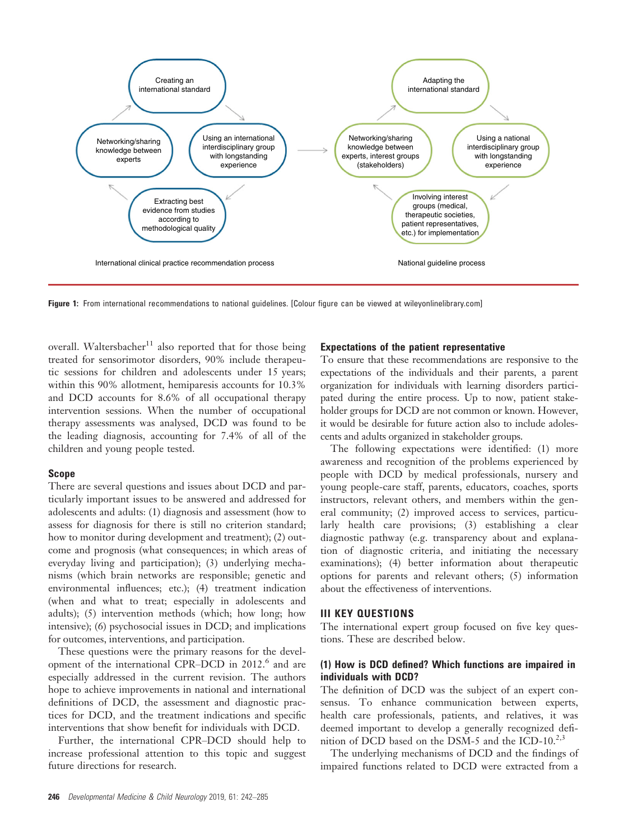

Figure 1: From international recommendations to national guidelines. [Colour figure can be viewed at wileyonlinelibrary.com]

overall. Waltersbacher<sup>11</sup> also reported that for those being treated for sensorimotor disorders, 90% include therapeutic sessions for children and adolescents under 15 years; within this 90% allotment, hemiparesis accounts for 10.3% and DCD accounts for 8.6% of all occupational therapy intervention sessions. When the number of occupational therapy assessments was analysed, DCD was found to be the leading diagnosis, accounting for 7.4% of all of the children and young people tested.

#### Scope

There are several questions and issues about DCD and particularly important issues to be answered and addressed for adolescents and adults: (1) diagnosis and assessment (how to assess for diagnosis for there is still no criterion standard; how to monitor during development and treatment); (2) outcome and prognosis (what consequences; in which areas of everyday living and participation); (3) underlying mechanisms (which brain networks are responsible; genetic and environmental influences; etc.); (4) treatment indication (when and what to treat; especially in adolescents and adults); (5) intervention methods (which; how long; how intensive); (6) psychosocial issues in DCD; and implications for outcomes, interventions, and participation.

These questions were the primary reasons for the development of the international CPR–DCD in 2012.<sup>6</sup> and are especially addressed in the current revision. The authors hope to achieve improvements in national and international definitions of DCD, the assessment and diagnostic practices for DCD, and the treatment indications and specific interventions that show benefit for individuals with DCD.

Further, the international CPR–DCD should help to increase professional attention to this topic and suggest future directions for research.

# Expectations of the patient representative

To ensure that these recommendations are responsive to the expectations of the individuals and their parents, a parent organization for individuals with learning disorders participated during the entire process. Up to now, patient stakeholder groups for DCD are not common or known. However, it would be desirable for future action also to include adolescents and adults organized in stakeholder groups.

The following expectations were identified: (1) more awareness and recognition of the problems experienced by people with DCD by medical professionals, nursery and young people-care staff, parents, educators, coaches, sports instructors, relevant others, and members within the general community; (2) improved access to services, particularly health care provisions; (3) establishing a clear diagnostic pathway (e.g. transparency about and explanation of diagnostic criteria, and initiating the necessary examinations); (4) better information about therapeutic options for parents and relevant others; (5) information about the effectiveness of interventions.

# III KEY QUESTIONS

The international expert group focused on five key questions. These are described below.

# (1) How is DCD defined? Which functions are impaired in individuals with DCD?

The definition of DCD was the subject of an expert consensus. To enhance communication between experts, health care professionals, patients, and relatives, it was deemed important to develop a generally recognized definition of DCD based on the DSM-5 and the ICD-10.<sup>2,3</sup>

The underlying mechanisms of DCD and the findings of impaired functions related to DCD were extracted from a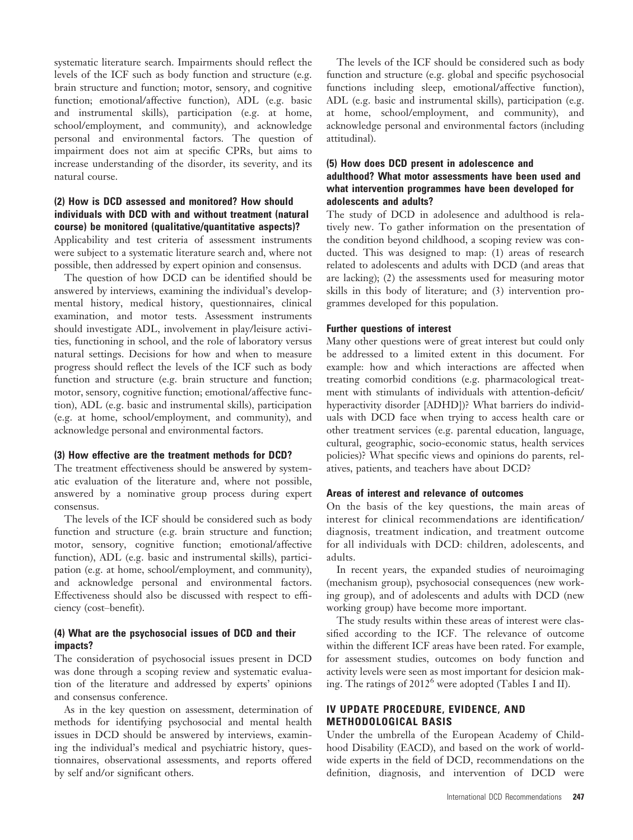systematic literature search. Impairments should reflect the levels of the ICF such as body function and structure (e.g. brain structure and function; motor, sensory, and cognitive function; emotional/affective function), ADL (e.g. basic and instrumental skills), participation (e.g. at home, school/employment, and community), and acknowledge personal and environmental factors. The question of impairment does not aim at specific CPRs, but aims to increase understanding of the disorder, its severity, and its natural course.

# (2) How is DCD assessed and monitored? How should individuals with DCD with and without treatment (natural course) be monitored (qualitative/quantitative aspects)?

Applicability and test criteria of assessment instruments were subject to a systematic literature search and, where not possible, then addressed by expert opinion and consensus.

The question of how DCD can be identified should be answered by interviews, examining the individual's developmental history, medical history, questionnaires, clinical examination, and motor tests. Assessment instruments should investigate ADL, involvement in play/leisure activities, functioning in school, and the role of laboratory versus natural settings. Decisions for how and when to measure progress should reflect the levels of the ICF such as body function and structure (e.g. brain structure and function; motor, sensory, cognitive function; emotional/affective function), ADL (e.g. basic and instrumental skills), participation (e.g. at home, school/employment, and community), and acknowledge personal and environmental factors.

# (3) How effective are the treatment methods for DCD?

The treatment effectiveness should be answered by systematic evaluation of the literature and, where not possible, answered by a nominative group process during expert consensus.

The levels of the ICF should be considered such as body function and structure (e.g. brain structure and function; motor, sensory, cognitive function; emotional/affective function), ADL (e.g. basic and instrumental skills), participation (e.g. at home, school/employment, and community), and acknowledge personal and environmental factors. Effectiveness should also be discussed with respect to efficiency (cost–benefit).

# (4) What are the psychosocial issues of DCD and their impacts?

The consideration of psychosocial issues present in DCD was done through a scoping review and systematic evaluation of the literature and addressed by experts' opinions and consensus conference.

As in the key question on assessment, determination of methods for identifying psychosocial and mental health issues in DCD should be answered by interviews, examining the individual's medical and psychiatric history, questionnaires, observational assessments, and reports offered by self and/or significant others.

The levels of the ICF should be considered such as body function and structure (e.g. global and specific psychosocial functions including sleep, emotional/affective function), ADL (e.g. basic and instrumental skills), participation (e.g. at home, school/employment, and community), and acknowledge personal and environmental factors (including attitudinal).

# (5) How does DCD present in adolescence and adulthood? What motor assessments have been used and what intervention programmes have been developed for adolescents and adults?

The study of DCD in adolesence and adulthood is relatively new. To gather information on the presentation of the condition beyond childhood, a scoping review was conducted. This was designed to map: (1) areas of research related to adolescents and adults with DCD (and areas that are lacking); (2) the assessments used for measuring motor skills in this body of literature; and (3) intervention programmes developed for this population.

# Further questions of interest

Many other questions were of great interest but could only be addressed to a limited extent in this document. For example: how and which interactions are affected when treating comorbid conditions (e.g. pharmacological treatment with stimulants of individuals with attention-deficit/ hyperactivity disorder [ADHD])? What barriers do individuals with DCD face when trying to access health care or other treatment services (e.g. parental education, language, cultural, geographic, socio-economic status, health services policies)? What specific views and opinions do parents, relatives, patients, and teachers have about DCD?

# Areas of interest and relevance of outcomes

On the basis of the key questions, the main areas of interest for clinical recommendations are identification/ diagnosis, treatment indication, and treatment outcome for all individuals with DCD: children, adolescents, and adults.

In recent years, the expanded studies of neuroimaging (mechanism group), psychosocial consequences (new working group), and of adolescents and adults with DCD (new working group) have become more important.

The study results within these areas of interest were classified according to the ICF. The relevance of outcome within the different ICF areas have been rated. For example, for assessment studies, outcomes on body function and activity levels were seen as most important for desicion making. The ratings of 2012<sup>6</sup> were adopted (Tables I and II).

# IV UPDATE PROCEDURE, EVIDENCE, AND METHODOLOGICAL BASIS

Under the umbrella of the European Academy of Childhood Disability (EACD), and based on the work of worldwide experts in the field of DCD, recommendations on the definition, diagnosis, and intervention of DCD were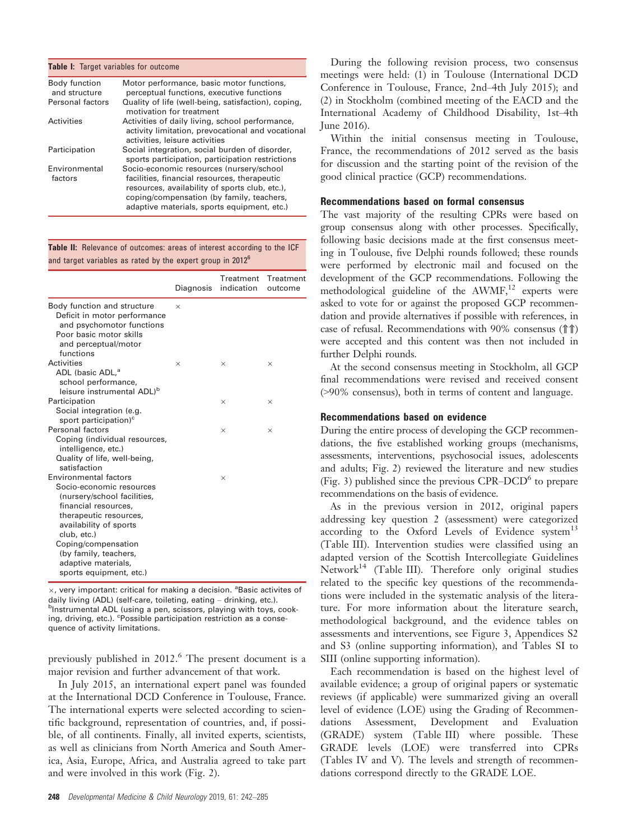| <b>Table I:</b> Target variables for outcome |                                                                                                                                                                                                                                        |  |
|----------------------------------------------|----------------------------------------------------------------------------------------------------------------------------------------------------------------------------------------------------------------------------------------|--|
| Body function<br>and structure               | Motor performance, basic motor functions,<br>perceptual functions, executive functions                                                                                                                                                 |  |
| Personal factors                             | Quality of life (well-being, satisfaction), coping,<br>motivation for treatment                                                                                                                                                        |  |
| Activities                                   | Activities of daily living, school performance,<br>activity limitation, prevocational and vocational<br>activities, leisure activities                                                                                                 |  |
| Participation                                | Social integration, social burden of disorder,<br>sports participation, participation restrictions                                                                                                                                     |  |
| Environmental<br>factors                     | Socio-economic resources (nursery/school<br>facilities, financial resources, therapeutic<br>resources, availability of sports club, etc.),<br>coping/compensation (by family, teachers,<br>adaptive materials, sports equipment, etc.) |  |

Table II: Relevance of outcomes: areas of interest according to the ICF and target variables as rated by the expert group in  $2012^6$ 

|                                                                                                                                                                                                                                                                                      | Diagnosis | Treatment<br>indication | Treatment<br>outcome |
|--------------------------------------------------------------------------------------------------------------------------------------------------------------------------------------------------------------------------------------------------------------------------------------|-----------|-------------------------|----------------------|
| Body function and structure<br>Deficit in motor performance<br>and psychomotor functions<br>Poor basic motor skills<br>and perceptual/motor<br>functions                                                                                                                             | $\times$  |                         |                      |
| Activities<br>ADL (basic ADL. <sup>a</sup><br>school performance,<br>leisure instrumental ADL) <sup>b</sup>                                                                                                                                                                          | $\times$  | $\times$                | ×                    |
| Participation<br>Social integration (e.g.<br>sport participation) <sup>c</sup>                                                                                                                                                                                                       |           | $\times$                | $\times$             |
| Personal factors<br>Coping (individual resources,<br>intelligence, etc.)<br>Quality of life, well-being,<br>satisfaction                                                                                                                                                             |           | $\times$                | ×                    |
| <b>Environmental factors</b><br>Socio-economic resources<br>(nursery/school facilities,<br>financial resources,<br>therapeutic resources,<br>availability of sports<br>club, etc.)<br>Coping/compensation<br>(by family, teachers,<br>adaptive materials,<br>sports equipment, etc.) |           | $\times$                |                      |

 $\times$ , very important: critical for making a decision. <sup>a</sup>Basic activites of daily living (ADL) (self-care, toileting, eating - drinking, etc.). bInstrumental ADL (using a pen, scissors, playing with toys, cooking, driving, etc.). <sup>c</sup>Possible participation restriction as a consequence of activity limitations.

previously published in 2012.<sup>6</sup> The present document is a major revision and further advancement of that work.

In July 2015, an international expert panel was founded at the International DCD Conference in Toulouse, France. The international experts were selected according to scientific background, representation of countries, and, if possible, of all continents. Finally, all invited experts, scientists, as well as clinicians from North America and South America, Asia, Europe, Africa, and Australia agreed to take part and were involved in this work (Fig. 2).

During the following revision process, two consensus meetings were held: (1) in Toulouse (International DCD Conference in Toulouse, France, 2nd–4th July 2015); and (2) in Stockholm (combined meeting of the EACD and the International Academy of Childhood Disability, 1st–4th June 2016).

Within the initial consensus meeting in Toulouse, France, the recommendations of 2012 served as the basis for discussion and the starting point of the revision of the good clinical practice (GCP) recommendations.

# Recommendations based on formal consensus

The vast majority of the resulting CPRs were based on group consensus along with other processes. Specifically, following basic decisions made at the first consensus meeting in Toulouse, five Delphi rounds followed; these rounds were performed by electronic mail and focused on the development of the GCP recommendations. Following the methodological guideline of the AWMF,<sup>12</sup> experts were asked to vote for or against the proposed GCP recommendation and provide alternatives if possible with references, in case of refusal. Recommendations with 90% consensus (⇑⇑) were accepted and this content was then not included in further Delphi rounds.

At the second consensus meeting in Stockholm, all GCP final recommendations were revised and received consent (>90% consensus), both in terms of content and language.

# Recommendations based on evidence

During the entire process of developing the GCP recommendations, the five established working groups (mechanisms, assessments, interventions, psychosocial issues, adolescents and adults; Fig. 2) reviewed the literature and new studies (Fig. 3) published since the previous  $CPR-DCD<sup>6</sup>$  to prepare recommendations on the basis of evidence.

As in the previous version in 2012, original papers addressing key question 2 (assessment) were categorized according to the Oxford Levels of Evidence system $13$ (Table III). Intervention studies were classified using an adapted version of the Scottish Intercollegiate Guidelines Network<sup>14</sup> (Table III). Therefore only original studies related to the specific key questions of the recommendations were included in the systematic analysis of the literature. For more information about the literature search, methodological background, and the evidence tables on assessments and interventions, see Figure 3, Appendices S2 and S3 (online supporting information), and Tables SI to SIII (online supporting information).

Each recommendation is based on the highest level of available evidence; a group of original papers or systematic reviews (if applicable) were summarized giving an overall level of evidence (LOE) using the Grading of Recommendations Assessment, Development and Evaluation (GRADE) system (Table III) where possible. These GRADE levels (LOE) were transferred into CPRs (Tables IV and V). The levels and strength of recommendations correspond directly to the GRADE LOE.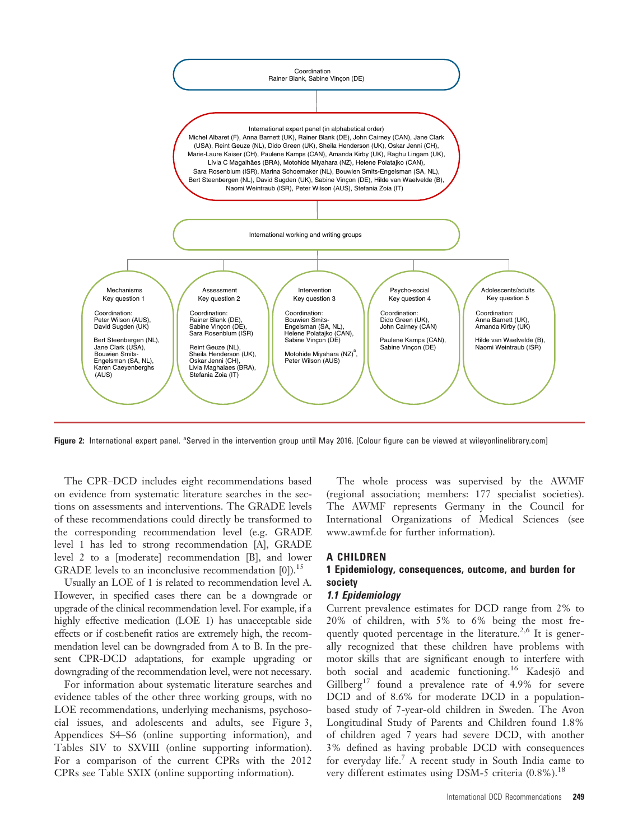

Figure 2: International expert panel. <sup>a</sup>Served in the intervention group until May 2016. [Colour figure can be viewed at wileyonlinelibrary.com]

The CPR–DCD includes eight recommendations based on evidence from systematic literature searches in the sections on assessments and interventions. The GRADE levels of these recommendations could directly be transformed to the corresponding recommendation level (e.g. GRADE level 1 has led to strong recommendation [A], GRADE level 2 to a [moderate] recommendation [B], and lower GRADE levels to an inconclusive recommendation  $[0]$ ).<sup>15</sup>

Usually an LOE of 1 is related to recommendation level A. However, in specified cases there can be a downgrade or upgrade of the clinical recommendation level. For example, if a highly effective medication (LOE 1) has unacceptable side effects or if cost:benefit ratios are extremely high, the recommendation level can be downgraded from A to B. In the present CPR-DCD adaptations, for example upgrading or downgrading of the recommendation level, were not necessary.

For information about systematic literature searches and evidence tables of the other three working groups, with no LOE recommendations, underlying mechanisms, psychosocial issues, and adolescents and adults, see Figure 3, Appendices S4–S6 (online supporting information), and Tables SIV to SXVIII (online supporting information). For a comparison of the current CPRs with the 2012 CPRs see Table SXIX (online supporting information).

The whole process was supervised by the AWMF (regional association; members: 177 specialist societies). The AWMF represents Germany in the Council for International Organizations of Medical Sciences (see [www.awmf.de](http://www.awmf.de) for further information).

#### A CHILDREN

# 1 Epidemiology, consequences, outcome, and burden for society

#### 1.1 Epidemiology

Current prevalence estimates for DCD range from 2% to 20% of children, with 5% to 6% being the most frequently quoted percentage in the literature.<sup>2,6</sup> It is generally recognized that these children have problems with motor skills that are significant enough to interfere with both social and academic functioning.<sup>16</sup> Kadesjö and Gillberg<sup>17</sup> found a prevalence rate of  $4.9\%$  for severe DCD and of 8.6% for moderate DCD in a populationbased study of 7-year-old children in Sweden. The Avon Longitudinal Study of Parents and Children found 1.8% of children aged 7 years had severe DCD, with another 3% defined as having probable DCD with consequences for everyday life.<sup>7</sup> A recent study in South India came to very different estimates using DSM-5 criteria  $(0.8\%)$ .<sup>18</sup>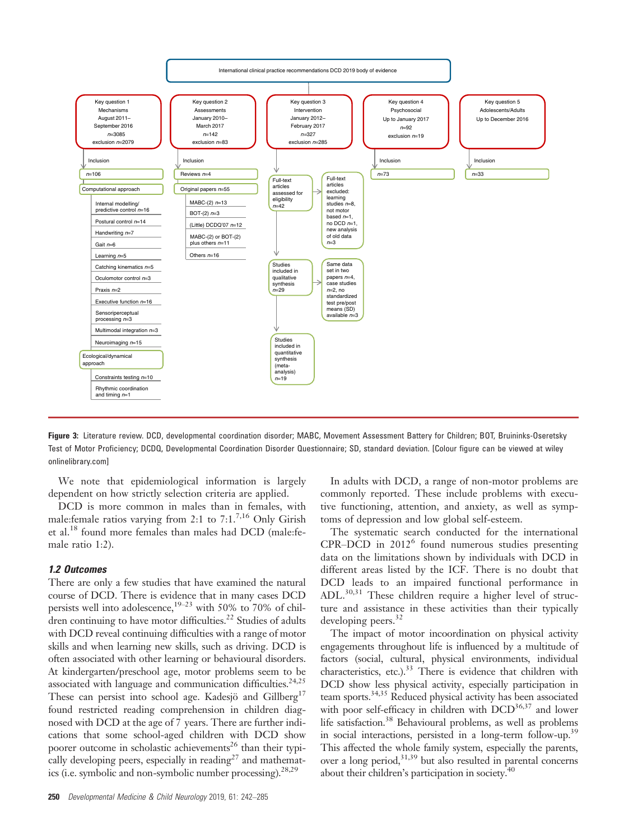

Figure 3: Literature review. DCD, developmental coordination disorder; MABC, Movement Assessment Battery for Children; BOT, Bruininks-Oseretsky Test of Motor Proficiency; DCDQ, Developmental Coordination Disorder Questionnaire; SD, standard deviation. [Colour figure can be viewed at wiley onlinelibrary.com]

We note that epidemiological information is largely dependent on how strictly selection criteria are applied.

DCD is more common in males than in females, with male: female ratios varying from 2:1 to  $7:1^{7,16}$  Only Girish et al.<sup>18</sup> found more females than males had DCD (male:female ratio 1:2).

# 1.2 Outcomes

There are only a few studies that have examined the natural course of DCD. There is evidence that in many cases DCD persists well into adolescence,<sup>19–23</sup> with 50% to 70% of children continuing to have motor difficulties.<sup>22</sup> Studies of adults with DCD reveal continuing difficulties with a range of motor skills and when learning new skills, such as driving. DCD is often associated with other learning or behavioural disorders. At kindergarten/preschool age, motor problems seem to be associated with language and communication difficulties.<sup>24,25</sup> These can persist into school age. Kadesjö and Gillberg<sup>17</sup> found restricted reading comprehension in children diagnosed with DCD at the age of 7 years. There are further indications that some school-aged children with DCD show poorer outcome in scholastic achievements<sup>26</sup> than their typically developing peers, especially in reading<sup>27</sup> and mathematics (i.e. symbolic and non-symbolic number processing).  $28,29$ 

In adults with DCD, a range of non-motor problems are commonly reported. These include problems with executive functioning, attention, and anxiety, as well as symptoms of depression and low global self-esteem.

The systematic search conducted for the international  $CPR-DCD$  in  $2012<sup>6</sup>$  found numerous studies presenting data on the limitations shown by individuals with DCD in different areas listed by the ICF. There is no doubt that DCD leads to an impaired functional performance in ADL.30,31 These children require a higher level of structure and assistance in these activities than their typically developing peers.<sup>32</sup>

The impact of motor incoordination on physical activity engagements throughout life is influenced by a multitude of factors (social, cultural, physical environments, individual characteristics, etc.).<sup>33</sup> There is evidence that children with DCD show less physical activity, especially participation in team sports.34,35 Reduced physical activity has been associated with poor self-efficacy in children with DCD<sup>36,37</sup> and lower life satisfaction.<sup>38</sup> Behavioural problems, as well as problems in social interactions, persisted in a long-term follow-up.<sup>39</sup> This affected the whole family system, especially the parents, over a long period, $31,39$  but also resulted in parental concerns about their children's participation in society.<sup>40</sup>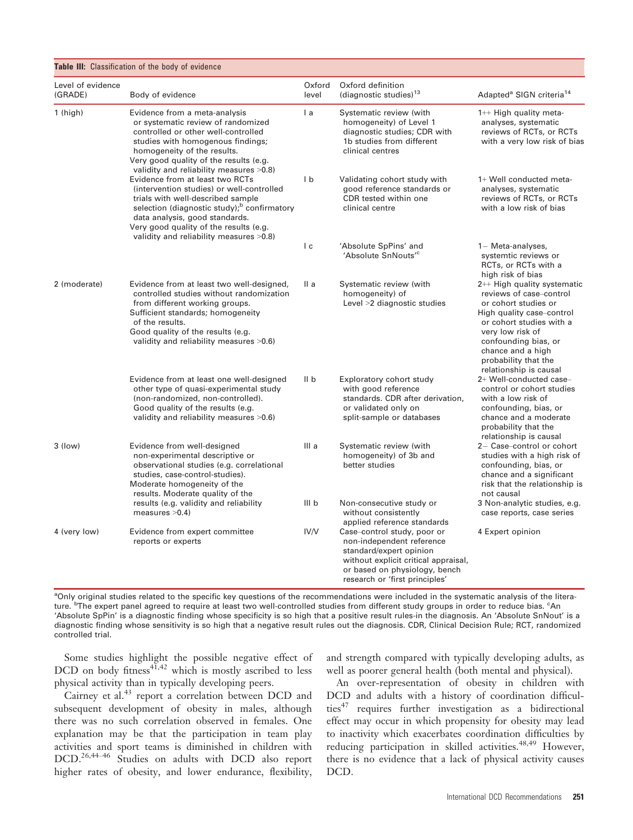| <b>Table III:</b> Classification of the body of evidence |                                                                                                                                                                                                                                                                                                     |                 |                                                                                                                                                                                                |                                                                                                                                                                                                                                                            |
|----------------------------------------------------------|-----------------------------------------------------------------------------------------------------------------------------------------------------------------------------------------------------------------------------------------------------------------------------------------------------|-----------------|------------------------------------------------------------------------------------------------------------------------------------------------------------------------------------------------|------------------------------------------------------------------------------------------------------------------------------------------------------------------------------------------------------------------------------------------------------------|
| Level of evidence<br>(GRADE)                             | Body of evidence                                                                                                                                                                                                                                                                                    | Oxford<br>level | Oxford definition<br>(diagnostic studies) <sup>13</sup>                                                                                                                                        | Adapted <sup>a</sup> SIGN criteria <sup>14</sup>                                                                                                                                                                                                           |
| $1$ (high)                                               | Evidence from a meta-analysis<br>or systematic review of randomized<br>controlled or other well-controlled<br>studies with homogenous findings;<br>homogeneity of the results.<br>Very good quality of the results (e.g.<br>validity and reliability measures >0.8)                                 | l a             | Systematic review (with<br>homogeneity) of Level 1<br>diagnostic studies; CDR with<br>1b studies from different<br>clinical centres                                                            | $1++$ High quality meta-<br>analyses, systematic<br>reviews of RCTs, or RCTs<br>with a very low risk of bias                                                                                                                                               |
|                                                          | Evidence from at least two RCTs<br>(intervention studies) or well-controlled<br>trials with well-described sample<br>selection (diagnostic study); <sup>b</sup> confirmatory<br>data analysis, good standards.<br>Very good quality of the results (e.g.<br>validity and reliability measures >0.8) | $\mathsf{I}$ b  | Validating cohort study with<br>good reference standards or<br>CDR tested within one<br>clinical centre                                                                                        | 1+ Well conducted meta-<br>analyses, systematic<br>reviews of RCTs, or RCTs<br>with a low risk of bias                                                                                                                                                     |
|                                                          |                                                                                                                                                                                                                                                                                                     | $\mathsf{L}$ c  | 'Absolute SpPins' and<br>'Absolute SnNouts' <sup>c</sup>                                                                                                                                       | 1- Meta-analyses,<br>systemtic reviews or<br>RCTs, or RCTs with a<br>high risk of bias                                                                                                                                                                     |
| 2 (moderate)                                             | Evidence from at least two well-designed,<br>controlled studies without randomization<br>from different working groups.<br>Sufficient standards; homogeneity<br>of the results.<br>Good quality of the results (e.g.<br>validity and reliability measures >0.6)                                     | II a            | Systematic review (with<br>homogeneity) of<br>Level >2 diagnostic studies                                                                                                                      | 2++ High quality systematic<br>reviews of case-control<br>or cohort studies or<br>High quality case-control<br>or cohort studies with a<br>very low risk of<br>confounding bias, or<br>chance and a high<br>probability that the<br>relationship is causal |
|                                                          | Evidence from at least one well-designed<br>other type of quasi-experimental study<br>(non-randomized, non-controlled).<br>Good quality of the results (e.g.<br>validity and reliability measures >0.6)                                                                                             | II <sub>b</sub> | Exploratory cohort study<br>with good reference<br>standards. CDR after derivation,<br>or validated only on<br>split-sample or databases                                                       | 2+ Well-conducted case-<br>control or cohort studies<br>with a low risk of<br>confounding, bias, or<br>chance and a moderate<br>probability that the<br>relationship is causal                                                                             |
| 3 (low)                                                  | Evidence from well-designed<br>non-experimental descriptive or<br>observational studies (e.g. correlational<br>studies, case-control-studies).<br>Moderate homogeneity of the<br>results. Moderate quality of the                                                                                   | III a           | Systematic review (with<br>homogeneity) of 3b and<br>better studies                                                                                                                            | 2- Case-control or cohort<br>studies with a high risk of<br>confounding, bias, or<br>chance and a significant<br>risk that the relationship is<br>not causal                                                                                               |
|                                                          | results (e.g. validity and reliability<br>measures $>0.4$ )                                                                                                                                                                                                                                         | III b           | Non-consecutive study or<br>without consistently<br>applied reference standards                                                                                                                | 3 Non-analytic studies, e.g.<br>case reports, case series                                                                                                                                                                                                  |
| 4 (very low)                                             | Evidence from expert committee<br>reports or experts                                                                                                                                                                                                                                                | IV/V            | Case-control study, poor or<br>non-independent reference<br>standard/expert opinion<br>without explicit critical appraisal,<br>or based on physiology, bench<br>research or 'first principles' | 4 Expert opinion                                                                                                                                                                                                                                           |

<sup>a</sup>Only original studies related to the specific key questions of the recommendations were included in the systematic analysis of the literature. <sup>b</sup>The expert panel agreed to require at least two well-controlled studies from different study groups in order to reduce bias. <sup>c</sup>An 'Absolute SpPin' is a diagnostic finding whose specificity is so high that a positive result rules-in the diagnosis. An 'Absolute SnNout' is a diagnostic finding whose sensitivity is so high that a negative result rules out the diagnosis. CDR, Clinical Decision Rule; RCT, randomized controlled trial.

Some studies highlight the possible negative effect of DCD on body fitness<sup>41,42</sup> which is mostly ascribed to less physical activity than in typically developing peers.

Cairney et al.<sup>43</sup> report a correlation between DCD and subsequent development of obesity in males, although there was no such correlation observed in females. One explanation may be that the participation in team play activities and sport teams is diminished in children with DCD.26,44–<sup>46</sup> Studies on adults with DCD also report higher rates of obesity, and lower endurance, flexibility, and strength compared with typically developing adults, as well as poorer general health (both mental and physical).

An over-representation of obesity in children with DCD and adults with a history of coordination difficulties<sup>47</sup> requires further investigation as a bidirectional effect may occur in which propensity for obesity may lead to inactivity which exacerbates coordination difficulties by reducing participation in skilled activities.<sup>48,49</sup> However, there is no evidence that a lack of physical activity causes DCD.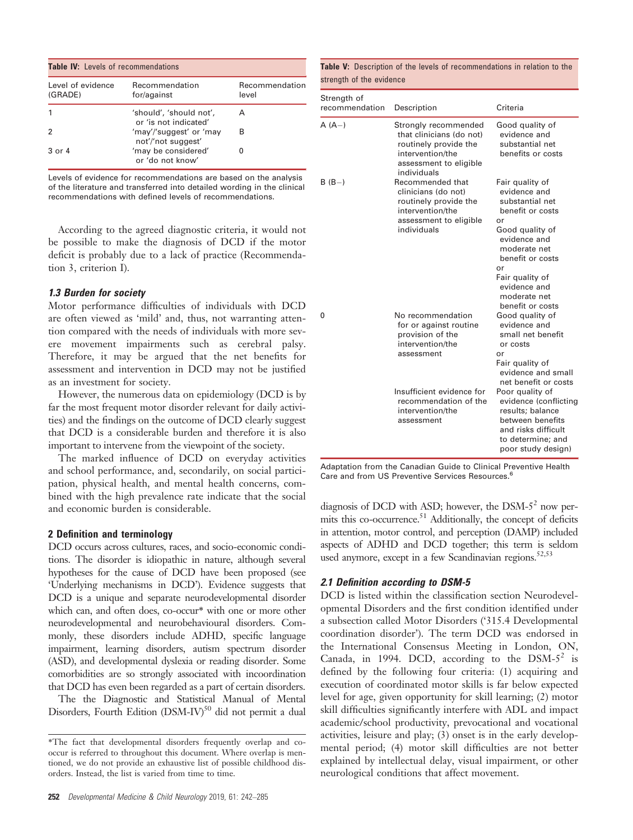| <b>Table IV: Levels of recommendations</b> |                                                  |                         |
|--------------------------------------------|--------------------------------------------------|-------------------------|
| Level of evidence<br>(GRADE)               | Recommendation<br>for/against                    | Recommendation<br>level |
|                                            | 'should', 'should not',<br>or 'is not indicated' | А                       |
| 2                                          | 'may'/'suggest' or 'may<br>not'/'not suggest'    | в                       |
| $3$ or $4$                                 | 'may be considered'<br>or 'do not know'          |                         |

Levels of evidence for recommendations are based on the analysis of the literature and transferred into detailed wording in the clinical recommendations with defined levels of recommendations.

According to the agreed diagnostic criteria, it would not be possible to make the diagnosis of DCD if the motor deficit is probably due to a lack of practice (Recommendation 3, criterion I).

# 1.3 Burden for society

Motor performance difficulties of individuals with DCD are often viewed as 'mild' and, thus, not warranting attention compared with the needs of individuals with more severe movement impairments such as cerebral palsy. Therefore, it may be argued that the net benefits for assessment and intervention in DCD may not be justified as an investment for society.

However, the numerous data on epidemiology (DCD is by far the most frequent motor disorder relevant for daily activities) and the findings on the outcome of DCD clearly suggest that DCD is a considerable burden and therefore it is also important to intervene from the viewpoint of the society.

The marked influence of DCD on everyday activities and school performance, and, secondarily, on social participation, physical health, and mental health concerns, combined with the high prevalence rate indicate that the social and economic burden is considerable.

# 2 Definition and terminology

DCD occurs across cultures, races, and socio-economic conditions. The disorder is idiopathic in nature, although several hypotheses for the cause of DCD have been proposed (see 'Underlying mechanisms in DCD'). Evidence suggests that DCD is a unique and separate neurodevelopmental disorder which can, and often does, co-occur<sup>\*</sup> with one or more other neurodevelopmental and neurobehavioural disorders. Commonly, these disorders include ADHD, specific language impairment, learning disorders, autism spectrum disorder (ASD), and developmental dyslexia or reading disorder. Some comorbidities are so strongly associated with incoordination that DCD has even been regarded as a part of certain disorders.

The the Diagnostic and Statistical Manual of Mental Disorders, Fourth Edition (DSM-IV)<sup>50</sup> did not permit a dual Table V: Description of the levels of recommendations in relation to the strength of the evidence

| Strength of<br>recommendation | Description                                                                                                                            | Criteria                                                                                                                                                                                                                         |
|-------------------------------|----------------------------------------------------------------------------------------------------------------------------------------|----------------------------------------------------------------------------------------------------------------------------------------------------------------------------------------------------------------------------------|
| $A(A-)$                       | Strongly recommended<br>that clinicians (do not)<br>routinely provide the<br>intervention/the<br>assessment to eligible<br>individuals | Good quality of<br>evidence and<br>substantial net<br>benefits or costs                                                                                                                                                          |
| $B(B-)$                       | Recommended that<br>clinicians (do not)<br>routinely provide the<br>intervention/the<br>assessment to eligible<br>individuals          | Fair quality of<br>evidence and<br>substantial net<br>benefit or costs<br>or<br>Good quality of<br>evidence and<br>moderate net<br>benefit or costs<br>or<br>Fair quality of<br>evidence and<br>moderate net<br>benefit or costs |
| 0                             | No recommendation<br>for or against routine<br>provision of the<br>intervention/the<br>assessment                                      | Good quality of<br>evidence and<br>small net benefit<br>or costs<br>or<br>Fair quality of<br>evidence and small<br>net benefit or costs                                                                                          |
|                               | Insufficient evidence for<br>recommendation of the<br>intervention/the<br>assessment                                                   | Poor quality of<br>evidence (conflicting<br>results; balance<br>between benefits<br>and risks difficult<br>to determine: and<br>poor study design)                                                                               |

Adaptation from the Canadian Guide to Clinical Preventive Health Care and from US Preventive Services Resources.<sup>6</sup>

diagnosis of DCD with ASD; however, the DSM- $5<sup>2</sup>$  now permits this co-occurrence.<sup>51</sup> Additionally, the concept of deficits in attention, motor control, and perception (DAMP) included aspects of ADHD and DCD together; this term is seldom used anymore, except in a few Scandinavian regions. $52,53$ 

# 2.1 Definition according to DSM-5

DCD is listed within the classification section Neurodevelopmental Disorders and the first condition identified under a subsection called Motor Disorders ('315.4 Developmental coordination disorder'). The term DCD was endorsed in the International Consensus Meeting in London, ON, Canada, in 1994. DCD, according to the  $DSM-5^2$  is defined by the following four criteria: (1) acquiring and execution of coordinated motor skills is far below expected level for age, given opportunity for skill learning; (2) motor skill difficulties significantly interfere with ADL and impact academic/school productivity, prevocational and vocational activities, leisure and play; (3) onset is in the early developmental period; (4) motor skill difficulties are not better explained by intellectual delay, visual impairment, or other neurological conditions that affect movement.

<sup>\*</sup>The fact that developmental disorders frequently overlap and cooccur is referred to throughout this document. Where overlap is mentioned, we do not provide an exhaustive list of possible childhood disorders. Instead, the list is varied from time to time.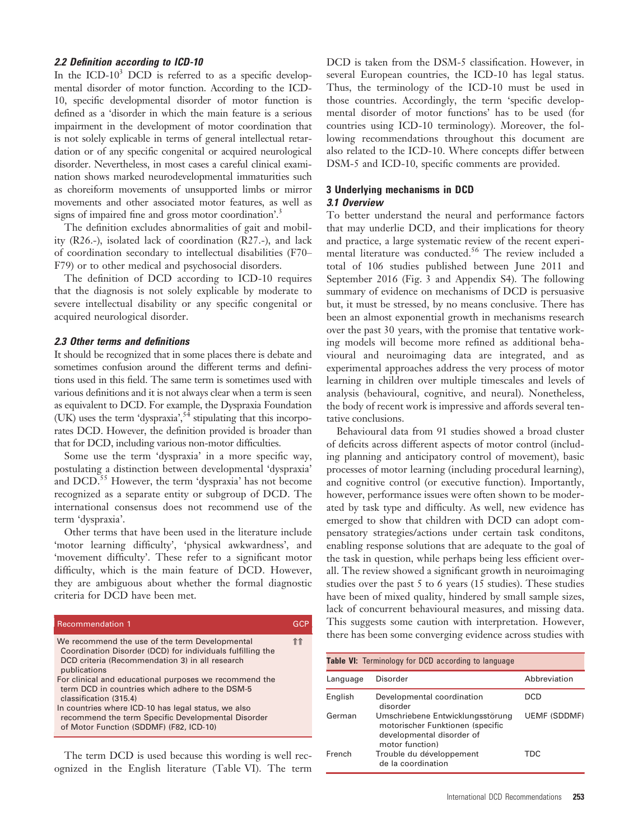# 2.2 Definition according to ICD-10

In the ICD-10 $3$  DCD is referred to as a specific developmental disorder of motor function. According to the ICD-10, specific developmental disorder of motor function is defined as a 'disorder in which the main feature is a serious impairment in the development of motor coordination that is not solely explicable in terms of general intellectual retardation or of any specific congenital or acquired neurological disorder. Nevertheless, in most cases a careful clinical examination shows marked neurodevelopmental immaturities such as choreiform movements of unsupported limbs or mirror movements and other associated motor features, as well as signs of impaired fine and gross motor coordination'.<sup>3</sup>

The definition excludes abnormalities of gait and mobility (R26.-), isolated lack of coordination (R27.-), and lack of coordination secondary to intellectual disabilities (F70– F79) or to other medical and psychosocial disorders.

The definition of DCD according to ICD-10 requires that the diagnosis is not solely explicable by moderate to severe intellectual disability or any specific congenital or acquired neurological disorder.

#### 2.3 Other terms and definitions

It should be recognized that in some places there is debate and sometimes confusion around the different terms and definitions used in this field. The same term is sometimes used with various definitions and it is not always clear when a term is seen as equivalent to DCD. For example, the Dyspraxia Foundation (UK) uses the term 'dyspraxia',<sup>54</sup> stipulating that this incorporates DCD. However, the definition provided is broader than that for DCD, including various non-motor difficulties.

Some use the term 'dyspraxia' in a more specific way, postulating a distinction between developmental 'dyspraxia' and DCD.<sup>55</sup> However, the term 'dyspraxia' has not become recognized as a separate entity or subgroup of DCD. The international consensus does not recommend use of the term 'dyspraxia'.

Other terms that have been used in the literature include 'motor learning difficulty', 'physical awkwardness', and 'movement difficulty'. These refer to a significant motor difficulty, which is the main feature of DCD. However, they are ambiguous about whether the formal diagnostic criteria for DCD have been met.

| <b>Recommendation 1</b>                                                                                                                                                                                                                                                                                                                                                                                                                                                        | GC |
|--------------------------------------------------------------------------------------------------------------------------------------------------------------------------------------------------------------------------------------------------------------------------------------------------------------------------------------------------------------------------------------------------------------------------------------------------------------------------------|----|
| We recommend the use of the term Developmental<br>Coordination Disorder (DCD) for individuals fulfilling the<br>DCD criteria (Recommendation 3) in all research<br>publications<br>For clinical and educational purposes we recommend the<br>term DCD in countries which adhere to the DSM-5<br>classification (315.4)<br>In countries where ICD-10 has legal status, we also<br>recommend the term Specific Developmental Disorder<br>of Motor Function (SDDMF) (F82, ICD-10) | ⇑⇑ |

The term DCD is used because this wording is well recognized in the English literature (Table VI). The term

DCD is taken from the DSM-5 classification. However, in several European countries, the ICD-10 has legal status. Thus, the terminology of the ICD-10 must be used in those countries. Accordingly, the term 'specific developmental disorder of motor functions' has to be used (for countries using ICD-10 terminology). Moreover, the following recommendations throughout this document are also related to the ICD-10. Where concepts differ between DSM-5 and ICD-10, specific comments are provided.

# 3 Underlying mechanisms in DCD 3.1 Overview

To better understand the neural and performance factors that may underlie DCD, and their implications for theory and practice, a large systematic review of the recent experimental literature was conducted.<sup>56</sup> The review included a total of 106 studies published between June 2011 and September 2016 (Fig. 3 and Appendix S4). The following summary of evidence on mechanisms of DCD is persuasive but, it must be stressed, by no means conclusive. There has been an almost exponential growth in mechanisms research over the past 30 years, with the promise that tentative working models will become more refined as additional behavioural and neuroimaging data are integrated, and as experimental approaches address the very process of motor learning in children over multiple timescales and levels of analysis (behavioural, cognitive, and neural). Nonetheless, the body of recent work is impressive and affords several tentative conclusions.

Behavioural data from 91 studies showed a broad cluster of deficits across different aspects of motor control (including planning and anticipatory control of movement), basic processes of motor learning (including procedural learning), and cognitive control (or executive function). Importantly, however, performance issues were often shown to be moderated by task type and difficulty. As well, new evidence has emerged to show that children with DCD can adopt compensatory strategies/actions under certain task conditons, enabling response solutions that are adequate to the goal of the task in question, while perhaps being less efficient overall. The review showed a significant growth in neuroimaging studies over the past 5 to 6 years (15 studies). These studies have been of mixed quality, hindered by small sample sizes, lack of concurrent behavioural measures, and missing data. This suggests some caution with interpretation. However, there has been some converging evidence across studies with

| <b>Table VI:</b> Terminology for DCD according to language |                                                                                                                      |                     |
|------------------------------------------------------------|----------------------------------------------------------------------------------------------------------------------|---------------------|
| Language                                                   | Disorder                                                                                                             | Abbreviation        |
| English                                                    | Developmental coordination<br>disorder                                                                               | DCD                 |
| German                                                     | Umschriebene Entwicklungsstörung<br>motorischer Funktionen (specific<br>developmental disorder of<br>motor function) | <b>UEMF (SDDMF)</b> |
| French                                                     | Trouble du développement<br>de la coordination                                                                       | TDC.                |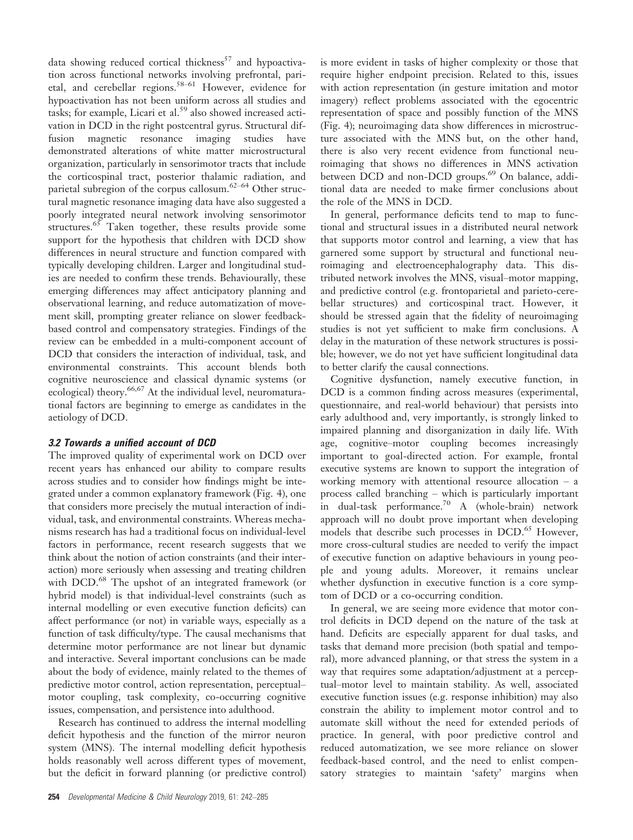data showing reduced cortical thickness<sup>57</sup> and hypoactivation across functional networks involving prefrontal, parietal, and cerebellar regions.58–<sup>61</sup> However, evidence for hypoactivation has not been uniform across all studies and tasks; for example, Licari et al.<sup>59</sup> also showed increased activation in DCD in the right postcentral gyrus. Structural diffusion magnetic resonance imaging studies have demonstrated alterations of white matter microstructural organization, particularly in sensorimotor tracts that include the corticospinal tract, posterior thalamic radiation, and parietal subregion of the corpus callosum.<sup>62-64</sup> Other structural magnetic resonance imaging data have also suggested a poorly integrated neural network involving sensorimotor structures. $65$  Taken together, these results provide some support for the hypothesis that children with DCD show differences in neural structure and function compared with typically developing children. Larger and longitudinal studies are needed to confirm these trends. Behaviourally, these emerging differences may affect anticipatory planning and observational learning, and reduce automatization of movement skill, prompting greater reliance on slower feedbackbased control and compensatory strategies. Findings of the review can be embedded in a multi-component account of DCD that considers the interaction of individual, task, and environmental constraints. This account blends both cognitive neuroscience and classical dynamic systems (or ecological) theory.<sup>66,67</sup> At the individual level, neuromaturational factors are beginning to emerge as candidates in the aetiology of DCD.

# 3.2 Towards a unified account of DCD

The improved quality of experimental work on DCD over recent years has enhanced our ability to compare results across studies and to consider how findings might be integrated under a common explanatory framework (Fig. 4), one that considers more precisely the mutual interaction of individual, task, and environmental constraints. Whereas mechanisms research has had a traditional focus on individual-level factors in performance, recent research suggests that we think about the notion of action constraints (and their interaction) more seriously when assessing and treating children with DCD.<sup>68</sup> The upshot of an integrated framework (or hybrid model) is that individual-level constraints (such as internal modelling or even executive function deficits) can affect performance (or not) in variable ways, especially as a function of task difficulty/type. The causal mechanisms that determine motor performance are not linear but dynamic and interactive. Several important conclusions can be made about the body of evidence, mainly related to the themes of predictive motor control, action representation, perceptual– motor coupling, task complexity, co-occurring cognitive issues, compensation, and persistence into adulthood.

Research has continued to address the internal modelling deficit hypothesis and the function of the mirror neuron system (MNS). The internal modelling deficit hypothesis holds reasonably well across different types of movement, but the deficit in forward planning (or predictive control)

is more evident in tasks of higher complexity or those that require higher endpoint precision. Related to this, issues with action representation (in gesture imitation and motor imagery) reflect problems associated with the egocentric representation of space and possibly function of the MNS (Fig. 4); neuroimaging data show differences in microstructure associated with the MNS but, on the other hand, there is also very recent evidence from functional neuroimaging that shows no differences in MNS activation between DCD and non-DCD groups.<sup>69</sup> On balance, additional data are needed to make firmer conclusions about the role of the MNS in DCD.

In general, performance deficits tend to map to functional and structural issues in a distributed neural network that supports motor control and learning, a view that has garnered some support by structural and functional neuroimaging and electroencephalography data. This distributed network involves the MNS, visual–motor mapping, and predictive control (e.g. frontoparietal and parieto-cerebellar structures) and corticospinal tract. However, it should be stressed again that the fidelity of neuroimaging studies is not yet sufficient to make firm conclusions. A delay in the maturation of these network structures is possible; however, we do not yet have sufficient longitudinal data to better clarify the causal connections.

Cognitive dysfunction, namely executive function, in DCD is a common finding across measures (experimental, questionnaire, and real-world behaviour) that persists into early adulthood and, very importantly, is strongly linked to impaired planning and disorganization in daily life. With age, cognitive–motor coupling becomes increasingly important to goal-directed action. For example, frontal executive systems are known to support the integration of working memory with attentional resource allocation – a process called branching – which is particularly important in dual-task performance.70 A (whole-brain) network approach will no doubt prove important when developing models that describe such processes in DCD.<sup>65</sup> However, more cross-cultural studies are needed to verify the impact of executive function on adaptive behaviours in young people and young adults. Moreover, it remains unclear whether dysfunction in executive function is a core symptom of DCD or a co-occurring condition.

In general, we are seeing more evidence that motor control deficits in DCD depend on the nature of the task at hand. Deficits are especially apparent for dual tasks, and tasks that demand more precision (both spatial and temporal), more advanced planning, or that stress the system in a way that requires some adaptation/adjustment at a perceptual–motor level to maintain stability. As well, associated executive function issues (e.g. response inhibition) may also constrain the ability to implement motor control and to automate skill without the need for extended periods of practice. In general, with poor predictive control and reduced automatization, we see more reliance on slower feedback-based control, and the need to enlist compensatory strategies to maintain 'safety' margins when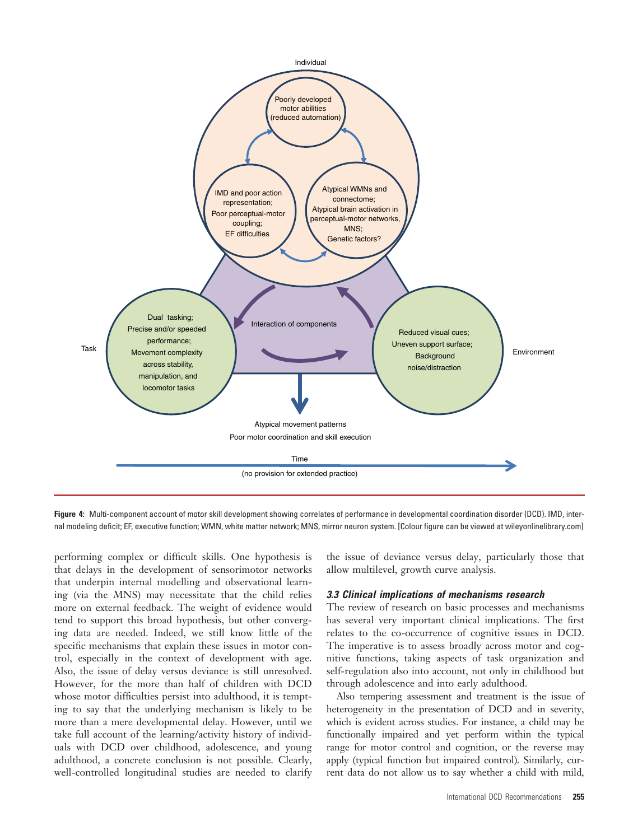

Figure 4: Multi-component account of motor skill development showing correlates of performance in developmental coordination disorder (DCD). IMD, internal modeling deficit; EF, executive function; WMN, white matter network; MNS, mirror neuron system. [Colour figure can be viewed at wileyonlinelibrary.com]

performing complex or difficult skills. One hypothesis is that delays in the development of sensorimotor networks that underpin internal modelling and observational learning (via the MNS) may necessitate that the child relies more on external feedback. The weight of evidence would tend to support this broad hypothesis, but other converging data are needed. Indeed, we still know little of the specific mechanisms that explain these issues in motor control, especially in the context of development with age. Also, the issue of delay versus deviance is still unresolved. However, for the more than half of children with DCD whose motor difficulties persist into adulthood, it is tempting to say that the underlying mechanism is likely to be more than a mere developmental delay. However, until we take full account of the learning/activity history of individuals with DCD over childhood, adolescence, and young adulthood, a concrete conclusion is not possible. Clearly, well-controlled longitudinal studies are needed to clarify the issue of deviance versus delay, particularly those that allow multilevel, growth curve analysis.

#### 3.3 Clinical implications of mechanisms research

The review of research on basic processes and mechanisms has several very important clinical implications. The first relates to the co-occurrence of cognitive issues in DCD. The imperative is to assess broadly across motor and cognitive functions, taking aspects of task organization and self-regulation also into account, not only in childhood but through adolescence and into early adulthood.

Also tempering assessment and treatment is the issue of heterogeneity in the presentation of DCD and in severity, which is evident across studies. For instance, a child may be functionally impaired and yet perform within the typical range for motor control and cognition, or the reverse may apply (typical function but impaired control). Similarly, current data do not allow us to say whether a child with mild,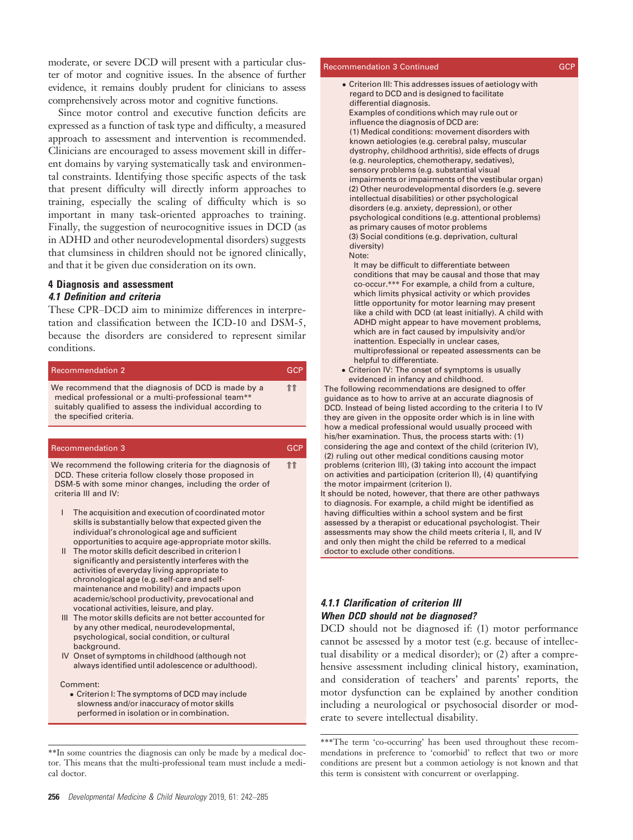moderate, or severe DCD will present with a particular cluster of motor and cognitive issues. In the absence of further evidence, it remains doubly prudent for clinicians to assess comprehensively across motor and cognitive functions.

Since motor control and executive function deficits are expressed as a function of task type and difficulty, a measured approach to assessment and intervention is recommended. Clinicians are encouraged to assess movement skill in different domains by varying systematically task and environmental constraints. Identifying those specific aspects of the task that present difficulty will directly inform approaches to training, especially the scaling of difficulty which is so important in many task-oriented approaches to training. Finally, the suggestion of neurocognitive issues in DCD (as in ADHD and other neurodevelopmental disorders) suggests that clumsiness in children should not be ignored clinically, and that it be given due consideration on its own.

# 4 Diagnosis and assessment

# 4.1 Definition and criteria

These CPR–DCD aim to minimize differences in interpretation and classification between the ICD-10 and DSM-5, because the disorders are considered to represent similar conditions.

| <b>Recommendation 2</b>                                                                                                                                                                           | teteP |
|---------------------------------------------------------------------------------------------------------------------------------------------------------------------------------------------------|-------|
| We recommend that the diagnosis of DCD is made by a<br>medical professional or a multi-professional team**<br>suitably qualified to assess the individual according to<br>the specified criteria. | ⋔ ¶   |
|                                                                                                                                                                                                   |       |

#### Recommendation 3 GCP

We recommend the following criteria for the diagnosis of DCD. These criteria follow closely those proposed in DSM-5 with some minor changes, including the order of criteria III and IV: ⇑⇑

- I The acquisition and execution of coordinated motor skills is substantially below that expected given the individual's chronological age and sufficient opportunities to acquire age-appropriate motor skills.
- II The motor skills deficit described in criterion I significantly and persistently interferes with the activities of everyday living appropriate to chronological age (e.g. self-care and selfmaintenance and mobility) and impacts upon academic/school productivity, prevocational and vocational activities, leisure, and play.
- III The motor skills deficits are not better accounted for by any other medical, neurodevelopmental, psychological, social condition, or cultural background.
- IV Onset of symptoms in childhood (although not always identified until adolescence or adulthood).
- Comment:
	- Criterion I: The symptoms of DCD may include slowness and/or inaccuracy of motor skills performed in isolation or in combination.

#### Recommendation 3 Continued GCP CONTEXT CONTEXT CONTEXT GCP

 Criterion III: This addresses issues of aetiology with regard to DCD and is designed to facilitate differential diagnosis. Examples of conditions which may rule out or

influence the diagnosis of DCD are: (1) Medical conditions: movement disorders with known aetiologies (e.g. cerebral palsy, muscular dystrophy, childhood arthritis), side effects of drugs (e.g. neuroleptics, chemotherapy, sedatives), sensory problems (e.g. substantial visual impairments or impairments of the vestibular organ) (2) Other neurodevelopmental disorders (e.g. severe intellectual disabilities) or other psychological disorders (e.g. anxiety, depression), or other psychological conditions (e.g. attentional problems) as primary causes of motor problems (3) Social conditions (e.g. deprivation, cultural diversity) Note:

It may be difficult to differentiate between conditions that may be causal and those that may co-occur.\*\*\* For example, a child from a culture, which limits physical activity or which provides little opportunity for motor learning may present like a child with DCD (at least initially). A child with ADHD might appear to have movement problems, which are in fact caused by impulsivity and/or inattention. Especially in unclear cases, multiprofessional or repeated assessments can be helpful to differentiate.

 Criterion IV: The onset of symptoms is usually evidenced in infancy and childhood.

The following recommendations are designed to offer guidance as to how to arrive at an accurate diagnosis of DCD. Instead of being listed according to the criteria I to IV they are given in the opposite order which is in line with how a medical professional would usually proceed with his/her examination. Thus, the process starts with: (1) considering the age and context of the child (criterion IV), (2) ruling out other medical conditions causing motor problems (criterion III), (3) taking into account the impact on activities and participation (criterion II), (4) quantifying the motor impairment (criterion I).

It should be noted, however, that there are other pathways to diagnosis. For example, a child might be identified as having difficulties within a school system and be first assessed by a therapist or educational psychologist. Their assessments may show the child meets criteria I, II, and IV and only then might the child be referred to a medical doctor to exclude other conditions.

# 4.1.1 Clarification of criterion III When DCD should not be diagnosed?

DCD should not be diagnosed if: (1) motor performance cannot be assessed by a motor test (e.g. because of intellectual disability or a medical disorder); or (2) after a comprehensive assessment including clinical history, examination, and consideration of teachers' and parents' reports, the motor dysfunction can be explained by another condition including a neurological or psychosocial disorder or moderate to severe intellectual disability.

\*\*\*The term 'co-occurring' has been used throughout these recommendations in preference to 'comorbid' to reflect that two or more conditions are present but a common aetiology is not known and that this term is consistent with concurrent or overlapping.

<sup>\*\*</sup>In some countries the diagnosis can only be made by a medical doctor. This means that the multi-professional team must include a medical doctor.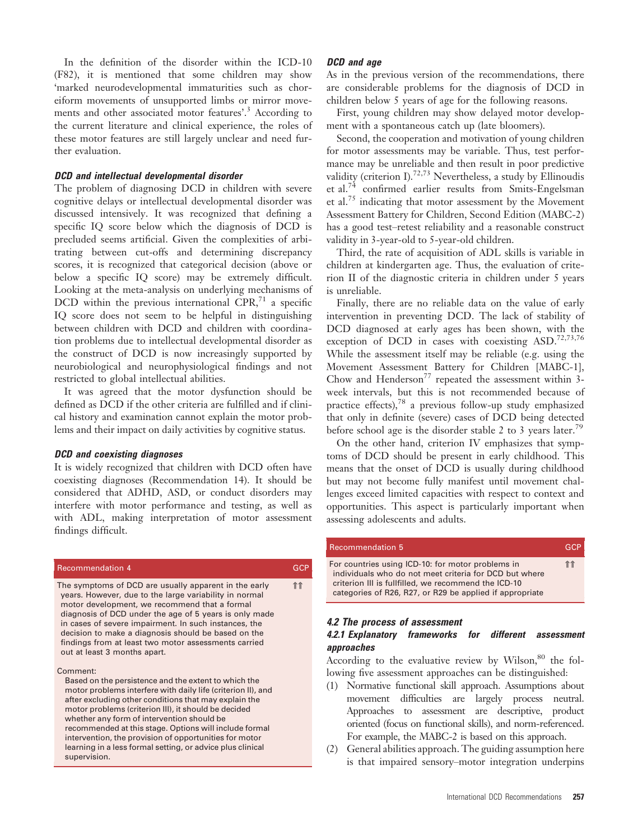In the definition of the disorder within the ICD-10 (F82), it is mentioned that some children may show 'marked neurodevelopmental immaturities such as choreiform movements of unsupported limbs or mirror movements and other associated motor features'.<sup>3</sup> According to the current literature and clinical experience, the roles of these motor features are still largely unclear and need further evaluation.

#### DCD and intellectual developmental disorder

The problem of diagnosing DCD in children with severe cognitive delays or intellectual developmental disorder was discussed intensively. It was recognized that defining a specific IQ score below which the diagnosis of DCD is precluded seems artificial. Given the complexities of arbitrating between cut-offs and determining discrepancy scores, it is recognized that categorical decision (above or below a specific IQ score) may be extremely difficult. Looking at the meta-analysis on underlying mechanisms of DCD within the previous international  $CPR<sub>1</sub><sup>71</sup>$  a specific IQ score does not seem to be helpful in distinguishing between children with DCD and children with coordination problems due to intellectual developmental disorder as the construct of DCD is now increasingly supported by neurobiological and neurophysiological findings and not restricted to global intellectual abilities.

It was agreed that the motor dysfunction should be defined as DCD if the other criteria are fulfilled and if clinical history and examination cannot explain the motor problems and their impact on daily activities by cognitive status.

#### DCD and coexisting diagnoses

It is widely recognized that children with DCD often have coexisting diagnoses (Recommendation 14). It should be considered that ADHD, ASD, or conduct disorders may interfere with motor performance and testing, as well as with ADL, making interpretation of motor assessment findings difficult.

| <b>Recommendation 4</b>                                                                                                                                                                                                                                                                                                                                                                                                            | GCP |
|------------------------------------------------------------------------------------------------------------------------------------------------------------------------------------------------------------------------------------------------------------------------------------------------------------------------------------------------------------------------------------------------------------------------------------|-----|
| The symptoms of DCD are usually apparent in the early<br>years. However, due to the large variability in normal<br>motor development, we recommend that a formal<br>diagnosis of DCD under the age of 5 years is only made<br>in cases of severe impairment. In such instances, the<br>decision to make a diagnosis should be based on the<br>findings from at least two motor assessments carried<br>out at least 3 months apart. | 介介  |
| Comment:<br>Based on the persistence and the extent to which the<br>motor problems interfere with daily life (criterion II), and<br>after excluding other conditions that may explain the<br>motor problems (criterion III), it should be decided                                                                                                                                                                                  |     |

whether any form of intervention should be recommended at this stage. Options will include formal intervention, the provision of opportunities for motor learning in a less formal setting, or advice plus clinical supervision.

#### DCD and age

As in the previous version of the recommendations, there are considerable problems for the diagnosis of DCD in children below 5 years of age for the following reasons.

First, young children may show delayed motor development with a spontaneous catch up (late bloomers).

Second, the cooperation and motivation of young children for motor assessments may be variable. Thus, test performance may be unreliable and then result in poor predictive validity (criterion I).<sup>72,73</sup> Nevertheless, a study by Ellinoudis et al.<sup>74</sup> confirmed earlier results from Smits-Engelsman et al.<sup>75</sup> indicating that motor assessment by the Movement Assessment Battery for Children, Second Edition (MABC-2) has a good test–retest reliability and a reasonable construct validity in 3-year-old to 5-year-old children.

Third, the rate of acquisition of ADL skills is variable in children at kindergarten age. Thus, the evaluation of criterion II of the diagnostic criteria in children under 5 years is unreliable.

Finally, there are no reliable data on the value of early intervention in preventing DCD. The lack of stability of DCD diagnosed at early ages has been shown, with the exception of DCD in cases with coexisting ASD.<sup>72,73,76</sup> While the assessment itself may be reliable (e.g. using the Movement Assessment Battery for Children [MABC-1], Chow and Henderson<sup>77</sup> repeated the assessment within 3week intervals, but this is not recommended because of practice effects),<sup>78</sup> a previous follow-up study emphasized that only in definite (severe) cases of DCD being detected before school age is the disorder stable 2 to 3 years later.<sup>79</sup>

On the other hand, criterion IV emphasizes that symptoms of DCD should be present in early childhood. This means that the onset of DCD is usually during childhood but may not become fully manifest until movement challenges exceed limited capacities with respect to context and opportunities. This aspect is particularly important when assessing adolescents and adults.

| Recommendation 5                                                                                                                                                                                                                | GCP |
|---------------------------------------------------------------------------------------------------------------------------------------------------------------------------------------------------------------------------------|-----|
| For countries using ICD-10: for motor problems in<br>individuals who do not meet criteria for DCD but where<br>criterion III is fullfilled, we recommend the ICD-10<br>categories of R26, R27, or R29 be applied if appropriate | ⇑⇑  |

# 4.2 The process of assessment

# 4.2.1 Explanatory frameworks for different assessment approaches

According to the evaluative review by Wilson,<sup>80</sup> the following five assessment approaches can be distinguished:

- (1) Normative functional skill approach. Assumptions about movement difficulties are largely process neutral. Approaches to assessment are descriptive, product oriented (focus on functional skills), and norm-referenced. For example, the MABC-2 is based on this approach.
- (2) General abilities approach. The guiding assumption here is that impaired sensory–motor integration underpins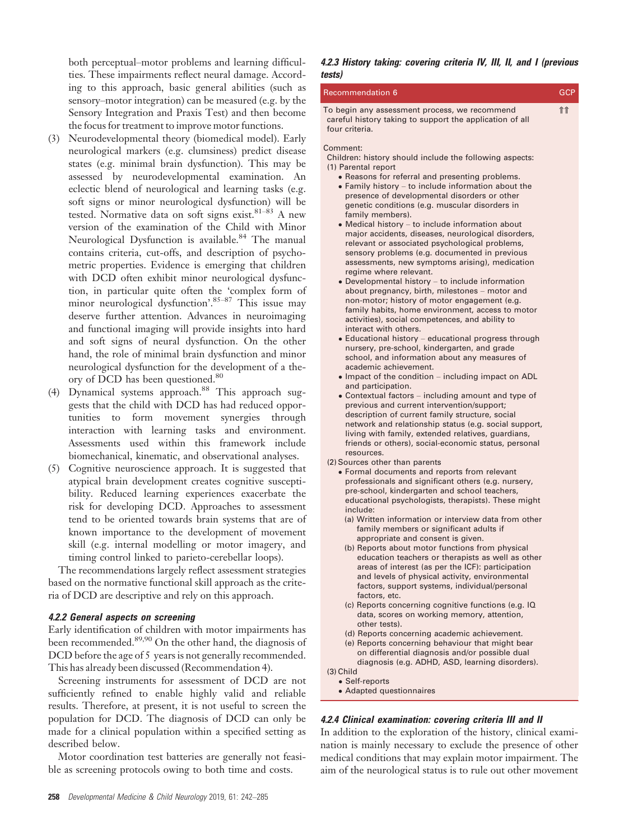both perceptual–motor problems and learning difficulties. These impairments reflect neural damage. According to this approach, basic general abilities (such as sensory–motor integration) can be measured (e.g. by the Sensory Integration and Praxis Test) and then become the focus for treatment to improve motor functions.

- (3) Neurodevelopmental theory (biomedical model). Early neurological markers (e.g. clumsiness) predict disease states (e.g. minimal brain dysfunction). This may be assessed by neurodevelopmental examination. An eclectic blend of neurological and learning tasks (e.g. soft signs or minor neurological dysfunction) will be tested. Normative data on soft signs exist. $81-83$  A new version of the examination of the Child with Minor Neurological Dysfunction is available.<sup>84</sup> The manual contains criteria, cut-offs, and description of psychometric properties. Evidence is emerging that children with DCD often exhibit minor neurological dysfunction, in particular quite often the 'complex form of minor neurological dysfunction'.<sup>85–87</sup> This issue may deserve further attention. Advances in neuroimaging and functional imaging will provide insights into hard and soft signs of neural dysfunction. On the other hand, the role of minimal brain dysfunction and minor neurological dysfunction for the development of a theory of DCD has been questioned.<sup>80</sup>
- (4) Dynamical systems approach.<sup>88</sup> This approach suggests that the child with DCD has had reduced opportunities to form movement synergies through interaction with learning tasks and environment. Assessments used within this framework include biomechanical, kinematic, and observational analyses.
- (5) Cognitive neuroscience approach. It is suggested that atypical brain development creates cognitive susceptibility. Reduced learning experiences exacerbate the risk for developing DCD. Approaches to assessment tend to be oriented towards brain systems that are of known importance to the development of movement skill (e.g. internal modelling or motor imagery, and timing control linked to parieto-cerebellar loops).

The recommendations largely reflect assessment strategies based on the normative functional skill approach as the criteria of DCD are descriptive and rely on this approach.

#### 4.2.2 General aspects on screening

Early identification of children with motor impairments has been recommended.<sup>89,90</sup> On the other hand, the diagnosis of DCD before the age of 5 years is not generally recommended. This has already been discussed (Recommendation 4).

Screening instruments for assessment of DCD are not sufficiently refined to enable highly valid and reliable results. Therefore, at present, it is not useful to screen the population for DCD. The diagnosis of DCD can only be made for a clinical population within a specified setting as described below.

Motor coordination test batteries are generally not feasible as screening protocols owing to both time and costs.

#### 4.2.3 History taking: covering criteria IV, III, II, and I (previous tests)

| <b>Recommendation 6</b>                                                                                                     | GCP |
|-----------------------------------------------------------------------------------------------------------------------------|-----|
| To begin any assessment process, we recommend<br>careful history taking to support the application of all<br>four criteria. |     |
| Comment:<br>Children: history should include the following aspects:<br>(1) Parental report                                  |     |

- Reasons for referral and presenting problems.
- Family history to include information about the presence of developmental disorders or other genetic conditions (e.g. muscular disorders in family members).
- Medical history to include information about major accidents, diseases, neurological disorders, relevant or associated psychological problems, sensory problems (e.g. documented in previous assessments, new symptoms arising), medication regime where relevant.
- Developmental history to include information about pregnancy, birth, milestones – motor and non-motor; history of motor engagement (e.g. family habits, home environment, access to motor activities), social competences, and ability to interact with others.
- Educational history educational progress through nursery, pre-school, kindergarten, and grade school, and information about any measures of academic achievement.
- $\bullet$  Impact of the condition including impact on ADL and participation.
- Contextual factors including amount and type of previous and current intervention/support; description of current family structure, social network and relationship status (e.g. social support, living with family, extended relatives, guardians, friends or others), social-economic status, personal resources.
- (2) Sources other than parents
	- Formal documents and reports from relevant professionals and significant others (e.g. nursery, pre-school, kindergarten and school teachers, educational psychologists, therapists). These might include:
		- (a) Written information or interview data from other family members or significant adults if appropriate and consent is given.
		- (b) Reports about motor functions from physical education teachers or therapists as well as other areas of interest (as per the ICF): participation and levels of physical activity, environmental factors, support systems, individual/personal factors, etc.
		- (c) Reports concerning cognitive functions (e.g. IQ data, scores on working memory, attention, other tests).
		- (d) Reports concerning academic achievement.
		- (e) Reports concerning behaviour that might bear on differential diagnosis and/or possible dual diagnosis (e.g. ADHD, ASD, learning disorders).

(3) Child

- Self-reports
- Adapted questionnaires

# 4.2.4 Clinical examination: covering criteria III and II

In addition to the exploration of the history, clinical examination is mainly necessary to exclude the presence of other medical conditions that may explain motor impairment. The aim of the neurological status is to rule out other movement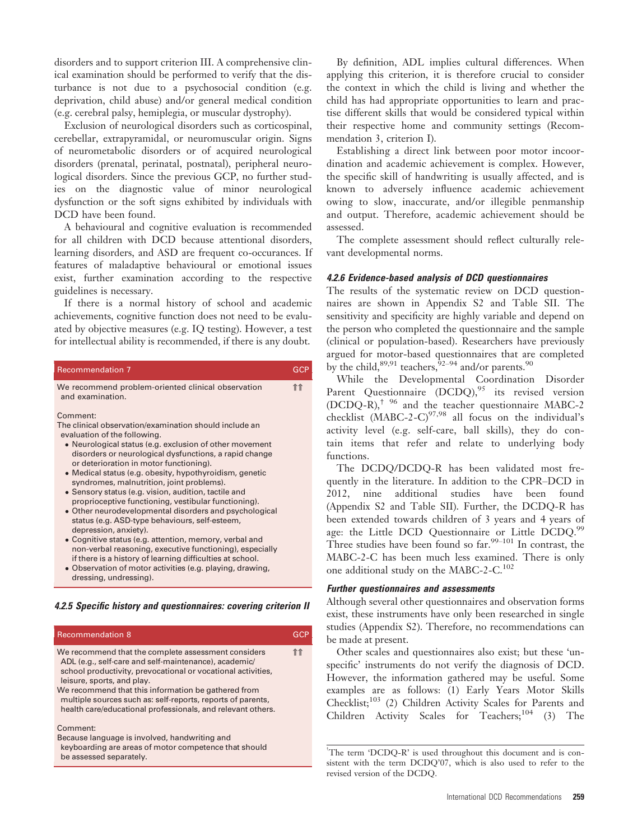disorders and to support criterion III. A comprehensive clinical examination should be performed to verify that the disturbance is not due to a psychosocial condition (e.g. deprivation, child abuse) and/or general medical condition (e.g. cerebral palsy, hemiplegia, or muscular dystrophy).

Exclusion of neurological disorders such as corticospinal, cerebellar, extrapyramidal, or neuromuscular origin. Signs of neurometabolic disorders or of acquired neurological disorders (prenatal, perinatal, postnatal), peripheral neurological disorders. Since the previous GCP, no further studies on the diagnostic value of minor neurological dysfunction or the soft signs exhibited by individuals with DCD have been found.

A behavioural and cognitive evaluation is recommended for all children with DCD because attentional disorders, learning disorders, and ASD are frequent co-occurances. If features of maladaptive behavioural or emotional issues exist, further examination according to the respective guidelines is necessary.

If there is a normal history of school and academic achievements, cognitive function does not need to be evaluated by objective measures (e.g. IQ testing). However, a test for intellectual ability is recommended, if there is any doubt.

| Recommendation 7                                                                                                                                                                                                                                                                                                                                                                                                                                                                                                                                                                                                                                                                                                                                                                                                                                                                                          | <b>GCP</b> |
|-----------------------------------------------------------------------------------------------------------------------------------------------------------------------------------------------------------------------------------------------------------------------------------------------------------------------------------------------------------------------------------------------------------------------------------------------------------------------------------------------------------------------------------------------------------------------------------------------------------------------------------------------------------------------------------------------------------------------------------------------------------------------------------------------------------------------------------------------------------------------------------------------------------|------------|
| We recommend problem-oriented clinical observation<br>and examination.                                                                                                                                                                                                                                                                                                                                                                                                                                                                                                                                                                                                                                                                                                                                                                                                                                    | 介介         |
| Comment:<br>The clinical observation/examination should include an<br>evaluation of the following.<br>• Neurological status (e.g. exclusion of other movement<br>disorders or neurological dysfunctions, a rapid change<br>or deterioration in motor functioning).<br>• Medical status (e.g. obesity, hypothyroidism, genetic<br>syndromes, malnutrition, joint problems).<br>• Sensory status (e.g. vision, audition, tactile and<br>proprioceptive functioning, vestibular functioning).<br>• Other neurodevelopmental disorders and psychological<br>status (e.g. ASD-type behaviours, self-esteem,<br>depression, anxiety).<br>• Cognitive status (e.g. attention, memory, verbal and<br>non-verbal reasoning, executive functioning), especially<br>if there is a history of learning difficulties at school.<br>• Observation of motor activities (e.g. playing, drawing,<br>dressing, undressing). |            |
| 4.2.5 Specific history and questionnaires: covering criterion II                                                                                                                                                                                                                                                                                                                                                                                                                                                                                                                                                                                                                                                                                                                                                                                                                                          |            |
| <b>Recommendation 8</b>                                                                                                                                                                                                                                                                                                                                                                                                                                                                                                                                                                                                                                                                                                                                                                                                                                                                                   | <b>GCP</b> |
| We recommend that the complete assessment considers<br>ADL (e.g., self-care and self-maintenance), academic/                                                                                                                                                                                                                                                                                                                                                                                                                                                                                                                                                                                                                                                                                                                                                                                              | 介介         |

school productivity, prevocational or vocational activities, leisure, sports, and play. We recommend that this information be gathered from multiple sources such as: self-reports, reports of parents, health care/educational professionals, and relevant others.

#### Comment:

Because language is involved, handwriting and

keyboarding are areas of motor competence that should be assessed separately.

By definition, ADL implies cultural differences. When applying this criterion, it is therefore crucial to consider the context in which the child is living and whether the child has had appropriate opportunities to learn and practise different skills that would be considered typical within their respective home and community settings (Recommendation 3, criterion I).

Establishing a direct link between poor motor incoordination and academic achievement is complex. However, the specific skill of handwriting is usually affected, and is known to adversely influence academic achievement owing to slow, inaccurate, and/or illegible penmanship and output. Therefore, academic achievement should be assessed.

The complete assessment should reflect culturally relevant developmental norms.

#### 4.2.6 Evidence-based analysis of DCD questionnaires

The results of the systematic review on DCD questionnaires are shown in Appendix S2 and Table SII. The sensitivity and specificity are highly variable and depend on the person who completed the questionnaire and the sample (clinical or population-based). Researchers have previously argued for motor-based questionnaires that are completed by the child,<sup>89,91</sup> teachers,<sup>92–94</sup> and/or parents.<sup>90</sup>

While the Developmental Coordination Disorder Parent Questionnaire (DCDQ),<sup>95</sup> its revised version (DCDQ-R),† 96 and the teacher questionnaire MABC-2 checklist  $(MABC-2-C)^{97,98}$  all focus on the individual's activity level (e.g. self-care, ball skills), they do contain items that refer and relate to underlying body functions.

The DCDQ/DCDQ-R has been validated most frequently in the literature. In addition to the CPR–DCD in 2012, nine additional studies have been found (Appendix S2 and Table SII). Further, the DCDQ-R has been extended towards children of 3 years and 4 years of age: the Little DCD Questionnaire or Little DCDQ.<sup>99</sup> Three studies have been found so far.99–<sup>101</sup> In contrast, the MABC-2-C has been much less examined. There is only one additional study on the MABC-2-C.<sup>102</sup>

# Further questionnaires and assessments

Although several other questionnaires and observation forms exist, these instruments have only been researched in single studies (Appendix S2). Therefore, no recommendations can be made at present.

Other scales and questionnaires also exist; but these 'unspecific' instruments do not verify the diagnosis of DCD. However, the information gathered may be useful. Some examples are as follows: (1) Early Years Motor Skills Checklist;103 (2) Children Activity Scales for Parents and Children Activity Scales for Teachers;<sup>104</sup> (3) The

<sup>&</sup>lt;sup>†</sup>The term 'DCDQ-R' is used throughout this document and is consistent with the term DCDQ'07, which is also used to refer to the revised version of the DCDQ.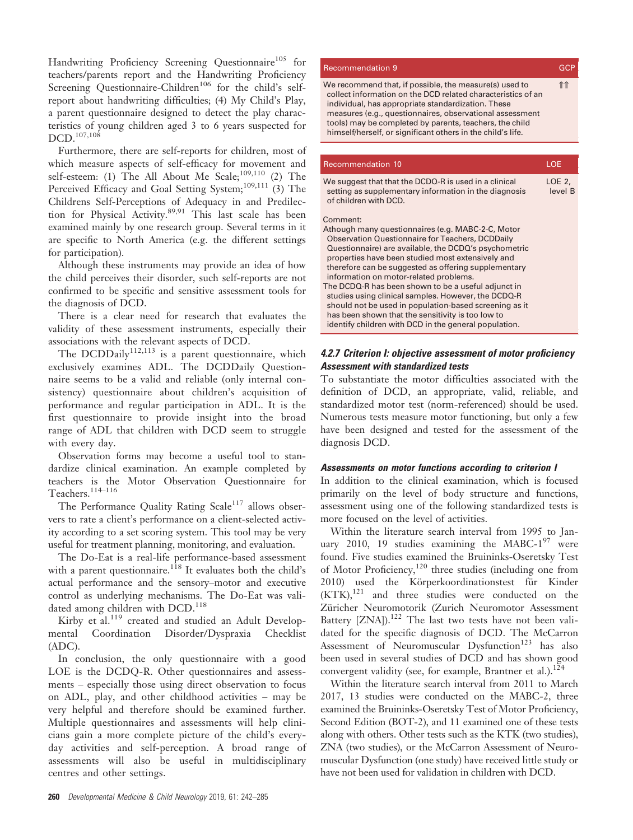Handwriting Proficiency Screening Questionnaire<sup>105</sup> for teachers/parents report and the Handwriting Proficiency Screening Questionnaire-Children<sup>106</sup> for the child's selfreport about handwriting difficulties; (4) My Child's Play, a parent questionnaire designed to detect the play characteristics of young children aged 3 to 6 years suspected for DCD.<sup>107,108</sup>

Furthermore, there are self-reports for children, most of which measure aspects of self-efficacy for movement and self-esteem: (1) The All About Me Scale;<sup>109,110</sup> (2) The Perceived Efficacy and Goal Setting System;<sup>109,111</sup> (3) The Childrens Self-Perceptions of Adequacy in and Predilection for Physical Activity.<sup>89,91</sup> This last scale has been examined mainly by one research group. Several terms in it are specific to North America (e.g. the different settings for participation).

Although these instruments may provide an idea of how the child perceives their disorder, such self-reports are not confirmed to be specific and sensitive assessment tools for the diagnosis of DCD.

There is a clear need for research that evaluates the validity of these assessment instruments, especially their associations with the relevant aspects of DCD.

The DCDDaily<sup>112,113</sup> is a parent questionnaire, which exclusively examines ADL. The DCDDaily Questionnaire seems to be a valid and reliable (only internal consistency) questionnaire about children's acquisition of performance and regular participation in ADL. It is the first questionnaire to provide insight into the broad range of ADL that children with DCD seem to struggle with every day.

Observation forms may become a useful tool to standardize clinical examination. An example completed by teachers is the Motor Observation Questionnaire for Teachers.<sup>114–116</sup>

The Performance Quality Rating Scale<sup>117</sup> allows observers to rate a client's performance on a client-selected activity according to a set scoring system. This tool may be very useful for treatment planning, monitoring, and evaluation.

The Do-Eat is a real-life performance-based assessment with a parent questionnaire.<sup>118</sup> It evaluates both the child's actual performance and the sensory–motor and executive control as underlying mechanisms. The Do-Eat was validated among children with DCD.<sup>118</sup>

Kirby et al.<sup>119</sup> created and studied an Adult Developmental Coordination Disorder/Dyspraxia Checklist (ADC).

In conclusion, the only questionnaire with a good LOE is the DCDQ-R. Other questionnaires and assessments – especially those using direct observation to focus on ADL, play, and other childhood activities – may be very helpful and therefore should be examined further. Multiple questionnaires and assessments will help clinicians gain a more complete picture of the child's everyday activities and self-perception. A broad range of assessments will also be useful in multidisciplinary centres and other settings.

| <b>Recommendation 9</b>                                                                                                                                                                                                                                                                                                                                                                                                                    | <b>GCP</b>        |
|--------------------------------------------------------------------------------------------------------------------------------------------------------------------------------------------------------------------------------------------------------------------------------------------------------------------------------------------------------------------------------------------------------------------------------------------|-------------------|
| We recommend that, if possible, the measure(s) used to<br>collect information on the DCD related characteristics of an<br>individual, has appropriate standardization. These<br>measures (e.g., questionnaires, observational assessment<br>tools) may be completed by parents, teachers, the child<br>himself/herself, or significant others in the child's life.                                                                         | ↑↑                |
|                                                                                                                                                                                                                                                                                                                                                                                                                                            |                   |
| <b>Recommendation 10</b>                                                                                                                                                                                                                                                                                                                                                                                                                   | <b>LOE</b>        |
| We suggest that that the DCDQ-R is used in a clinical<br>setting as supplementary information in the diagnosis<br>of children with DCD.                                                                                                                                                                                                                                                                                                    | LOE 2,<br>level B |
| Comment:                                                                                                                                                                                                                                                                                                                                                                                                                                   |                   |
| Athough many questionnaires (e.g. MABC-2-C, Motor<br><b>Observation Questionnaire for Teachers, DCDDaily</b><br>Questionnaire) are available, the DCDQ's psychometric<br>properties have been studied most extensively and<br>therefore can be suggested as offering supplementary<br>information on motor-related problems.<br>The DCDQ-R has been shown to be a useful adjunct in<br>studies using clinical samples. However, the DCDQ-R |                   |

should not be used in population-based screening as it has been shown that the sensitivity is too low to identify children with DCD in the general population.

# 4.2.7 Criterion I: objective assessment of motor proficiency Assessment with standardized tests

To substantiate the motor difficulties associated with the definition of DCD, an appropriate, valid, reliable, and standardized motor test (norm-referenced) should be used. Numerous tests measure motor functioning, but only a few have been designed and tested for the assessment of the diagnosis DCD.

# Assessments on motor functions according to criterion I

In addition to the clinical examination, which is focused primarily on the level of body structure and functions, assessment using one of the following standardized tests is more focused on the level of activities.

Within the literature search interval from 1995 to January 2010, 19 studies examining the MABC- $1^{97}$  were found. Five studies examined the Bruininks-Oseretsky Test of Motor Proficiency,  $120$  three studies (including one from 2010) used the Körperkoordinationstest für Kinder  $(KTK),<sup>121</sup>$  and three studies were conducted on the Züricher Neuromotorik (Zurich Neuromotor Assessment Battery  $[ZNA]$ .<sup>122</sup> The last two tests have not been validated for the specific diagnosis of DCD. The McCarron Assessment of Neuromuscular Dysfunction<sup>123</sup> has also been used in several studies of DCD and has shown good convergent validity (see, for example, Brantner et al.).<sup>124</sup>

Within the literature search interval from 2011 to March 2017, 13 studies were conducted on the MABC-2, three examined the Bruininks-Oseretsky Test of Motor Proficiency, Second Edition (BOT-2), and 11 examined one of these tests along with others. Other tests such as the KTK (two studies), ZNA (two studies), or the McCarron Assessment of Neuromuscular Dysfunction (one study) have received little study or have not been used for validation in children with DCD.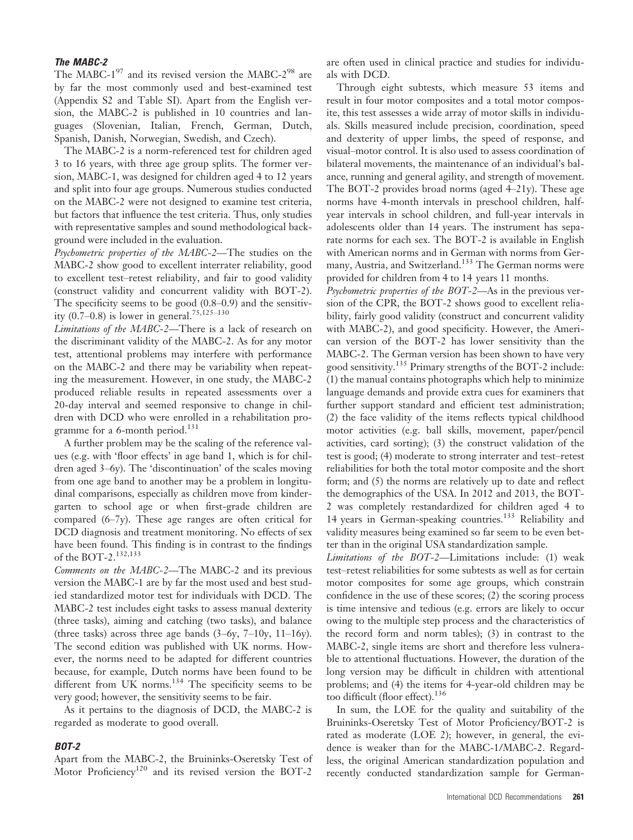#### The MABC-2

The MABC- $1^{97}$  and its revised version the MABC- $2^{98}$  are by far the most commonly used and best-examined test (Appendix S2 and Table SI). Apart from the English version, the MABC-2 is published in 10 countries and languages (Slovenian, Italian, French, German, Dutch, Spanish, Danish, Norwegian, Swedish, and Czech).

The MABC-2 is a norm-referenced test for children aged 3 to 16 years, with three age group splits. The former version, MABC-1, was designed for children aged 4 to 12 years and split into four age groups. Numerous studies conducted on the MABC-2 were not designed to examine test criteria, but factors that influence the test criteria. Thus, only studies with representative samples and sound methodological background were included in the evaluation.

Psychometric properties of the MABC-2—The studies on the MABC-2 show good to excellent interrater reliability, good to excellent test–retest reliability, and fair to good validity (construct validity and concurrent validity with BOT-2). The specificity seems to be good (0.8–0.9) and the sensitivity  $(0.7-0.8)$  is lower in general.<sup>75,125-130</sup>

Limitations of the MABC-2—There is a lack of research on the discriminant validity of the MABC-2. As for any motor test, attentional problems may interfere with performance on the MABC-2 and there may be variability when repeating the measurement. However, in one study, the MABC-2 produced reliable results in repeated assessments over a 20-day interval and seemed responsive to change in children with DCD who were enrolled in a rehabilitation programme for a 6-month period.<sup>131</sup>

A further problem may be the scaling of the reference values (e.g. with 'floor effects' in age band 1, which is for children aged 3–6y). The 'discontinuation' of the scales moving from one age band to another may be a problem in longitudinal comparisons, especially as children move from kindergarten to school age or when first-grade children are compared (6–7y). These age ranges are often critical for DCD diagnosis and treatment monitoring. No effects of sex have been found. This finding is in contrast to the findings of the BOT-2.132,133

Comments on the MABC-2—The MABC-2 and its previous version the MABC-1 are by far the most used and best studied standardized motor test for individuals with DCD. The MABC-2 test includes eight tasks to assess manual dexterity (three tasks), aiming and catching (two tasks), and balance (three tasks) across three age bands  $(3-6y, 7-10y, 11-16y)$ . The second edition was published with UK norms. However, the norms need to be adapted for different countries because, for example, Dutch norms have been found to be different from UK norms.<sup>134</sup> The specificity seems to be very good; however, the sensitivity seems to be fair.

As it pertains to the diagnosis of DCD, the MABC-2 is regarded as moderate to good overall.

# BOT-2

Apart from the MABC-2, the Bruininks-Oseretsky Test of Motor Proficiency<sup>120</sup> and its revised version the BOT-2

are often used in clinical practice and studies for individuals with DCD.

Through eight subtests, which measure 53 items and result in four motor composites and a total motor composite, this test assesses a wide array of motor skills in individuals. Skills measured include precision, coordination, speed and dexterity of upper limbs, the speed of response, and visual–motor control. It is also used to assess coordination of bilateral movements, the maintenance of an individual's balance, running and general agility, and strength of movement. The BOT-2 provides broad norms (aged 4–21y). These age norms have 4-month intervals in preschool children, halfyear intervals in school children, and full-year intervals in adolescents older than 14 years. The instrument has separate norms for each sex. The BOT-2 is available in English with American norms and in German with norms from Germany, Austria, and Switzerland.<sup>133</sup> The German norms were provided for children from 4 to 14 years 11 months.

Psychometric properties of the BOT-2—As in the previous version of the CPR, the BOT-2 shows good to excellent reliability, fairly good validity (construct and concurrent validity with MABC-2), and good specificity. However, the American version of the BOT-2 has lower sensitivity than the MABC-2. The German version has been shown to have very good sensitivity.<sup>135</sup> Primary strengths of the BOT-2 include: (1) the manual contains photographs which help to minimize language demands and provide extra cues for examiners that further support standard and efficient test administration; (2) the face validity of the items reflects typical childhood motor activities (e.g. ball skills, movement, paper/pencil activities, card sorting); (3) the construct validation of the test is good; (4) moderate to strong interrater and test–retest reliabilities for both the total motor composite and the short form; and (5) the norms are relatively up to date and reflect the demographics of the USA. In 2012 and 2013, the BOT-2 was completely restandardized for children aged 4 to 14 years in German-speaking countries.<sup>133</sup> Reliability and validity measures being examined so far seem to be even better than in the original USA standardization sample.

Limitations of the BOT-2—Limitations include: (1) weak test–retest reliabilities for some subtests as well as for certain motor composites for some age groups, which constrain confidence in the use of these scores; (2) the scoring process is time intensive and tedious (e.g. errors are likely to occur owing to the multiple step process and the characteristics of the record form and norm tables); (3) in contrast to the MABC-2, single items are short and therefore less vulnerable to attentional fluctuations. However, the duration of the long version may be difficult in children with attentional problems; and (4) the items for 4-year-old children may be too difficult (floor effect).<sup>136</sup>

In sum, the LOE for the quality and suitability of the Bruininks-Oseretsky Test of Motor Proficiency/BOT-2 is rated as moderate (LOE 2); however, in general, the evidence is weaker than for the MABC-1/MABC-2. Regardless, the original American standardization population and recently conducted standardization sample for German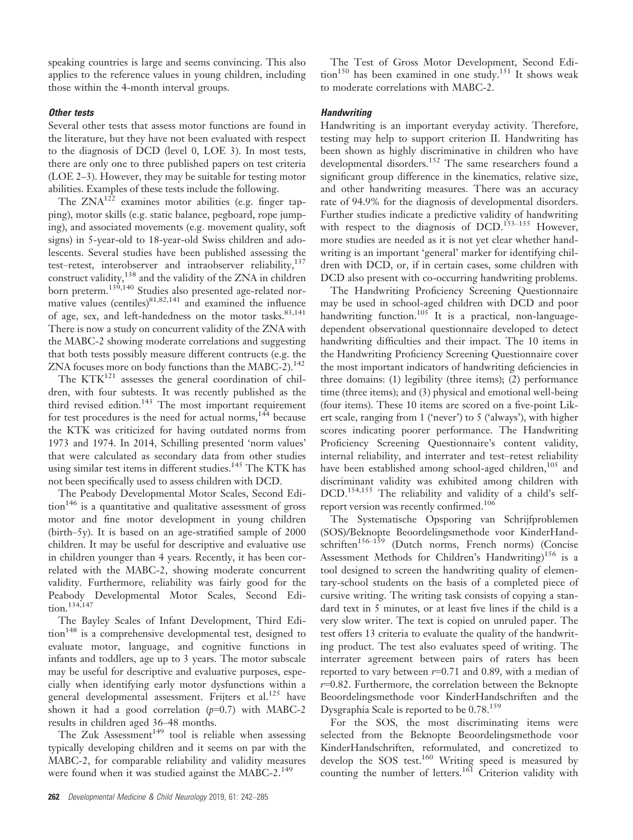speaking countries is large and seems convincing. This also applies to the reference values in young children, including those within the 4-month interval groups.

# Other tests

Several other tests that assess motor functions are found in the literature, but they have not been evaluated with respect to the diagnosis of DCD (level 0, LOE 3). In most tests, there are only one to three published papers on test criteria (LOE 2–3). However, they may be suitable for testing motor abilities. Examples of these tests include the following.

The  $ZNA^{122}$  examines motor abilities (e.g. finger tapping), motor skills (e.g. static balance, pegboard, rope jumping), and associated movements (e.g. movement quality, soft signs) in 5-year-old to 18-year-old Swiss children and adolescents. Several studies have been published assessing the test-retest, interobserver and intraobserver reliability,<sup>137</sup> construct validity,<sup>138</sup> and the validity of the ZNA in children born preterm.<sup>139,140</sup> Studies also presented age-related normative values (centiles) $81,82,141$  and examined the influence of age, sex, and left-handedness on the motor tasks.<sup>83,141</sup> There is now a study on concurrent validity of the ZNA with the MABC-2 showing moderate correlations and suggesting that both tests possibly measure different contructs (e.g. the ZNA focuses more on body functions than the MABC-2). $^{142}$ 

The  $KTK^{121}$  assesses the general coordination of children, with four subtests. It was recently published as the third revised edition.<sup>143</sup> The most important requirement for test procedures is the need for actual norms,  $144$  because the KTK was criticized for having outdated norms from 1973 and 1974. In 2014, Schilling presented 'norm values' that were calculated as secondary data from other studies using similar test items in different studies.<sup>145</sup> The KTK has not been specifically used to assess children with DCD.

The Peabody Developmental Motor Scales, Second Edi- $\chi$  tion<sup>146</sup> is a quantitative and qualitative assessment of gross motor and fine motor development in young children (birth–5y). It is based on an age-stratified sample of 2000 children. It may be useful for descriptive and evaluative use in children younger than 4 years. Recently, it has been correlated with the MABC-2, showing moderate concurrent validity. Furthermore, reliability was fairly good for the Peabody Developmental Motor Scales, Second Edition.134,147

The Bayley Scales of Infant Development, Third Edi- $\chi$  tion<sup>148</sup> is a comprehensive developmental test, designed to evaluate motor, language, and cognitive functions in infants and toddlers, age up to 3 years. The motor subscale may be useful for descriptive and evaluative purposes, especially when identifying early motor dysfunctions within a general developmental assessment. Frijters et al.<sup>125</sup> have shown it had a good correlation  $(p=0.7)$  with MABC-2 results in children aged 36–48 months.

The Zuk Assessment<sup>149</sup> tool is reliable when assessing typically developing children and it seems on par with the MABC-2, for comparable reliability and validity measures were found when it was studied against the MABC-2.<sup>149</sup>

The Test of Gross Motor Development, Second Edi- $\arctan^{150}$  has been examined in one study.<sup>151</sup> It shows weak to moderate correlations with MABC-2.

# **Handwriting**

Handwriting is an important everyday activity. Therefore, testing may help to support criterion II. Handwriting has been shown as highly discriminative in children who have developmental disorders.<sup>152</sup> The same researchers found a significant group difference in the kinematics, relative size, and other handwriting measures. There was an accuracy rate of 94.9% for the diagnosis of developmental disorders. Further studies indicate a predictive validity of handwriting with respect to the diagnosis of DCD.<sup>153-155</sup> However, more studies are needed as it is not yet clear whether handwriting is an important 'general' marker for identifying children with DCD, or, if in certain cases, some children with DCD also present with co-occurring handwriting problems.

The Handwriting Proficiency Screening Questionnaire may be used in school-aged children with DCD and poor handwriting function.<sup>105</sup> It is a practical, non-languagedependent observational questionnaire developed to detect handwriting difficulties and their impact. The 10 items in the Handwriting Proficiency Screening Questionnaire cover the most important indicators of handwriting deficiencies in three domains: (1) legibility (three items); (2) performance time (three items); and (3) physical and emotional well-being (four items). These 10 items are scored on a five-point Likert scale, ranging from 1 ('never') to 5 ('always'), with higher scores indicating poorer performance. The Handwriting Proficiency Screening Questionnaire's content validity, internal reliability, and interrater and test–retest reliability have been established among school-aged children,<sup>105</sup> and discriminant validity was exhibited among children with DCD.<sup>154,155</sup> The reliability and validity of a child's selfreport version was recently confirmed.106

The Systematische Opsporing van Schrijfproblemen (SOS)/Beknopte Beoordelingsmethode voor KinderHandschriften<sup>156–159</sup> (Dutch norms, French norms) (Concise Assessment Methods for Children's Handwriting)<sup>156</sup> is a tool designed to screen the handwriting quality of elementary-school students on the basis of a completed piece of cursive writing. The writing task consists of copying a standard text in 5 minutes, or at least five lines if the child is a very slow writer. The text is copied on unruled paper. The test offers 13 criteria to evaluate the quality of the handwriting product. The test also evaluates speed of writing. The interrater agreement between pairs of raters has been reported to vary between  $r=0.71$  and 0.89, with a median of  $r=0.82$ . Furthermore, the correlation between the Beknopte Beoordelingsmethode voor KinderHandschriften and the Dysgraphia Scale is reported to be 0.78.159

For the SOS, the most discriminating items were selected from the Beknopte Beoordelingsmethode voor KinderHandschriften, reformulated, and concretized to develop the SOS test.<sup>160</sup> Writing speed is measured by counting the number of letters.<sup>161</sup> Criterion validity with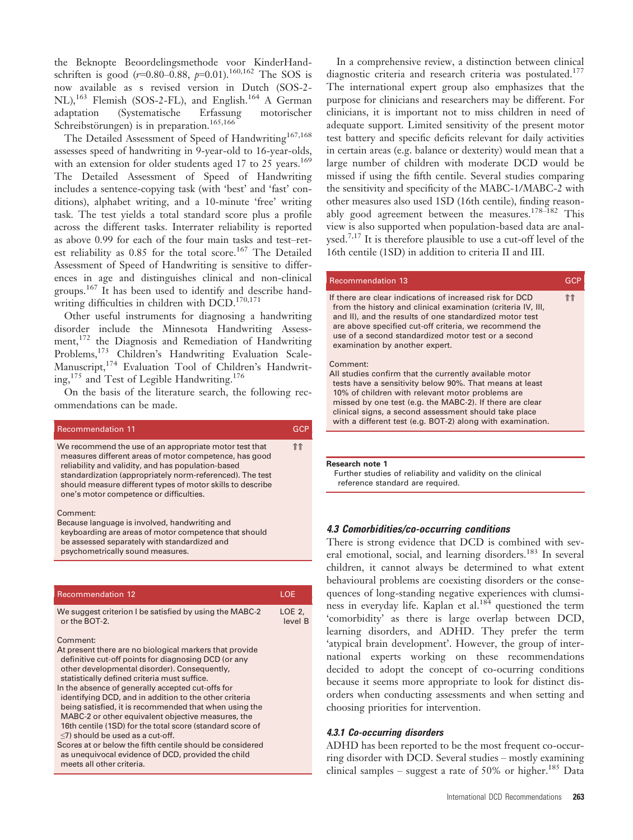the Beknopte Beoordelingsmethode voor KinderHandschriften is good ( $r=0.80-0.88$ ,  $p=0.01$ ).<sup>160,162</sup> The SOS is now available as s revised version in Dutch (SOS-2- NL),<sup>163</sup> Flemish (SOS-2-FL), and English.<sup>164</sup> A German<br>adaptation (Systematische Erfassung motorischer adaptation (Systematische Erfassung motorischer Schreibstörungen) is in preparation.<sup>165,166</sup>

The Detailed Assessment of Speed of Handwriting<sup>167,168</sup> assesses speed of handwriting in 9-year-old to 16-year-olds, with an extension for older students aged 17 to  $25$  years.<sup>169</sup> The Detailed Assessment of Speed of Handwriting includes a sentence-copying task (with 'best' and 'fast' conditions), alphabet writing, and a 10-minute 'free' writing task. The test yields a total standard score plus a profile across the different tasks. Interrater reliability is reported as above 0.99 for each of the four main tasks and test–retest reliability as  $0.85$  for the total score.<sup>167</sup> The Detailed Assessment of Speed of Handwriting is sensitive to differences in age and distinguishes clinical and non-clinical groups.167 It has been used to identify and describe handwriting difficulties in children with DCD.<sup>170,171</sup>

Other useful instruments for diagnosing a handwriting disorder include the Minnesota Handwriting Assessment,<sup>172</sup> the Diagnosis and Remediation of Handwriting Problems,<sup>173</sup> Children's Handwriting Evaluation Scale-Manuscript, <sup>174</sup> Evaluation Tool of Children's Handwriting,<sup>175</sup> and Test of Legible Handwriting.<sup>176</sup>

On the basis of the literature search, the following recommendations can be made.

| <b>Recommendation 11</b>                                                                                                                                                                                                                                                                                                                     | GCF |
|----------------------------------------------------------------------------------------------------------------------------------------------------------------------------------------------------------------------------------------------------------------------------------------------------------------------------------------------|-----|
| We recommend the use of an appropriate motor test that<br>measures different areas of motor competence, has good<br>reliability and validity, and has population-based<br>standardization (appropriately norm-referenced). The test<br>should measure different types of motor skills to describe<br>one's motor competence or difficulties. | ⇑⇑  |
| Comment:<br>Because language is involved, handwriting and<br>keyboarding are areas of motor competence that should                                                                                                                                                                                                                           |     |

be assessed separately with standardized and

psychometrically sound measures.

| <b>Recommendation 12</b>                                                 | LOE.              |
|--------------------------------------------------------------------------|-------------------|
| We suggest criterion I be satisfied by using the MABC-2<br>or the BOT-2. | LOE 2.<br>level B |
| Comment:                                                                 |                   |
| At present there are no biological markers that provide                  |                   |
| definitive cut-off points for diagnosing DCD (or any                     |                   |
| other developmental disorder). Consequently,                             |                   |
| statistically defined criteria must suffice.                             |                   |

In the absence of generally accepted cut-offs for identifying DCD, and in addition to the other criteria being satisfied, it is recommended that when using the MABC-2 or other equivalent objective measures, the 16th centile (1SD) for the total score (standard score of ≤7) should be used as a cut-off.

Scores at or below the fifth centile should be considered as unequivocal evidence of DCD, provided the child meets all other criteria.

In a comprehensive review, a distinction between clinical diagnostic criteria and research criteria was postulated.<sup>177</sup> The international expert group also emphasizes that the purpose for clinicians and researchers may be different. For clinicians, it is important not to miss children in need of adequate support. Limited sensitivity of the present motor test battery and specific deficits relevant for daily activities in certain areas (e.g. balance or dexterity) would mean that a large number of children with moderate DCD would be missed if using the fifth centile. Several studies comparing the sensitivity and specificity of the MABC-1/MABC-2 with other measures also used 1SD (16th centile), finding reasonably good agreement between the measures.<sup>178–182</sup> This view is also supported when population-based data are analysed.7,17 It is therefore plausible to use a cut-off level of the 16th centile (1SD) in addition to criteria II and III.

#### Recommendation 13 GCP

If there are clear indications of increased risk for DCD from the history and clinical examination (criteria IV, III, and II), and the results of one standardized motor test are above specified cut-off criteria, we recommend the use of a second standardized motor test or a second examination by another expert. ⇑⇑

#### Comment:

All studies confirm that the currently available motor tests have a sensitivity below 90%. That means at least 10% of children with relevant motor problems are missed by one test (e.g. the MABC-2). If there are clear clinical signs, a second assessment should take place with a different test (e.g. BOT-2) along with examination.

#### Research note 1

Further studies of reliability and validity on the clinical reference standard are required.

#### 4.3 Comorbidities/co-occurring conditions

There is strong evidence that DCD is combined with several emotional, social, and learning disorders.<sup>183</sup> In several children, it cannot always be determined to what extent behavioural problems are coexisting disorders or the consequences of long-standing negative experiences with clumsiness in everyday life. Kaplan et al.<sup>184</sup> questioned the term 'comorbidity' as there is large overlap between DCD, learning disorders, and ADHD. They prefer the term 'atypical brain development'. However, the group of international experts working on these recommendations decided to adopt the concept of co-ocurring conditions because it seems more appropriate to look for distinct disorders when conducting assessments and when setting and choosing priorities for intervention.

# 4.3.1 Co-occurring disorders

ADHD has been reported to be the most frequent co-occurring disorder with DCD. Several studies – mostly examining clinical samples – suggest a rate of 50% or higher.<sup>185</sup> Data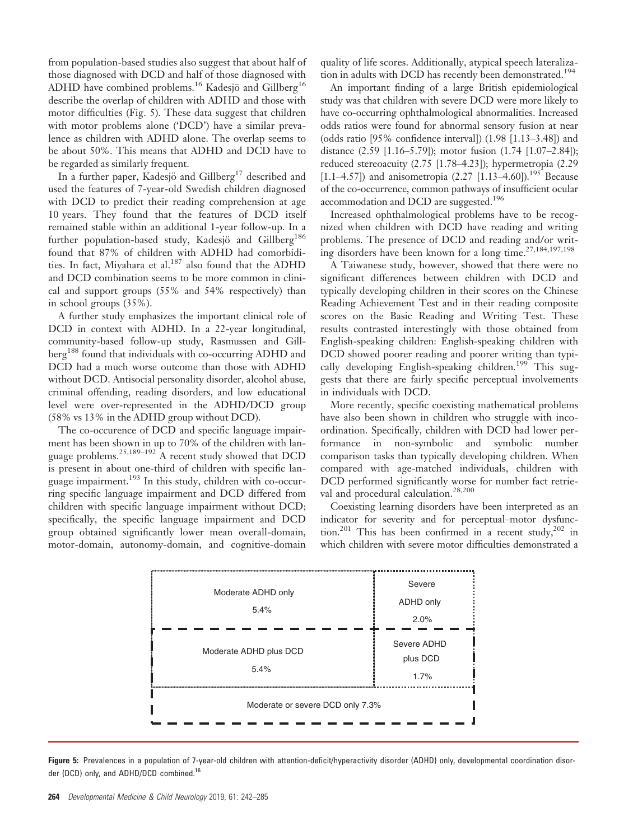from population-based studies also suggest that about half of those diagnosed with DCD and half of those diagnosed with ADHD have combined problems.<sup>16</sup> Kadesjö and Gillberg<sup>16</sup> describe the overlap of children with ADHD and those with motor difficulties (Fig. 5). These data suggest that children with motor problems alone ('DCD') have a similar prevalence as children with ADHD alone. The overlap seems to be about 50%. This means that ADHD and DCD have to be regarded as similarly frequent.

In a further paper, Kadesjö and Gillberg<sup>17</sup> described and used the features of 7-year-old Swedish children diagnosed with DCD to predict their reading comprehension at age 10 years. They found that the features of DCD itself remained stable within an additional 1-year follow-up. In a further population-based study, Kadesjö and Gillberg<sup>186</sup> found that 87% of children with ADHD had comorbidities. In fact, Miyahara et al.<sup>187</sup> also found that the ADHD and DCD combination seems to be more common in clinical and support groups (55% and 54% respectively) than in school groups (35%).

A further study emphasizes the important clinical role of DCD in context with ADHD. In a 22-year longitudinal, community-based follow-up study, Rasmussen and Gillberg<sup>188</sup> found that individuals with co-occurring ADHD and DCD had a much worse outcome than those with ADHD without DCD. Antisocial personality disorder, alcohol abuse, criminal offending, reading disorders, and low educational level were over-represented in the ADHD/DCD group (58% vs 13% in the ADHD group without DCD).

The co-occurence of DCD and specific language impairment has been shown in up to 70% of the children with language problems.<sup>25,189-192</sup> A recent study showed that DCD is present in about one-third of children with specific language impairment.<sup>193</sup> In this study, children with co-occurring specific language impairment and DCD differed from children with specific language impairment without DCD; specifically, the specific language impairment and DCD group obtained significantly lower mean overall-domain, motor-domain, autonomy-domain, and cognitive-domain quality of life scores. Additionally, atypical speech lateralization in adults with DCD has recently been demonstrated.<sup>194</sup>

An important finding of a large British epidemiological study was that children with severe DCD were more likely to have co-occurring ophthalmological abnormalities. Increased odds ratios were found for abnormal sensory fusion at near (odds ratio [95% confidence interval]) (1.98 [1.13–3.48]) and distance (2.59 [1.16–5.79]); motor fusion (1.74 [1.07–2.84]); reduced stereoacuity (2.75 [1.78–4.23]); hypermetropia (2.29 [1.1–4.57]) and anisometropia  $(2.27$  [1.13–4.60]).<sup>195</sup> Because of the co-occurrence, common pathways of insufficient ocular accommodation and DCD are suggested.<sup>196</sup>

Increased ophthalmological problems have to be recognized when children with DCD have reading and writing problems. The presence of DCD and reading and/or writing disorders have been known for a long time.27,184,197,198

A Taiwanese study, however, showed that there were no significant differences between children with DCD and typically developing children in their scores on the Chinese Reading Achievement Test and in their reading composite scores on the Basic Reading and Writing Test. These results contrasted interestingly with those obtained from English-speaking children: English-speaking children with DCD showed poorer reading and poorer writing than typically developing English-speaking children.<sup>199</sup> This suggests that there are fairly specific perceptual involvements in individuals with DCD.

More recently, specific coexisting mathematical problems have also been shown in children who struggle with incoordination. Specifically, children with DCD had lower performance in non-symbolic and symbolic number comparison tasks than typically developing children. When compared with age-matched individuals, children with DCD performed significantly worse for number fact retrieval and procedural calculation.<sup>28,200</sup>

Coexisting learning disorders have been interpreted as an indicator for severity and for perceptual–motor dysfunction.<sup>201</sup> This has been confirmed in a recent study,<sup>202</sup> in which children with severe motor difficulties demonstrated a



Figure 5: Prevalences in a population of 7-year-old children with attention-deficit/hyperactivity disorder (ADHD) only, developmental coordination disorder (DCD) only, and ADHD/DCD combined.<sup>16</sup>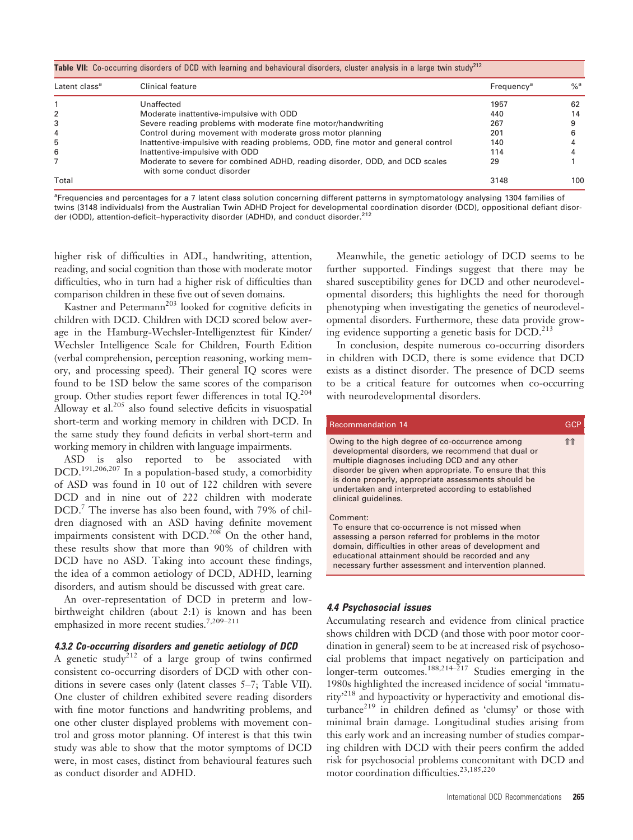Table VII: Co-occurring disorders of DCD with learning and behavioural disorders, cluster analysis in a large twin study<sup>212</sup>

| Latent class <sup>a</sup> | Clinical feature                                                                                          | Frequency <sup>a</sup> | $\%$ <sup>a</sup> |
|---------------------------|-----------------------------------------------------------------------------------------------------------|------------------------|-------------------|
|                           | Unaffected                                                                                                | 1957                   | 62                |
| 2                         | Moderate inattentive-impulsive with ODD                                                                   | 440                    | 14                |
| 3                         | Severe reading problems with moderate fine motor/handwriting                                              | 267                    |                   |
| 4                         | Control during movement with moderate gross motor planning                                                | 201                    |                   |
| 5                         | Inattentive-impulsive with reading problems, ODD, fine motor and general control                          | 140                    |                   |
| 6                         | Inattentive-impulsive with ODD                                                                            | 114                    |                   |
|                           | Moderate to severe for combined ADHD, reading disorder, ODD, and DCD scales<br>with some conduct disorder | 29                     |                   |
| Total                     |                                                                                                           | 3148                   | 100               |

<sup>a</sup>Frequencies and percentages for a 7 latent class solution concerning different patterns in symptomatology analysing 1304 families of twins (3148 individuals) from the Australian Twin ADHD Project for developmental coordination disorder (DCD), oppositional defiant disorder (ODD), attention-deficit-hyperactivity disorder (ADHD), and conduct disorder.<sup>212</sup>

higher risk of difficulties in ADL, handwriting, attention, reading, and social cognition than those with moderate motor difficulties, who in turn had a higher risk of difficulties than comparison children in these five out of seven domains.

Kastner and Petermann<sup>203</sup> looked for cognitive deficits in children with DCD. Children with DCD scored below average in the Hamburg-Wechsler-Intelligenztest für Kinder/ Wechsler Intelligence Scale for Children, Fourth Edition (verbal comprehension, perception reasoning, working memory, and processing speed). Their general IQ scores were found to be 1SD below the same scores of the comparison group. Other studies report fewer differences in total  $IQ.^{204}$ Alloway et al.205 also found selective deficits in visuospatial short-term and working memory in children with DCD. In the same study they found deficits in verbal short-term and working memory in children with language impairments.

ASD is also reported to be associated with DCD.191,206,207 In a population-based study, a comorbidity of ASD was found in 10 out of 122 children with severe DCD and in nine out of 222 children with moderate DCD.<sup>7</sup> The inverse has also been found, with 79% of children diagnosed with an ASD having definite movement impairments consistent with DCD.<sup>208</sup> On the other hand, these results show that more than 90% of children with DCD have no ASD. Taking into account these findings, the idea of a common aetiology of DCD, ADHD, learning disorders, and autism should be discussed with great care.

An over-representation of DCD in preterm and lowbirthweight children (about 2:1) is known and has been emphasized in more recent studies.<sup>7,209-211</sup>

#### 4.3.2 Co-occurring disorders and genetic aetiology of DCD

A genetic study<sup>212</sup> of a large group of twins confirmed consistent co-occurring disorders of DCD with other conditions in severe cases only (latent classes 5–7; Table VII). One cluster of children exhibited severe reading disorders with fine motor functions and handwriting problems, and one other cluster displayed problems with movement control and gross motor planning. Of interest is that this twin study was able to show that the motor symptoms of DCD were, in most cases, distinct from behavioural features such as conduct disorder and ADHD.

Meanwhile, the genetic aetiology of DCD seems to be further supported. Findings suggest that there may be shared susceptibility genes for DCD and other neurodevelopmental disorders; this highlights the need for thorough phenotyping when investigating the genetics of neurodevelopmental disorders. Furthermore, these data provide growing evidence supporting a genetic basis for DCD.<sup>213</sup>

In conclusion, despite numerous co-occurring disorders in children with DCD, there is some evidence that DCD exists as a distinct disorder. The presence of DCD seems to be a critical feature for outcomes when co-occurring with neurodevelopmental disorders.

| <b>Recommendation 14</b>                                                                                                                                                                                                                                                                                                                                 | GCP |
|----------------------------------------------------------------------------------------------------------------------------------------------------------------------------------------------------------------------------------------------------------------------------------------------------------------------------------------------------------|-----|
| Owing to the high degree of co-occurrence among<br>developmental disorders, we recommend that dual or<br>multiple diagnoses including DCD and any other<br>disorder be given when appropriate. To ensure that this<br>is done properly, appropriate assessments should be<br>undertaken and interpreted according to established<br>clinical quidelines. | 介介  |
| Comment:<br>To ensure that co-occurrence is not missed when<br>assessing a person referred for problems in the motor<br>domain, difficulties in other areas of development and<br>educational attainment should be recorded and any<br>necessary further assessment and intervention planned.                                                            |     |

#### 4.4 Psychosocial issues

Accumulating research and evidence from clinical practice shows children with DCD (and those with poor motor coordination in general) seem to be at increased risk of psychosocial problems that impact negatively on participation and longer-term outcomes.<sup>188,214–217</sup> Studies emerging in the 1980s highlighted the increased incidence of social 'immaturity'218 and hypoactivity or hyperactivity and emotional disturbance $^{219}$  in children defined as 'clumsy' or those with minimal brain damage. Longitudinal studies arising from this early work and an increasing number of studies comparing children with DCD with their peers confirm the added risk for psychosocial problems concomitant with DCD and motor coordination difficulties.<sup>23,185,220</sup>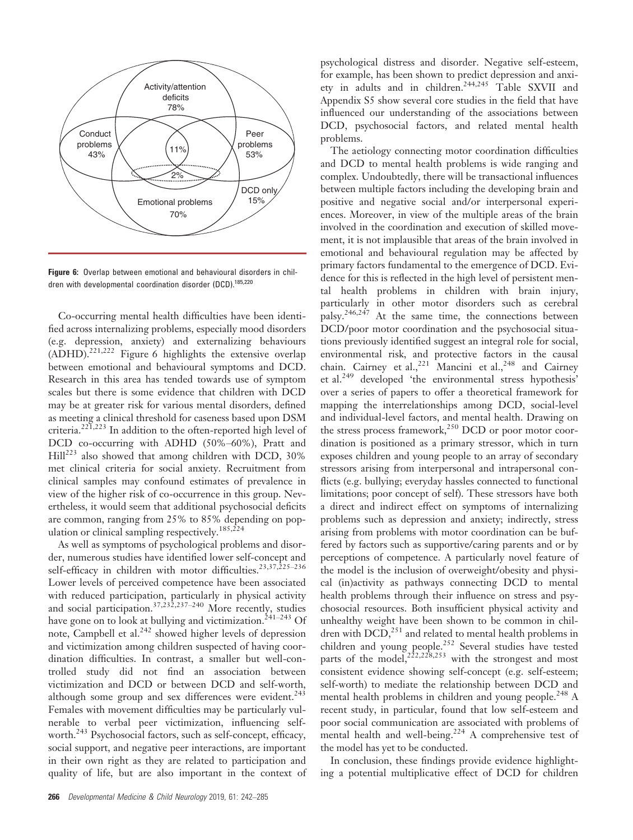

Figure 6: Overlap between emotional and behavioural disorders in children with developmental coordination disorder (DCD).<sup>185,220</sup>

Co-occurring mental health difficulties have been identified across internalizing problems, especially mood disorders (e.g. depression, anxiety) and externalizing behaviours  $(ADHD)$ .<sup>221,222</sup> Figure 6 highlights the extensive overlap between emotional and behavioural symptoms and DCD. Research in this area has tended towards use of symptom scales but there is some evidence that children with DCD may be at greater risk for various mental disorders, defined as meeting a clinical threshold for caseness based upon DSM criteria.<sup>221,223</sup> In addition to the often-reported high level of DCD co-occurring with ADHD (50%–60%), Pratt and Hill<sup>223</sup> also showed that among children with DCD, 30% met clinical criteria for social anxiety. Recruitment from clinical samples may confound estimates of prevalence in view of the higher risk of co-occurrence in this group. Nevertheless, it would seem that additional psychosocial deficits are common, ranging from 25% to 85% depending on population or clinical sampling respectively.<sup>185,224</sup>

As well as symptoms of psychological problems and disorder, numerous studies have identified lower self-concept and self-efficacy in children with motor difficulties.<sup>23,37,225-236</sup> Lower levels of perceived competence have been associated with reduced participation, particularly in physical activity and social participation.<sup>37,232,237-240</sup> More recently, studies have gone on to look at bullying and victimization.<sup>241–243</sup> Of note, Campbell et al.<sup>242</sup> showed higher levels of depression and victimization among children suspected of having coordination difficulties. In contrast, a smaller but well-controlled study did not find an association between victimization and DCD or between DCD and self-worth, although some group and sex differences were evident.<sup>243</sup> Females with movement difficulties may be particularly vulnerable to verbal peer victimization, influencing selfworth.<sup>243</sup> Psychosocial factors, such as self-concept, efficacy, social support, and negative peer interactions, are important in their own right as they are related to participation and quality of life, but are also important in the context of psychological distress and disorder. Negative self-esteem, for example, has been shown to predict depression and anxiety in adults and in children.<sup>244,245</sup> Table SXVII and Appendix S5 show several core studies in the field that have influenced our understanding of the associations between DCD, psychosocial factors, and related mental health problems.

The aetiology connecting motor coordination difficulties and DCD to mental health problems is wide ranging and complex. Undoubtedly, there will be transactional influences between multiple factors including the developing brain and positive and negative social and/or interpersonal experiences. Moreover, in view of the multiple areas of the brain involved in the coordination and execution of skilled movement, it is not implausible that areas of the brain involved in emotional and behavioural regulation may be affected by primary factors fundamental to the emergence of DCD. Evidence for this is reflected in the high level of persistent mental health problems in children with brain injury, particularly in other motor disorders such as cerebral palsy.<sup>246,247</sup> At the same time, the connections between DCD/poor motor coordination and the psychosocial situations previously identified suggest an integral role for social, environmental risk, and protective factors in the causal chain. Cairney et al.,<sup>221</sup> Mancini et al.,<sup>248</sup> and Cairney et al.<sup>249</sup> developed 'the environmental stress hypothesis' over a series of papers to offer a theoretical framework for mapping the interrelationships among DCD, social-level and individual-level factors, and mental health. Drawing on the stress process framework, $250$  DCD or poor motor coordination is positioned as a primary stressor, which in turn exposes children and young people to an array of secondary stressors arising from interpersonal and intrapersonal conflicts (e.g. bullying; everyday hassles connected to functional limitations; poor concept of self). These stressors have both a direct and indirect effect on symptoms of internalizing problems such as depression and anxiety; indirectly, stress arising from problems with motor coordination can be buffered by factors such as supportive/caring parents and or by perceptions of competence. A particularly novel feature of the model is the inclusion of overweight/obesity and physical (in)activity as pathways connecting DCD to mental health problems through their influence on stress and psychosocial resources. Both insufficient physical activity and unhealthy weight have been shown to be common in children with  $DCD<sub>1</sub><sup>251</sup>$  and related to mental health problems in children and young people.<sup>252</sup> Several studies have tested parts of the model,<sup>222,228,253</sup> with the strongest and most consistent evidence showing self-concept (e.g. self-esteem; self-worth) to mediate the relationship between DCD and mental health problems in children and young people.<sup>248</sup> A recent study, in particular, found that low self-esteem and poor social communication are associated with problems of mental health and well-being.<sup>224</sup> A comprehensive test of the model has yet to be conducted.

In conclusion, these findings provide evidence highlighting a potential multiplicative effect of DCD for children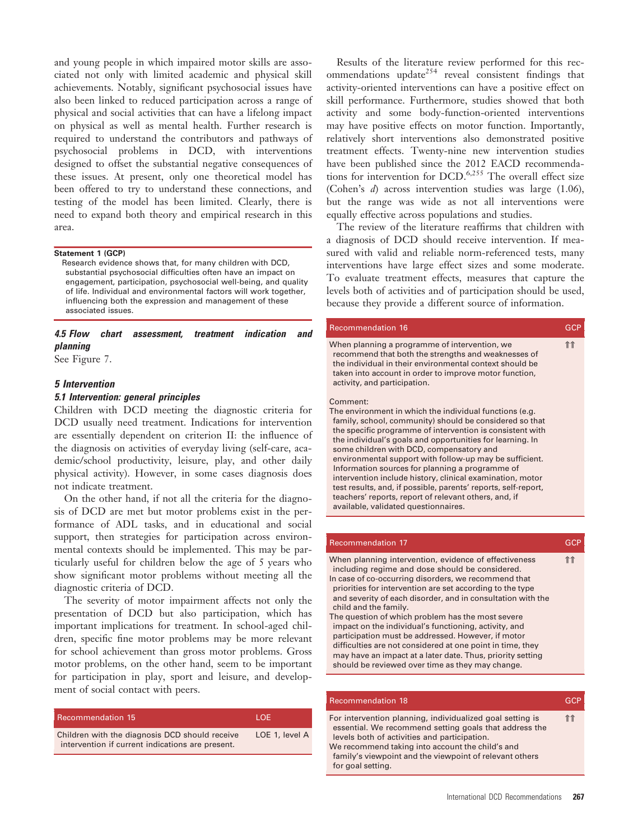and young people in which impaired motor skills are associated not only with limited academic and physical skill achievements. Notably, significant psychosocial issues have also been linked to reduced participation across a range of physical and social activities that can have a lifelong impact on physical as well as mental health. Further research is required to understand the contributors and pathways of psychosocial problems in DCD, with interventions designed to offset the substantial negative consequences of these issues. At present, only one theoretical model has been offered to try to understand these connections, and testing of the model has been limited. Clearly, there is need to expand both theory and empirical research in this area.

#### Statement 1 (GCP)

Research evidence shows that, for many children with DCD, substantial psychosocial difficulties often have an impact on engagement, participation, psychosocial well-being, and quality of life. Individual and environmental factors will work together, influencing both the expression and management of these associated issues.

4.5 Flow chart assessment, treatment indication and planning

See Figure 7.

# 5 Intervention

#### 5.1 Intervention: general principles

Children with DCD meeting the diagnostic criteria for DCD usually need treatment. Indications for intervention are essentially dependent on criterion II: the influence of the diagnosis on activities of everyday living (self-care, academic/school productivity, leisure, play, and other daily physical activity). However, in some cases diagnosis does not indicate treatment.

On the other hand, if not all the criteria for the diagnosis of DCD are met but motor problems exist in the performance of ADL tasks, and in educational and social support, then strategies for participation across environmental contexts should be implemented. This may be particularly useful for children below the age of 5 years who show significant motor problems without meeting all the diagnostic criteria of DCD.

The severity of motor impairment affects not only the presentation of DCD but also participation, which has important implications for treatment. In school-aged children, specific fine motor problems may be more relevant for school achievement than gross motor problems. Gross motor problems, on the other hand, seem to be important for participation in play, sport and leisure, and development of social contact with peers.

| Recommendation 15                                                                                  | 'I OF.         |
|----------------------------------------------------------------------------------------------------|----------------|
| Children with the diagnosis DCD should receive<br>intervention if current indications are present. | LOE 1, level A |

Results of the literature review performed for this recommendations update $254$  reveal consistent findings that activity-oriented interventions can have a positive effect on skill performance. Furthermore, studies showed that both activity and some body-function-oriented interventions may have positive effects on motor function. Importantly, relatively short interventions also demonstrated positive treatment effects. Twenty-nine new intervention studies have been published since the 2012 EACD recommendations for intervention for DCD. $6,255$  The overall effect size (Cohen's d) across intervention studies was large (1.06), but the range was wide as not all interventions were equally effective across populations and studies.

The review of the literature reaffirms that children with a diagnosis of DCD should receive intervention. If measured with valid and reliable norm-referenced tests, many interventions have large effect sizes and some moderate. To evaluate treatment effects, measures that capture the levels both of activities and of participation should be used, because they provide a different source of information.

| <b>Recommendation 16</b>                                                                                                                                                                                                                                  | GCP |
|-----------------------------------------------------------------------------------------------------------------------------------------------------------------------------------------------------------------------------------------------------------|-----|
| When planning a programme of intervention, we<br>recommend that both the strengths and weaknesses of<br>the individual in their environmental context should be<br>taken into account in order to improve motor function,<br>activity, and participation. | 介介  |
| Comment:                                                                                                                                                                                                                                                  |     |
| The environment in which the individual functions (e.g.                                                                                                                                                                                                   |     |
| family, school, community) should be considered so that                                                                                                                                                                                                   |     |
| the specific programme of intervention is consistent with<br>the individual's goals and opportunities for learning. In                                                                                                                                    |     |
| some children with DCD, compensatory and                                                                                                                                                                                                                  |     |
| environmental support with follow-up may be sufficient.                                                                                                                                                                                                   |     |
| Information sources for planning a programme of                                                                                                                                                                                                           |     |
| intervention include history, clinical examination, motor                                                                                                                                                                                                 |     |
| test results, and, if possible, parents' reports, self-report,                                                                                                                                                                                            |     |
| teachers' reports, report of relevant others, and, if<br>available, validated questionnaires.                                                                                                                                                             |     |
|                                                                                                                                                                                                                                                           |     |

#### Recommendation 17 GCP CONTENTS OF THE RECOMMENDATION OF THE RECOMMENDATION OF THE RECOMMENDATION OF THE RECOMMENDATION OF THE RECOMMENDATION OF THE RECOMMENDATION OF THE RECOMMENDATION OF THE RECOMMENDATION OF THE RECOMMEN When planning intervention, evidence of effectiveness including regime and dose should be considered. In case of co-occurring disorders, we recommend that priorities for intervention are set according to the type and severity of each disorder, and in consultation with the child and the family. The question of which problem has the most severe impact on the individual's functioning, activity, and participation must be addressed. However, if motor difficulties are not considered at one point in time, they may have an impact at a later date. Thus, priority setting should be reviewed over time as they may change. ⇑⇑

| <b>Recommendation 18</b>                                                                                                                                                                                                                                                                                | GCF |
|---------------------------------------------------------------------------------------------------------------------------------------------------------------------------------------------------------------------------------------------------------------------------------------------------------|-----|
| For intervention planning, individualized goal setting is<br>essential. We recommend setting goals that address the<br>levels both of activities and participation.<br>We recommend taking into account the child's and<br>family's viewpoint and the viewpoint of relevant others<br>for goal setting. | 介介  |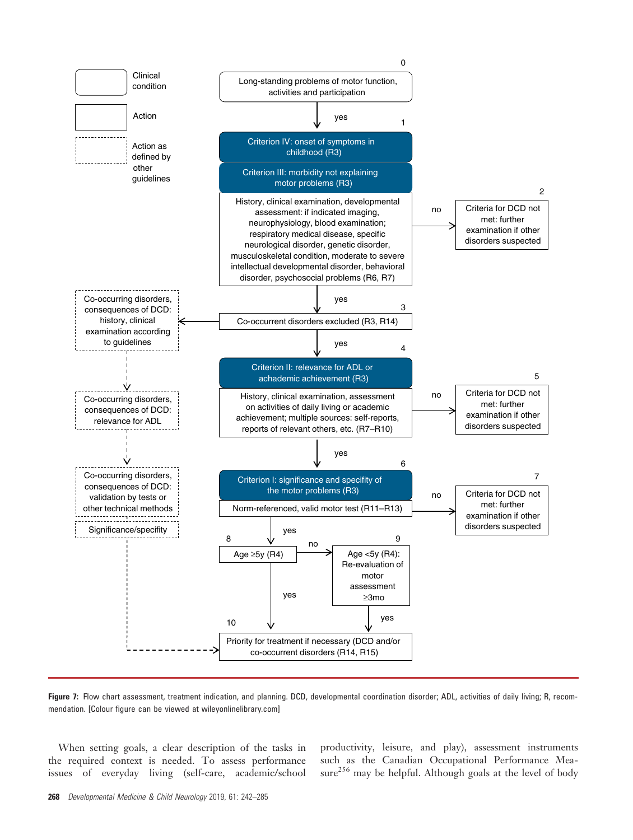

Figure 7: Flow chart assessment, treatment indication, and planning. DCD, developmental coordination disorder; ADL, activities of daily living; R, recommendation. [Colour figure can be viewed at wileyonlinelibrary.com]

When setting goals, a clear description of the tasks in the required context is needed. To assess performance issues of everyday living (self-care, academic/school

productivity, leisure, and play), assessment instruments such as the Canadian Occupational Performance Measure<sup>256</sup> may be helpful. Although goals at the level of body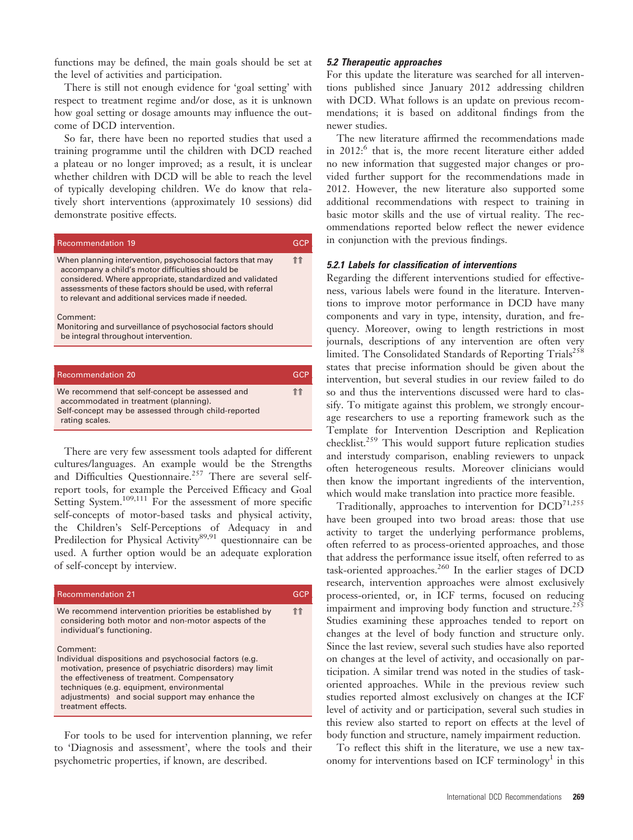functions may be defined, the main goals should be set at the level of activities and participation.

There is still not enough evidence for 'goal setting' with respect to treatment regime and/or dose, as it is unknown how goal setting or dosage amounts may influence the outcome of DCD intervention.

So far, there have been no reported studies that used a training programme until the children with DCD reached a plateau or no longer improved; as a result, it is unclear whether children with DCD will be able to reach the level of typically developing children. We do know that relatively short interventions (approximately 10 sessions) did demonstrate positive effects.

| <b>Recommendation 19</b>                                                                                                                                                                                                                                                                                                                                                                                          | GCP |
|-------------------------------------------------------------------------------------------------------------------------------------------------------------------------------------------------------------------------------------------------------------------------------------------------------------------------------------------------------------------------------------------------------------------|-----|
| When planning intervention, psychosocial factors that may<br>accompany a child's motor difficulties should be<br>considered. Where appropriate, standardized and validated<br>assessments of these factors should be used, with referral<br>to relevant and additional services made if needed.<br>Comment:<br>Monitoring and surveillance of psychosocial factors should<br>be integral throughout intervention. | 介介  |
|                                                                                                                                                                                                                                                                                                                                                                                                                   |     |
| <b>Recommendation 20</b>                                                                                                                                                                                                                                                                                                                                                                                          | GCP |
| We recommend that self-concept be assessed and<br>accommodated in treatment (planning).                                                                                                                                                                                                                                                                                                                           | ⇑⇑  |

Self-concept may be assessed through child-reported rating scales.

There are very few assessment tools adapted for different cultures/languages. An example would be the Strengths and Difficulties Questionnaire.<sup>257</sup> There are several selfreport tools, for example the Perceived Efficacy and Goal Setting System.<sup>109,111</sup> For the assessment of more specific self-concepts of motor-based tasks and physical activity, the Children's Self-Perceptions of Adequacy in and Predilection for Physical Activity<sup>89,91</sup> questionnaire can be used. A further option would be an adequate exploration of self-concept by interview.



For tools to be used for intervention planning, we refer to 'Diagnosis and assessment', where the tools and their psychometric properties, if known, are described.

#### 5.2 Therapeutic approaches

For this update the literature was searched for all interventions published since January 2012 addressing children with DCD. What follows is an update on previous recommendations; it is based on additonal findings from the newer studies.

The new literature affirmed the recommendations made in 2012:<sup>6</sup> that is, the more recent literature either added no new information that suggested major changes or provided further support for the recommendations made in 2012. However, the new literature also supported some additional recommendations with respect to training in basic motor skills and the use of virtual reality. The recommendations reported below reflect the newer evidence in conjunction with the previous findings.

#### 5.2.1 Labels for classification of interventions

Regarding the different interventions studied for effectiveness, various labels were found in the literature. Interventions to improve motor performance in DCD have many components and vary in type, intensity, duration, and frequency. Moreover, owing to length restrictions in most journals, descriptions of any intervention are often very limited. The Consolidated Standards of Reporting Trials<sup>258</sup> states that precise information should be given about the intervention, but several studies in our review failed to do so and thus the interventions discussed were hard to classify. To mitigate against this problem, we strongly encourage researchers to use a reporting framework such as the Template for Intervention Description and Replication checklist.<sup>259</sup> This would support future replication studies and interstudy comparison, enabling reviewers to unpack often heterogeneous results. Moreover clinicians would then know the important ingredients of the intervention, which would make translation into practice more feasible.

Traditionally, approaches to intervention for DCD<sup>71,255</sup> have been grouped into two broad areas: those that use activity to target the underlying performance problems, often referred to as process-oriented approaches, and those that address the performance issue itself, often referred to as task-oriented approaches.<sup>260</sup> In the earlier stages of DCD research, intervention approaches were almost exclusively process-oriented, or, in ICF terms, focused on reducing impairment and improving body function and structure.<sup>255</sup> Studies examining these approaches tended to report on changes at the level of body function and structure only. Since the last review, several such studies have also reported on changes at the level of activity, and occasionally on participation. A similar trend was noted in the studies of taskoriented approaches. While in the previous review such studies reported almost exclusively on changes at the ICF level of activity and or participation, several such studies in this review also started to report on effects at the level of body function and structure, namely impairment reduction.

To reflect this shift in the literature, we use a new taxonomy for interventions based on ICF terminology<sup>1</sup> in this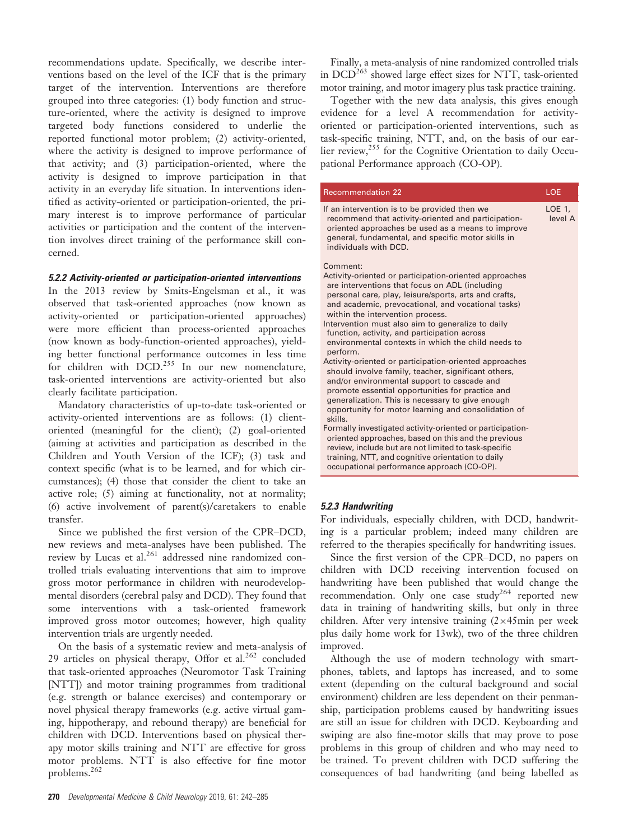recommendations update. Specifically, we describe interventions based on the level of the ICF that is the primary target of the intervention. Interventions are therefore grouped into three categories: (1) body function and structure-oriented, where the activity is designed to improve targeted body functions considered to underlie the reported functional motor problem; (2) activity-oriented, where the activity is designed to improve performance of that activity; and (3) participation-oriented, where the activity is designed to improve participation in that activity in an everyday life situation. In interventions identified as activity-oriented or participation-oriented, the primary interest is to improve performance of particular activities or participation and the content of the intervention involves direct training of the performance skill concerned.

# 5.2.2 Activity-oriented or participation-oriented interventions

In the 2013 review by Smits-Engelsman et al., it was observed that task-oriented approaches (now known as activity-oriented or participation-oriented approaches) were more efficient than process-oriented approaches (now known as body-function-oriented approaches), yielding better functional performance outcomes in less time for children with  $DCD<sup>255</sup>$  In our new nomenclature, task-oriented interventions are activity-oriented but also clearly facilitate participation.

Mandatory characteristics of up-to-date task-oriented or activity-oriented interventions are as follows: (1) clientoriented (meaningful for the client); (2) goal-oriented (aiming at activities and participation as described in the Children and Youth Version of the ICF); (3) task and context specific (what is to be learned, and for which circumstances); (4) those that consider the client to take an active role; (5) aiming at functionality, not at normality; (6) active involvement of parent(s)/caretakers to enable transfer.

Since we published the first version of the CPR–DCD, new reviews and meta-analyses have been published. The review by Lucas et al.<sup>261</sup> addressed nine randomized controlled trials evaluating interventions that aim to improve gross motor performance in children with neurodevelopmental disorders (cerebral palsy and DCD). They found that some interventions with a task-oriented framework improved gross motor outcomes; however, high quality intervention trials are urgently needed.

On the basis of a systematic review and meta-analysis of 29 articles on physical therapy, Offor et al.<sup>262</sup> concluded that task-oriented approaches (Neuromotor Task Training [NTT]) and motor training programmes from traditional (e.g. strength or balance exercises) and contemporary or novel physical therapy frameworks (e.g. active virtual gaming, hippotherapy, and rebound therapy) are beneficial for children with DCD. Interventions based on physical therapy motor skills training and NTT are effective for gross motor problems. NTT is also effective for fine motor problems.<sup>262</sup>

270 Developmental Medicine & Child Neurology 2019, 61: 242–285

Finally, a meta-analysis of nine randomized controlled trials in DCD<sup>263</sup> showed large effect sizes for NTT, task-oriented motor training, and motor imagery plus task practice training.

Together with the new data analysis, this gives enough evidence for a level A recommendation for activityoriented or participation-oriented interventions, such as task-specific training, NTT, and, on the basis of our earlier review, $255$  for the Cognitive Orientation to daily Occupational Performance approach (CO-OP).

| <b>Recommendation 22</b>                                                                                                                                                                                                                                                                                                               | LOE                 |
|----------------------------------------------------------------------------------------------------------------------------------------------------------------------------------------------------------------------------------------------------------------------------------------------------------------------------------------|---------------------|
| If an intervention is to be provided then we<br>recommend that activity-oriented and participation-<br>oriented approaches be used as a means to improve<br>general, fundamental, and specific motor skills in<br>individuals with DCD.                                                                                                | $LOE$ 1.<br>level A |
| Comment:                                                                                                                                                                                                                                                                                                                               |                     |
| Activity-oriented or participation-oriented approaches<br>are interventions that focus on ADL (including<br>personal care, play, leisure/sports, arts and crafts,<br>and academic, prevocational, and vocational tasks)<br>within the intervention process.                                                                            |                     |
| Intervention must also aim to generalize to daily<br>function, activity, and participation across<br>environmental contexts in which the child needs to<br>perform.                                                                                                                                                                    |                     |
| Activity-oriented or participation-oriented approaches<br>should involve family, teacher, significant others,<br>and/or environmental support to cascade and<br>promote essential opportunities for practice and<br>generalization. This is necessary to give enough<br>opportunity for motor learning and consolidation of<br>skills. |                     |
| Formally investigated activity-oriented or participation-<br>oriented approaches, based on this and the previous<br>review, include but are not limited to task-specific<br>training, NTT, and cognitive orientation to daily<br>occupational performance approach (CO-OP).                                                            |                     |

# 5.2.3 Handwriting

For individuals, especially children, with DCD, handwriting is a particular problem; indeed many children are referred to the therapies specifically for handwriting issues.

Since the first version of the CPR–DCD, no papers on children with DCD receiving intervention focused on handwriting have been published that would change the recommendation. Only one case study<sup>264</sup> reported new data in training of handwriting skills, but only in three children. After very intensive training  $(2\times45)$ min per week plus daily home work for 13wk), two of the three children improved.

Although the use of modern technology with smartphones, tablets, and laptops has increased, and to some extent (depending on the cultural background and social environment) children are less dependent on their penmanship, participation problems caused by handwriting issues are still an issue for children with DCD. Keyboarding and swiping are also fine-motor skills that may prove to pose problems in this group of children and who may need to be trained. To prevent children with DCD suffering the consequences of bad handwriting (and being labelled as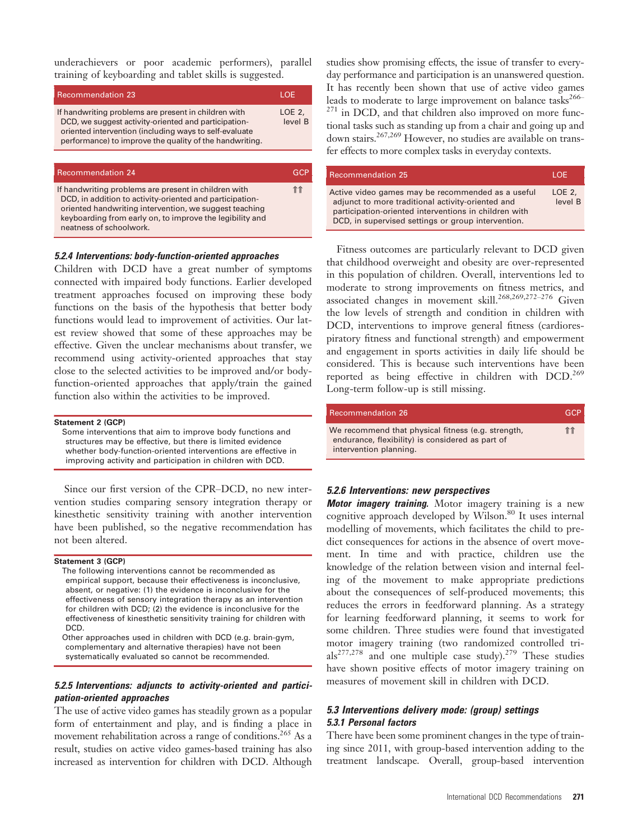underachievers or poor academic performers), parallel training of keyboarding and tablet skills is suggested.

| <b>Recommendation 23</b>                                                                                                                                                                                                          | LOE               |
|-----------------------------------------------------------------------------------------------------------------------------------------------------------------------------------------------------------------------------------|-------------------|
| If handwriting problems are present in children with<br>DCD, we suggest activity-oriented and participation-<br>oriented intervention (including ways to self-evaluate<br>performance) to improve the quality of the handwriting. | LOE 2,<br>level B |
| <b>Recommendation 24</b>                                                                                                                                                                                                          | GCP               |
| If handwriting problems are present in children with<br>DCD, in addition to activity-oriented and participation-<br>oriented handwriting intervention, we suggest teaching                                                        | ⇑⇑                |

keyboarding from early on, to improve the legibility and neatness of schoolwork.

#### 5.2.4 Interventions: body-function-oriented approaches

Children with DCD have a great number of symptoms connected with impaired body functions. Earlier developed treatment approaches focused on improving these body functions on the basis of the hypothesis that better body functions would lead to improvement of activities. Our latest review showed that some of these approaches may be effective. Given the unclear mechanisms about transfer, we recommend using activity-oriented approaches that stay close to the selected activities to be improved and/or bodyfunction-oriented approaches that apply/train the gained function also within the activities to be improved.

#### Statement 2 (GCP)

Some interventions that aim to improve body functions and structures may be effective, but there is limited evidence whether body-function-oriented interventions are effective in improving activity and participation in children with DCD.

Since our first version of the CPR–DCD, no new intervention studies comparing sensory integration therapy or kinesthetic sensitivity training with another intervention have been published, so the negative recommendation has not been altered.

#### Statement 3 (GCP)

The following interventions cannot be recommended as empirical support, because their effectiveness is inconclusive, absent, or negative: (1) the evidence is inconclusive for the effectiveness of sensory integration therapy as an intervention for children with DCD; (2) the evidence is inconclusive for the effectiveness of kinesthetic sensitivity training for children with DCD.

Other approaches used in children with DCD (e.g. brain-gym, complementary and alternative therapies) have not been systematically evaluated so cannot be recommended.

# 5.2.5 Interventions: adjuncts to activity-oriented and participation-oriented approaches

The use of active video games has steadily grown as a popular form of entertainment and play, and is finding a place in movement rehabilitation across a range of conditions.<sup>265</sup> As a result, studies on active video games-based training has also increased as intervention for children with DCD. Although studies show promising effects, the issue of transfer to everyday performance and participation is an unanswered question. It has recently been shown that use of active video games leads to moderate to large improvement on balance tasks $^{266-}$  $271$  in DCD, and that children also improved on more functional tasks such as standing up from a chair and going up and down stairs.267,269 However, no studies are available on transfer effects to more complex tasks in everyday contexts.

| <b>Recommendation 25</b>                                                                                                                                                                                              | LOE.              |
|-----------------------------------------------------------------------------------------------------------------------------------------------------------------------------------------------------------------------|-------------------|
| Active video games may be recommended as a useful<br>adjunct to more traditional activity-oriented and<br>participation-oriented interventions in children with<br>DCD, in supervised settings or group intervention. | LOE 2.<br>level B |

Fitness outcomes are particularly relevant to DCD given that childhood overweight and obesity are over-represented in this population of children. Overall, interventions led to moderate to strong improvements on fitness metrics, and associated changes in movement skill.<sup>268,269,272-276</sup> Given the low levels of strength and condition in children with DCD, interventions to improve general fitness (cardiorespiratory fitness and functional strength) and empowerment and engagement in sports activities in daily life should be considered. This is because such interventions have been reported as being effective in children with DCD.<sup>269</sup> Long-term follow-up is still missing.

| <b>Recommendation 26</b>                                                                                                         | GCP |
|----------------------------------------------------------------------------------------------------------------------------------|-----|
| We recommend that physical fitness (e.g. strength,<br>endurance, flexibility) is considered as part of<br>intervention planning. | 介介  |

# 5.2.6 Interventions: new perspectives

Motor imagery training. Motor imagery training is a new cognitive approach developed by Wilson.<sup>80</sup> It uses internal modelling of movements, which facilitates the child to predict consequences for actions in the absence of overt movement. In time and with practice, children use the knowledge of the relation between vision and internal feeling of the movement to make appropriate predictions about the consequences of self-produced movements; this reduces the errors in feedforward planning. As a strategy for learning feedforward planning, it seems to work for some children. Three studies were found that investigated motor imagery training (two randomized controlled trials<sup>277,278</sup> and one multiple case study).<sup>279</sup> These studies have shown positive effects of motor imagery training on measures of movement skill in children with DCD.

# 5.3 Interventions delivery mode: (group) settings 5.3.1 Personal factors

There have been some prominent changes in the type of training since 2011, with group-based intervention adding to the treatment landscape. Overall, group-based intervention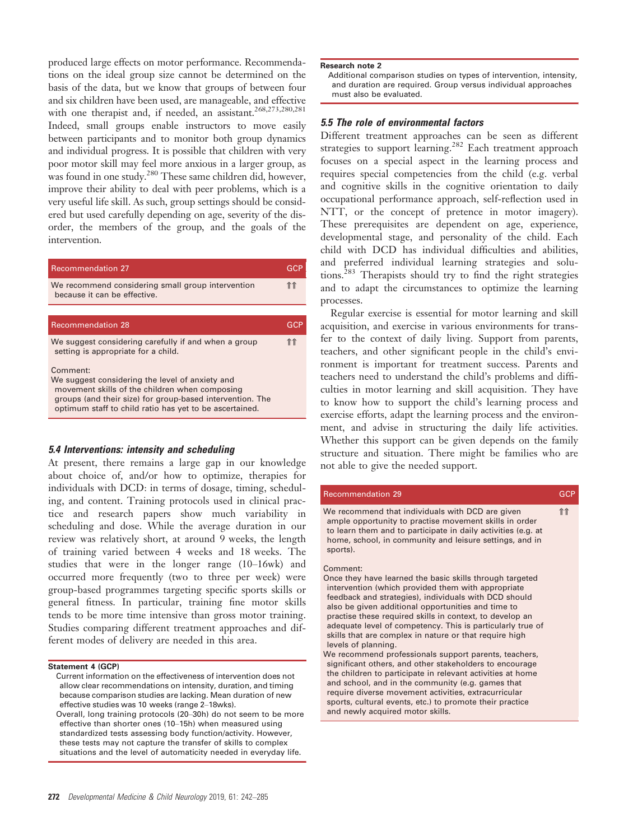produced large effects on motor performance. Recommendations on the ideal group size cannot be determined on the basis of the data, but we know that groups of between four and six children have been used, are manageable, and effective with one therapist and, if needed, an assistant.<sup>268,273,280,281</sup> Indeed, small groups enable instructors to move easily between participants and to monitor both group dynamics and individual progress. It is possible that children with very poor motor skill may feel more anxious in a larger group, as was found in one study.<sup>280</sup> These same children did, however, improve their ability to deal with peer problems, which is a very useful life skill. As such, group settings should be considered but used carefully depending on age, severity of the disorder, the members of the group, and the goals of the intervention.

| <b>Recommendation 27</b>                                                                                                                                                                                                              | GCP |
|---------------------------------------------------------------------------------------------------------------------------------------------------------------------------------------------------------------------------------------|-----|
| We recommend considering small group intervention<br>because it can be effective.                                                                                                                                                     | ⇑⇑  |
|                                                                                                                                                                                                                                       |     |
| <b>Recommendation 28</b>                                                                                                                                                                                                              | GCP |
| We suggest considering carefully if and when a group<br>setting is appropriate for a child.                                                                                                                                           |     |
| Comment:<br>We suggest considering the level of anxiety and<br>movement skills of the children when composing<br>groups (and their size) for group-based intervention. The<br>optimum staff to child ratio has yet to be ascertained. |     |
|                                                                                                                                                                                                                                       |     |

# 5.4 Interventions: intensity and scheduling

At present, there remains a large gap in our knowledge about choice of, and/or how to optimize, therapies for individuals with DCD: in terms of dosage, timing, scheduling, and content. Training protocols used in clinical practice and research papers show much variability in scheduling and dose. While the average duration in our review was relatively short, at around 9 weeks, the length of training varied between 4 weeks and 18 weeks. The studies that were in the longer range (10–16wk) and occurred more frequently (two to three per week) were group-based programmes targeting specific sports skills or general fitness. In particular, training fine motor skills tends to be more time intensive than gross motor training. Studies comparing different treatment approaches and different modes of delivery are needed in this area.

#### Statement 4 (GCP)

Current information on the effectiveness of intervention does not allow clear recommendations on intensity, duration, and timing because comparison studies are lacking. Mean duration of new effective studies was 10 weeks (range 2–18wks).

#### Research note 2

Additional comparison studies on types of intervention, intensity, and duration are required. Group versus individual approaches must also be evaluated.

# 5.5 The role of environmental factors

Different treatment approaches can be seen as different strategies to support learning.<sup>282</sup> Each treatment approach focuses on a special aspect in the learning process and requires special competencies from the child (e.g. verbal and cognitive skills in the cognitive orientation to daily occupational performance approach, self-reflection used in NTT, or the concept of pretence in motor imagery). These prerequisites are dependent on age, experience, developmental stage, and personality of the child. Each child with DCD has individual difficulties and abilities, and preferred individual learning strategies and solutions.<sup>283</sup> Therapists should try to find the right strategies and to adapt the circumstances to optimize the learning processes.

Regular exercise is essential for motor learning and skill acquisition, and exercise in various environments for transfer to the context of daily living. Support from parents, teachers, and other significant people in the child's environment is important for treatment success. Parents and teachers need to understand the child's problems and difficulties in motor learning and skill acquisition. They have to know how to support the child's learning process and exercise efforts, adapt the learning process and the environment, and advise in structuring the daily life activities. Whether this support can be given depends on the family structure and situation. There might be families who are not able to give the needed support.

| <b>Recommendation 29</b>                                                                                                                                                                                                                           | GCP |
|----------------------------------------------------------------------------------------------------------------------------------------------------------------------------------------------------------------------------------------------------|-----|
| We recommend that individuals with DCD are given<br>ample opportunity to practise movement skills in order<br>to learn them and to participate in daily activities (e.g. at<br>home, school, in community and leisure settings, and in<br>sports). | ⇑⇑  |
| Comment:                                                                                                                                                                                                                                           |     |
| Once they have learned the basic skills through targeted<br>intervention (which provided them with appropriate<br>feedback and strategies), individuals with DCD should                                                                            |     |
| also be given additional opportunities and time to<br>practise these required skills in context, to develop an                                                                                                                                     |     |

adequate level of competency. This is particularly true of skills that are complex in nature or that require high levels of planning. We recommend professionals support parents, teachers,

significant others, and other stakeholders to encourage the children to participate in relevant activities at home and school, and in the community (e.g. games that require diverse movement activities, extracurricular sports, cultural events, etc.) to promote their practice and newly acquired motor skills.

Overall, long training protocols (20–30h) do not seem to be more effective than shorter ones (10–15h) when measured using standardized tests assessing body function/activity. However, these tests may not capture the transfer of skills to complex situations and the level of automaticity needed in everyday life.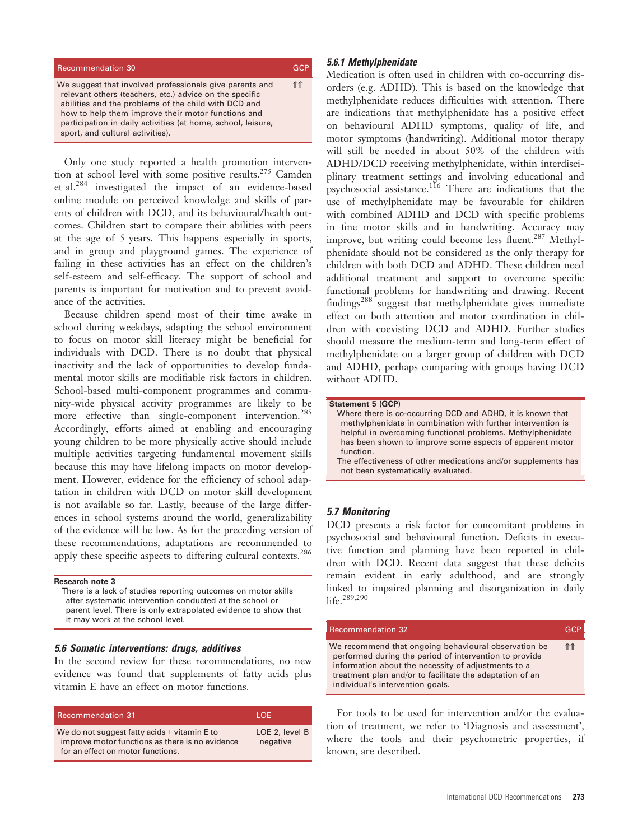| <b>Recommendation 30</b>                                                                                                                                                                                                                                                                                                             |       |
|--------------------------------------------------------------------------------------------------------------------------------------------------------------------------------------------------------------------------------------------------------------------------------------------------------------------------------------|-------|
| We suggest that involved professionals give parents and<br>relevant others (teachers, etc.) advice on the specific<br>abilities and the problems of the child with DCD and<br>how to help them improve their motor functions and<br>participation in daily activities (at home, school, leisure,<br>sport, and cultural activities). | IM 11 |

Only one study reported a health promotion intervention at school level with some positive results.<sup>275</sup> Camden et al.<sup>284</sup> investigated the impact of an evidence-based online module on perceived knowledge and skills of parents of children with DCD, and its behavioural/health outcomes. Children start to compare their abilities with peers at the age of 5 years. This happens especially in sports, and in group and playground games. The experience of failing in these activities has an effect on the children's self-esteem and self-efficacy. The support of school and parents is important for motivation and to prevent avoidance of the activities.

Because children spend most of their time awake in school during weekdays, adapting the school environment to focus on motor skill literacy might be beneficial for individuals with DCD. There is no doubt that physical inactivity and the lack of opportunities to develop fundamental motor skills are modifiable risk factors in children. School-based multi-component programmes and community-wide physical activity programmes are likely to be more effective than single-component intervention.<sup>285</sup> Accordingly, efforts aimed at enabling and encouraging young children to be more physically active should include multiple activities targeting fundamental movement skills because this may have lifelong impacts on motor development. However, evidence for the efficiency of school adaptation in children with DCD on motor skill development is not available so far. Lastly, because of the large differences in school systems around the world, generalizability of the evidence will be low. As for the preceding version of these recommendations, adaptations are recommended to apply these specific aspects to differing cultural contexts.<sup>286</sup>

#### Research note 3

There is a lack of studies reporting outcomes on motor skills after systematic intervention conducted at the school or parent level. There is only extrapolated evidence to show that it may work at the school level.

#### 5.6 Somatic interventions: drugs, additives

In the second review for these recommendations, no new evidence was found that supplements of fatty acids plus vitamin E have an effect on motor functions.

| <b>Recommendation 31</b>                                                                                                               | LOE.                       |
|----------------------------------------------------------------------------------------------------------------------------------------|----------------------------|
| We do not suggest fatty acids $+$ vitamin E to<br>improve motor functions as there is no evidence<br>for an effect on motor functions. | LOE 2, level B<br>negative |

#### 5.6.1 Methylphenidate

Medication is often used in children with co-occurring disorders (e.g. ADHD). This is based on the knowledge that methylphenidate reduces difficulties with attention. There are indications that methylphenidate has a positive effect on behavioural ADHD symptoms, quality of life, and motor symptoms (handwriting). Additional motor therapy will still be needed in about 50% of the children with ADHD/DCD receiving methylphenidate, within interdisciplinary treatment settings and involving educational and psychosocial assistance.<sup>116</sup> There are indications that the use of methylphenidate may be favourable for children with combined ADHD and DCD with specific problems in fine motor skills and in handwriting. Accuracy may improve, but writing could become less fluent.<sup>287</sup> Methylphenidate should not be considered as the only therapy for children with both DCD and ADHD. These children need additional treatment and support to overcome specific functional problems for handwriting and drawing. Recent findings<sup>288</sup> suggest that methylphenidate gives immediate effect on both attention and motor coordination in children with coexisting DCD and ADHD. Further studies should measure the medium-term and long-term effect of methylphenidate on a larger group of children with DCD and ADHD, perhaps comparing with groups having DCD without ADHD.

#### Statement 5 (GCP)

Where there is co-occurring DCD and ADHD, it is known that methylphenidate in combination with further intervention is helpful in overcoming functional problems. Methylphenidate has been shown to improve some aspects of apparent motor function.

The effectiveness of other medications and/or supplements has not been systematically evaluated.

#### 5.7 Monitoring

DCD presents a risk factor for concomitant problems in psychosocial and behavioural function. Deficits in executive function and planning have been reported in children with DCD. Recent data suggest that these deficits remain evident in early adulthood, and are strongly linked to impaired planning and disorganization in daily life.<sup>289,290</sup>

#### Recommendation 32 GCP We recommend that ongoing behavioural observation be performed during the period of intervention to provide information about the necessity of adjustments to a treatment plan and/or to facilitate the adaptation of an individual's intervention goals. ⇑⇑

For tools to be used for intervention and/or the evaluation of treatment, we refer to 'Diagnosis and assessment', where the tools and their psychometric properties, if known, are described.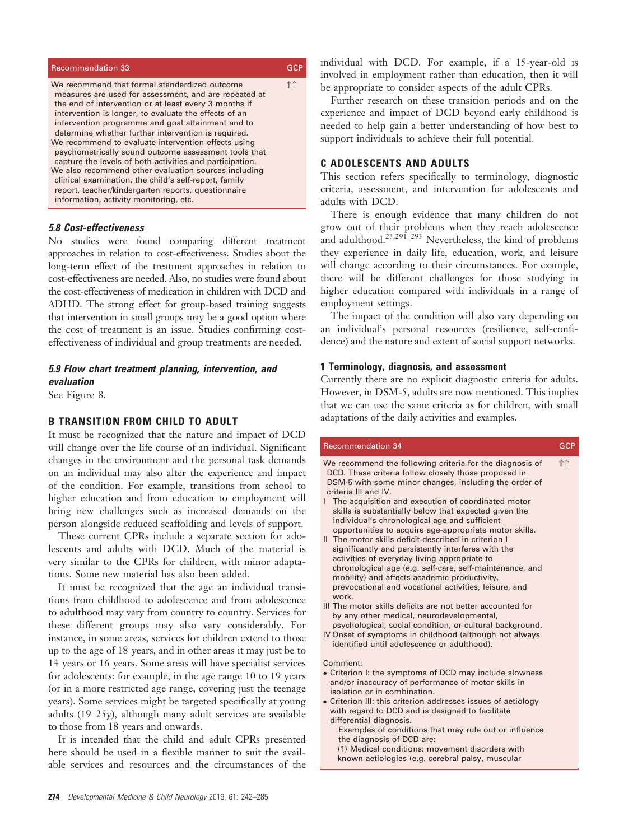| <b>Recommendation 33</b>                                                                                                                                                                                                                                                                                                                                                                                                                                                                                                                                                                                                                                                                                                          |    |
|-----------------------------------------------------------------------------------------------------------------------------------------------------------------------------------------------------------------------------------------------------------------------------------------------------------------------------------------------------------------------------------------------------------------------------------------------------------------------------------------------------------------------------------------------------------------------------------------------------------------------------------------------------------------------------------------------------------------------------------|----|
| We recommend that formal standardized outcome<br>measures are used for assessment, and are repeated at<br>the end of intervention or at least every 3 months if<br>intervention is longer, to evaluate the effects of an<br>intervention programme and goal attainment and to<br>determine whether further intervention is required.<br>We recommend to evaluate intervention effects using<br>psychometrically sound outcome assessment tools that<br>capture the levels of both activities and participation.<br>We also recommend other evaluation sources including<br>clinical examination, the child's self-report, family<br>report, teacher/kindergarten reports, questionnaire<br>information, activity monitoring, etc. | ⇑⇑ |

# 5.8 Cost-effectiveness

No studies were found comparing different treatment approaches in relation to cost-effectiveness. Studies about the long-term effect of the treatment approaches in relation to cost-effectiveness are needed. Also, no studies were found about the cost-effectiveness of medication in children with DCD and ADHD. The strong effect for group-based training suggests that intervention in small groups may be a good option where the cost of treatment is an issue. Studies confirming costeffectiveness of individual and group treatments are needed.

# 5.9 Flow chart treatment planning, intervention, and

evaluation

See Figure 8.

# B TRANSITION FROM CHILD TO ADULT

It must be recognized that the nature and impact of DCD will change over the life course of an individual. Significant changes in the environment and the personal task demands on an individual may also alter the experience and impact of the condition. For example, transitions from school to higher education and from education to employment will bring new challenges such as increased demands on the person alongside reduced scaffolding and levels of support.

These current CPRs include a separate section for adolescents and adults with DCD. Much of the material is very similar to the CPRs for children, with minor adaptations. Some new material has also been added.

It must be recognized that the age an individual transitions from childhood to adolescence and from adolescence to adulthood may vary from country to country. Services for these different groups may also vary considerably. For instance, in some areas, services for children extend to those up to the age of 18 years, and in other areas it may just be to 14 years or 16 years. Some areas will have specialist services for adolescents: for example, in the age range 10 to 19 years (or in a more restricted age range, covering just the teenage years). Some services might be targeted specifically at young adults (19–25y), although many adult services are available to those from 18 years and onwards.

It is intended that the child and adult CPRs presented here should be used in a flexible manner to suit the available services and resources and the circumstances of the

individual with DCD. For example, if a 15-year-old is involved in employment rather than education, then it will be appropriate to consider aspects of the adult CPRs.

Further research on these transition periods and on the experience and impact of DCD beyond early childhood is needed to help gain a better understanding of how best to support individuals to achieve their full potential.

# C ADOLESCENTS AND ADULTS

This section refers specifically to terminology, diagnostic criteria, assessment, and intervention for adolescents and adults with DCD.

There is enough evidence that many children do not grow out of their problems when they reach adolescence and adulthood.<sup>23,291-293</sup> Nevertheless, the kind of problems they experience in daily life, education, work, and leisure will change according to their circumstances. For example, there will be different challenges for those studying in higher education compared with individuals in a range of employment settings.

The impact of the condition will also vary depending on an individual's personal resources (resilience, self-confidence) and the nature and extent of social support networks.

#### 1 Terminology, diagnosis, and assessment

Currently there are no explicit diagnostic criteria for adults. However, in DSM-5, adults are now mentioned. This implies that we can use the same criteria as for children, with small adaptations of the daily activities and examples.

| <b>Recommendation 34</b>                                                                                                                                                                                                                                                                                                                                                                                                                                                                                                                                                                                                                                                                                                                                                  | <b>GCP</b> |
|---------------------------------------------------------------------------------------------------------------------------------------------------------------------------------------------------------------------------------------------------------------------------------------------------------------------------------------------------------------------------------------------------------------------------------------------------------------------------------------------------------------------------------------------------------------------------------------------------------------------------------------------------------------------------------------------------------------------------------------------------------------------------|------------|
| We recommend the following criteria for the diagnosis of<br>DCD. These criteria follow closely those proposed in<br>DSM-5 with some minor changes, including the order of<br>criteria III and IV.<br>1 The acquisition and execution of coordinated motor<br>skills is substantially below that expected given the<br>individual's chronological age and sufficient<br>opportunities to acquire age-appropriate motor skills.<br>Il The motor skills deficit described in criterion I<br>significantly and persistently interferes with the<br>activities of everyday living appropriate to<br>chronological age (e.g. self-care, self-maintenance, and<br>mobility) and affects academic productivity,<br>prevocational and vocational activities, leisure, and<br>work. | 介介         |
| III The motor skills deficits are not better accounted for<br>by any other medical, neurodevelopmental,<br>psychological, social condition, or cultural background.<br>IV Onset of symptoms in childhood (although not always<br>identified until adolescence or adulthood).                                                                                                                                                                                                                                                                                                                                                                                                                                                                                              |            |
| Comment:<br>• Criterion I: the symptoms of DCD may include slowness<br>and/or inaccuracy of performance of motor skills in<br>isolation or in combination.<br>• Criterion III: this criterion addresses issues of aetiology<br>with regard to DCD and is designed to facilitate<br>differential diagnosis.<br>Examples of conditions that may rule out or influence<br>the diagnosis of DCD are:<br>(1) Medical conditions: movement disorders with                                                                                                                                                                                                                                                                                                                       |            |
| known aetiologies (e.g. cerebral palsy, muscular                                                                                                                                                                                                                                                                                                                                                                                                                                                                                                                                                                                                                                                                                                                          |            |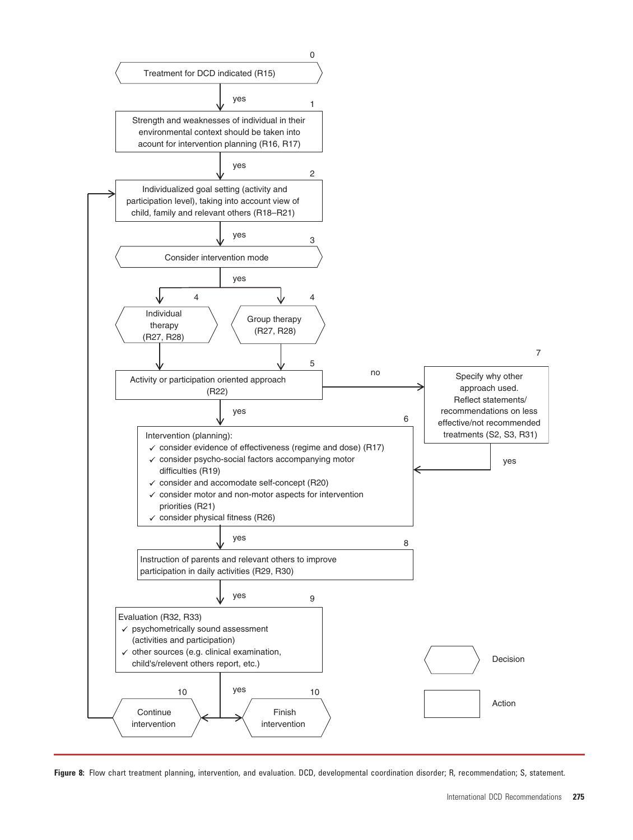

Figure 8: Flow chart treatment planning, intervention, and evaluation. DCD, developmental coordination disorder; R, recommendation; S, statement.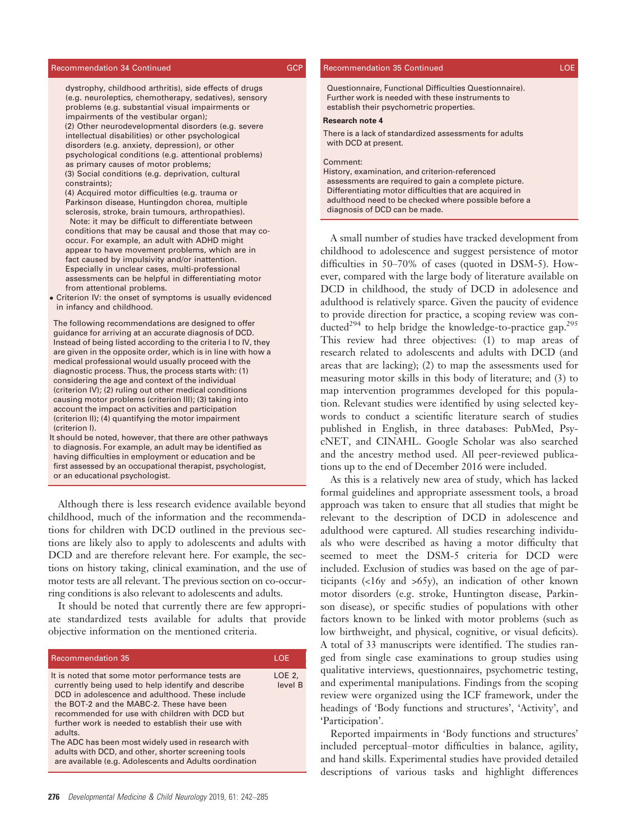dystrophy, childhood arthritis), side effects of drugs (e.g. neuroleptics, chemotherapy, sedatives), sensory problems (e.g. substantial visual impairments or impairments of the vestibular organ);

(2) Other neurodevelopmental disorders (e.g. severe intellectual disabilities) or other psychological disorders (e.g. anxiety, depression), or other psychological conditions (e.g. attentional problems) as primary causes of motor problems;

(3) Social conditions (e.g. deprivation, cultural constraints);

(4) Acquired motor difficulties (e.g. trauma or Parkinson disease, Huntingdon chorea, multiple sclerosis, stroke, brain tumours, arthropathies). Note: it may be difficult to differentiate between conditions that may be causal and those that may co-

occur. For example, an adult with ADHD might appear to have movement problems, which are in fact caused by impulsivity and/or inattention. Especially in unclear cases, multi-professional assessments can be helpful in differentiating motor from attentional problems.

 Criterion IV: the onset of symptoms is usually evidenced in infancy and childhood.

The following recommendations are designed to offer guidance for arriving at an accurate diagnosis of DCD. Instead of being listed according to the criteria I to IV, they are given in the opposite order, which is in line with how a medical professional would usually proceed with the diagnostic process. Thus, the process starts with: (1) considering the age and context of the individual (criterion IV); (2) ruling out other medical conditions causing motor problems (criterion III); (3) taking into account the impact on activities and participation (criterion II); (4) quantifying the motor impairment (criterion I).

It should be noted, however, that there are other pathways to diagnosis. For example, an adult may be identified as having difficulties in employment or education and be first assessed by an occupational therapist, psychologist, or an educational psychologist.

Although there is less research evidence available beyond childhood, much of the information and the recommendations for children with DCD outlined in the previous sections are likely also to apply to adolescents and adults with DCD and are therefore relevant here. For example, the sections on history taking, clinical examination, and the use of motor tests are all relevant. The previous section on co-occurring conditions is also relevant to adolescents and adults.

It should be noted that currently there are few appropriate standardized tests available for adults that provide objective information on the mentioned criteria.

| <b>Recommendation 35</b>                                                                                                                                                                                                                                                                                                                                                                                                                                                                          | LOE.              |
|---------------------------------------------------------------------------------------------------------------------------------------------------------------------------------------------------------------------------------------------------------------------------------------------------------------------------------------------------------------------------------------------------------------------------------------------------------------------------------------------------|-------------------|
| It is noted that some motor performance tests are<br>currently being used to help identify and describe<br>DCD in adolescence and adulthood. These include<br>the BOT-2 and the MABC-2. These have been<br>recommended for use with children with DCD but<br>further work is needed to establish their use with<br>adults.<br>The ADC has been most widely used in research with<br>adults with DCD, and other, shorter screening tools<br>are available (e.g. Adolescents and Adults oordination | LOE 2,<br>level B |

#### Recommendation 34 Continued GCP Recommendation 35 Continued LOE

Questionnaire, Functional Difficulties Questionnaire). Further work is needed with these instruments to establish their psychometric properties.

#### Research note 4

There is a lack of standardized assessments for adults with DCD at present.

Comment: History, examination, and criterion-referenced assessments are required to gain a complete picture. Differentiating motor difficulties that are acquired in adulthood need to be checked where possible before a diagnosis of DCD can be made.

A small number of studies have tracked development from childhood to adolescence and suggest persistence of motor difficulties in 50–70% of cases (quoted in DSM-5). However, compared with the large body of literature available on DCD in childhood, the study of DCD in adolesence and adulthood is relatively sparce. Given the paucity of evidence to provide direction for practice, a scoping review was conducted<sup>294</sup> to help bridge the knowledge-to-practice gap.<sup>295</sup> This review had three objectives: (1) to map areas of research related to adolescents and adults with DCD (and areas that are lacking); (2) to map the assessments used for measuring motor skills in this body of literature; and (3) to map intervention programmes developed for this population. Relevant studies were identified by using selected keywords to conduct a scientific literature search of studies published in English, in three databases: PubMed, PsycNET, and CINAHL. Google Scholar was also searched and the ancestry method used. All peer-reviewed publications up to the end of December 2016 were included.

As this is a relatively new area of study, which has lacked formal guidelines and appropriate assessment tools, a broad approach was taken to ensure that all studies that might be relevant to the description of DCD in adolescence and adulthood were captured. All studies researching individuals who were described as having a motor difficulty that seemed to meet the DSM-5 criteria for DCD were included. Exclusion of studies was based on the age of participants (<16y and >65y), an indication of other known motor disorders (e.g. stroke, Huntington disease, Parkinson disease), or specific studies of populations with other factors known to be linked with motor problems (such as low birthweight, and physical, cognitive, or visual deficits). A total of 33 manuscripts were identified. The studies ranged from single case examinations to group studies using qualitative interviews, questionnaires, psychometric testing, and experimental manipulations. Findings from the scoping review were organized using the ICF framework, under the headings of 'Body functions and structures', 'Activity', and 'Participation'.

Reported impairments in 'Body functions and structures' included perceptual–motor difficulties in balance, agility, and hand skills. Experimental studies have provided detailed descriptions of various tasks and highlight differences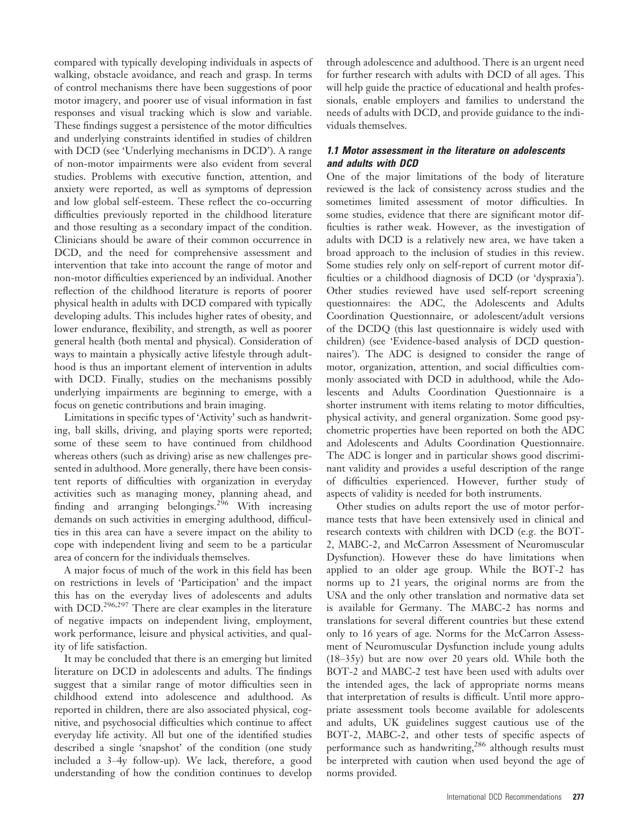compared with typically developing individuals in aspects of walking, obstacle avoidance, and reach and grasp. In terms of control mechanisms there have been suggestions of poor motor imagery, and poorer use of visual information in fast responses and visual tracking which is slow and variable. These findings suggest a persistence of the motor difficulties and underlying constraints identified in studies of children with DCD (see 'Underlying mechanisms in DCD'). A range of non-motor impairments were also evident from several studies. Problems with executive function, attention, and anxiety were reported, as well as symptoms of depression and low global self-esteem. These reflect the co-occurring difficulties previously reported in the childhood literature and those resulting as a secondary impact of the condition. Clinicians should be aware of their common occurrence in DCD, and the need for comprehensive assessment and intervention that take into account the range of motor and non-motor difficulties experienced by an individual. Another reflection of the childhood literature is reports of poorer physical health in adults with DCD compared with typically developing adults. This includes higher rates of obesity, and lower endurance, flexibility, and strength, as well as poorer general health (both mental and physical). Consideration of ways to maintain a physically active lifestyle through adulthood is thus an important element of intervention in adults with DCD. Finally, studies on the mechanisms possibly underlying impairments are beginning to emerge, with a focus on genetic contributions and brain imaging.

Limitations in specific types of 'Activity' such as handwriting, ball skills, driving, and playing sports were reported; some of these seem to have continued from childhood whereas others (such as driving) arise as new challenges presented in adulthood. More generally, there have been consistent reports of difficulties with organization in everyday activities such as managing money, planning ahead, and finding and arranging belongings.<sup>296</sup> With increasing demands on such activities in emerging adulthood, difficulties in this area can have a severe impact on the ability to cope with independent living and seem to be a particular area of concern for the individuals themselves.

A major focus of much of the work in this field has been on restrictions in levels of 'Participation' and the impact this has on the everyday lives of adolescents and adults with DCD.<sup>296,297</sup> There are clear examples in the literature of negative impacts on independent living, employment, work performance, leisure and physical activities, and quality of life satisfaction.

It may be concluded that there is an emerging but limited literature on DCD in adolescents and adults. The findings suggest that a similar range of motor difficulties seen in childhood extend into adolescence and adulthood. As reported in children, there are also associated physical, cognitive, and psychosocial difficulties which continue to affect everyday life activity. All but one of the identified studies described a single 'snapshot' of the condition (one study included a 3–4y follow-up). We lack, therefore, a good understanding of how the condition continues to develop

through adolescence and adulthood. There is an urgent need for further research with adults with DCD of all ages. This will help guide the practice of educational and health professionals, enable employers and families to understand the needs of adults with DCD, and provide guidance to the individuals themselves.

# 1.1 Motor assessment in the literature on adolescents and adults with DCD

One of the major limitations of the body of literature reviewed is the lack of consistency across studies and the sometimes limited assessment of motor difficulties. In some studies, evidence that there are significant motor difficulties is rather weak. However, as the investigation of adults with DCD is a relatively new area, we have taken a broad approach to the inclusion of studies in this review. Some studies rely only on self-report of current motor difficulties or a childhood diagnosis of DCD (or 'dyspraxia'). Other studies reviewed have used self-report screening questionnaires: the ADC, the Adolescents and Adults Coordination Questionnaire, or adolescent/adult versions of the DCDQ (this last questionnaire is widely used with children) (see 'Evidence-based analysis of DCD questionnaires'). The ADC is designed to consider the range of motor, organization, attention, and social difficulties commonly associated with DCD in adulthood, while the Adolescents and Adults Coordination Questionnaire is a shorter instrument with items relating to motor difficulties, physical activity, and general organization. Some good psychometric properties have been reported on both the ADC and Adolescents and Adults Coordination Questionnaire. The ADC is longer and in particular shows good discriminant validity and provides a useful description of the range of difficulties experienced. However, further study of aspects of validity is needed for both instruments.

Other studies on adults report the use of motor performance tests that have been extensively used in clinical and research contexts with children with DCD (e.g. the BOT-2, MABC-2, and McCarron Assessment of Neuromuscular Dysfunction). However these do have limitations when applied to an older age group. While the BOT-2 has norms up to 21 years, the original norms are from the USA and the only other translation and normative data set is available for Germany. The MABC-2 has norms and translations for several different countries but these extend only to 16 years of age. Norms for the McCarron Assessment of Neuromuscular Dysfunction include young adults (18–35y) but are now over 20 years old. While both the BOT-2 and MABC-2 test have been used with adults over the intended ages, the lack of appropriate norms means that interpretation of results is difficult. Until more appropriate assessment tools become available for adolescents and adults, UK guidelines suggest cautious use of the BOT-2, MABC-2, and other tests of specific aspects of performance such as handwriting,<sup>286</sup> although results must be interpreted with caution when used beyond the age of norms provided.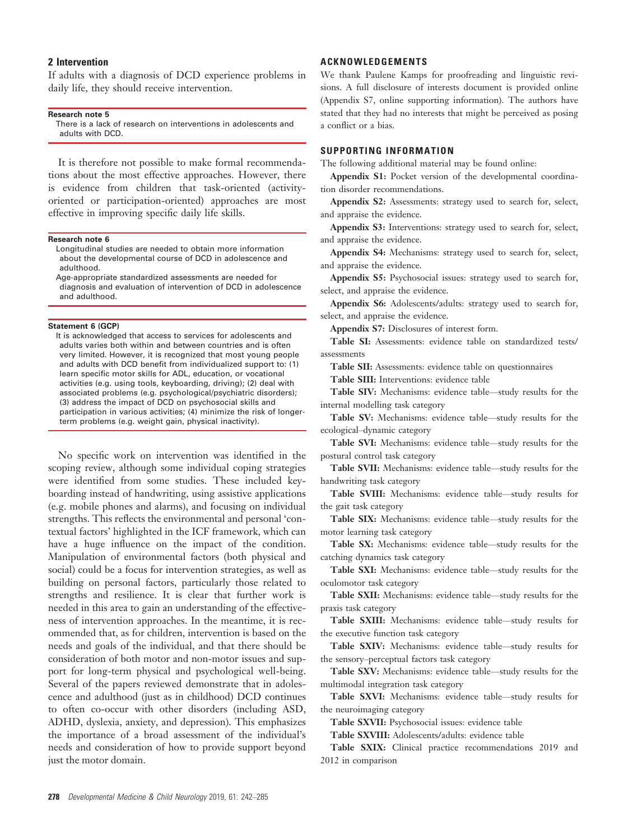# 2 Intervention

If adults with a diagnosis of DCD experience problems in daily life, they should receive intervention.

#### Research note 5

There is a lack of research on interventions in adolescents and adults with DCD.

It is therefore not possible to make formal recommendations about the most effective approaches. However, there is evidence from children that task-oriented (activityoriented or participation-oriented) approaches are most effective in improving specific daily life skills.

#### Research note 6

Longitudinal studies are needed to obtain more information about the developmental course of DCD in adolescence and adulthood.

Age-appropriate standardized assessments are needed for diagnosis and evaluation of intervention of DCD in adolescence and adulthood.

#### Statement 6 (GCP)

It is acknowledged that access to services for adolescents and adults varies both within and between countries and is often very limited. However, it is recognized that most young people and adults with DCD benefit from individualized support to: (1) learn specific motor skills for ADL, education, or vocational activities (e.g. using tools, keyboarding, driving); (2) deal with associated problems (e.g. psychological/psychiatric disorders); (3) address the impact of DCD on psychosocial skills and participation in various activities; (4) minimize the risk of longerterm problems (e.g. weight gain, physical inactivity).

No specific work on intervention was identified in the scoping review, although some individual coping strategies were identified from some studies. These included keyboarding instead of handwriting, using assistive applications (e.g. mobile phones and alarms), and focusing on individual strengths. This reflects the environmental and personal 'contextual factors' highlighted in the ICF framework, which can have a huge influence on the impact of the condition. Manipulation of environmental factors (both physical and social) could be a focus for intervention strategies, as well as building on personal factors, particularly those related to strengths and resilience. It is clear that further work is needed in this area to gain an understanding of the effectiveness of intervention approaches. In the meantime, it is recommended that, as for children, intervention is based on the needs and goals of the individual, and that there should be consideration of both motor and non-motor issues and support for long-term physical and psychological well-being. Several of the papers reviewed demonstrate that in adolescence and adulthood (just as in childhood) DCD continues to often co-occur with other disorders (including ASD, ADHD, dyslexia, anxiety, and depression). This emphasizes the importance of a broad assessment of the individual's needs and consideration of how to provide support beyond just the motor domain.

#### ACKNOWLEDGEMENTS

We thank Paulene Kamps for proofreading and linguistic revisions. A full disclosure of interests document is provided online (Appendix S7, online supporting information). The authors have stated that they had no interests that might be perceived as posing a conflict or a bias.

# SUPPORTING INFORMATION

The following additional material may be found online:

Appendix S1: Pocket version of the developmental coordination disorder recommendations.

Appendix S2: Assessments: strategy used to search for, select, and appraise the evidence.

Appendix S3: Interventions: strategy used to search for, select, and appraise the evidence.

Appendix S4: Mechanisms: strategy used to search for, select, and appraise the evidence.

Appendix S5: Psychosocial issues: strategy used to search for, select, and appraise the evidence.

Appendix S6: Adolescents/adults: strategy used to search for, select, and appraise the evidence.

Appendix S7: Disclosures of interest form.

Table SI: Assessments: evidence table on standardized tests/ assessments

Table SII: Assessments: evidence table on questionnaires

Table SIII: Interventions: evidence table

Table SIV: Mechanisms: evidence table—study results for the internal modelling task category

Table SV: Mechanisms: evidence table—study results for the ecological–dynamic category

Table SVI: Mechanisms: evidence table—study results for the postural control task category

Table SVII: Mechanisms: evidence table—study results for the handwriting task category

Table SVIII: Mechanisms: evidence table—study results for the gait task category

Table SIX: Mechanisms: evidence table—study results for the motor learning task category

Table SX: Mechanisms: evidence table—study results for the catching dynamics task category

Table SXI: Mechanisms: evidence table—study results for the oculomotor task category

Table SXII: Mechanisms: evidence table—study results for the praxis task category

Table SXIII: Mechanisms: evidence table—study results for the executive function task category

Table SXIV: Mechanisms: evidence table—study results for the sensory–perceptual factors task category

Table SXV: Mechanisms: evidence table—study results for the multimodal integration task category

Table SXVI: Mechanisms: evidence table—study results for the neuroimaging category

Table SXVII: Psychosocial issues: evidence table

Table SXVIII: Adolescents/adults: evidence table

Table SXIX: Clinical practice recommendations 2019 and 2012 in comparison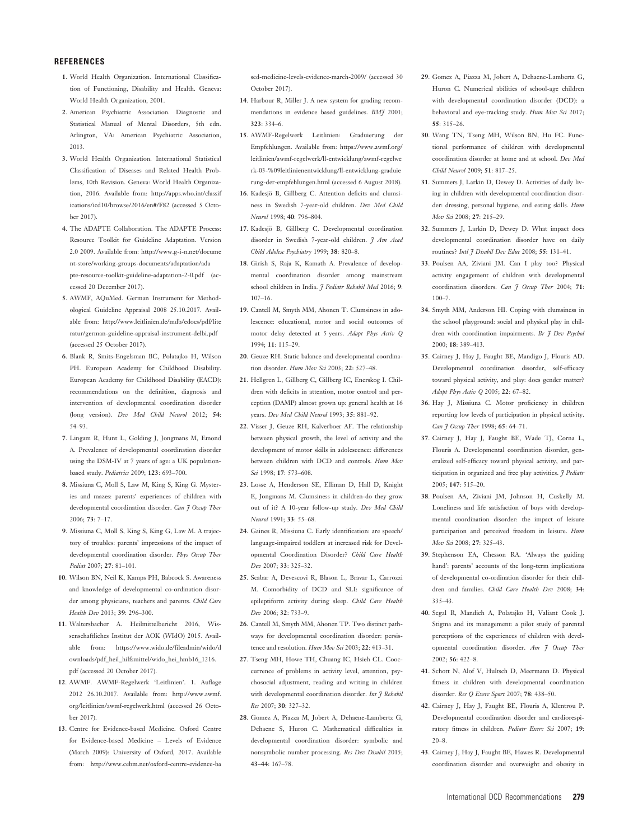#### REFERENCES

- 1. World Health Organization. International Classification of Functioning, Disability and Health. Geneva: World Health Organization, 2001.
- 2. American Psychiatric Association. Diagnostic and Statistical Manual of Mental Disorders, 5th edn. Arlington, VA: American Psychiatric Association, 2013.
- 3. World Health Organization. International Statistical Classification of Diseases and Related Health Problems, 10th Revision. Geneva: World Health Organization, 2016. Available from: [http://apps.who.int/classif](http://apps.who.int/classifications/icd10/browse/2016/en#/F82) [ications/icd10/browse/2016/en#/F82](http://apps.who.int/classifications/icd10/browse/2016/en#/F82) (accessed 5 October 2017).
- 4. The ADAPTE Collaboration. The ADAPTE Process: Resource Toolkit for Guideline Adaptation. Version 2.0 2009. Available from: [http://www.g-i-n.net/docume](http://www.g-i-n.net/document-store/working-groups-documents/adaptation/adapte-resource-toolkit-guideline-adaptation-2-0.pdf) [nt-store/working-groups-documents/adaptation/ada](http://www.g-i-n.net/document-store/working-groups-documents/adaptation/adapte-resource-toolkit-guideline-adaptation-2-0.pdf) [pte-resource-toolkit-guideline-adaptation-2-0.pdf](http://www.g-i-n.net/document-store/working-groups-documents/adaptation/adapte-resource-toolkit-guideline-adaptation-2-0.pdf) (accessed 20 December 2017).
- 5. AWMF, AQuMed. German Instrument for Methodological Guideline Appraisal 2008 25.10.2017. Available from: [http://www.leitlinien.de/mdb/edocs/pdf/lite](http://www.leitlinien.de/mdb/edocs/pdf/literatur/german-guideline-appraisal-instrument-delbi.pdf) [ratur/german-guideline-appraisal-instrument-delbi.pdf](http://www.leitlinien.de/mdb/edocs/pdf/literatur/german-guideline-appraisal-instrument-delbi.pdf) (accessed 25 October 2017).
- 6. Blank R, Smits-Engelsman BC, Polatajko H, Wilson PH. European Academy for Childhood Disability. European Academy for Childhood Disability (EACD): recommendations on the definition, diagnosis and intervention of developmental coordination disorder (long version). Dev Med Child Neurol 2012; 54: 54–93.
- 7. Lingam R, Hunt L, Golding J, Jongmans M, Emond A. Prevalence of developmental coordination disorder using the DSM-IV at 7 years of age: a UK populationbased study. Pediatrics 2009; 123: 693–700.
- 8. Missiuna C, Moll S, Law M, King S, King G. Mysteries and mazes: parents' experiences of children with developmental coordination disorder. Can 7 Occup Ther 2006; 73: 7–17.
- 9. Missiuna C, Moll S, King S, King G, Law M. A trajectory of troubles: parents' impressions of the impact of developmental coordination disorder. Phys Occup Ther Pediat 2007; 27: 81–101.
- 10. Wilson BN, Neil K, Kamps PH, Babcock S. Awareness and knowledge of developmental co-ordination disorder among physicians, teachers and parents. Child Care Health Dev 2013; 39: 296–300.
- 11. Waltersbacher A. Heilmittelbericht 2016, Wissenschaftliches Institut der AOK (WIdO) 2015. Available from: [https://www.wido.de/fileadmin/wido/d](https://www.wido.de/fileadmin/wido/downloads/pdf_heil_hilfsmittel/wido_hei_hmb16_1216.pdf) [ownloads/pdf\\_heil\\_hilfsmittel/wido\\_hei\\_hmb16\\_1216.](https://www.wido.de/fileadmin/wido/downloads/pdf_heil_hilfsmittel/wido_hei_hmb16_1216.pdf) [pdf](https://www.wido.de/fileadmin/wido/downloads/pdf_heil_hilfsmittel/wido_hei_hmb16_1216.pdf) (accessed 20 October 2017).
- 12. AWMF. AWMF-Regelwerk 'Leitlinien'. 1. Auflage 2012 26.10.2017. Available from: [http://www.awmf.](http://www.awmf.org/leitlinien/awmf-regelwerk.html) [org/leitlinien/awmf-regelwerk.html](http://www.awmf.org/leitlinien/awmf-regelwerk.html) (accessed 26 October 2017).
- 13. Centre for Evidence-based Medicine. Oxford Centre for Evidence-based Medicine – Levels of Evidence (March 2009): University of Oxford, 2017. Available from: [http://www.cebm.net/oxford-centre-evidence-ba](http://www.cebm.net/oxford-centre-evidence-based-medicine-levels-evidence-march-2009/)

[sed-medicine-levels-evidence-march-2009/](http://www.cebm.net/oxford-centre-evidence-based-medicine-levels-evidence-march-2009/) (accessed 30 October 2017).

- 14. Harbour R, Miller J. A new system for grading recommendations in evidence based guidelines. BMJ 2001; 323: 334–6.
- 15. AWMF-Regelwerk Leitlinien: Graduierung der Empfehlungen. Available from: [https://www.awmf.org/](https://www.awmf.org/leitlinien/awmf-regelwerk/ll-entwicklung/awmf-regelwerk-03-%09leitlinienentwicklung/ll-entwicklung-graduierung-der-empfehlungen.html) [leitlinien/awmf-regelwerk/ll-entwicklung/awmf-regelwe](https://www.awmf.org/leitlinien/awmf-regelwerk/ll-entwicklung/awmf-regelwerk-03-%09leitlinienentwicklung/ll-entwicklung-graduierung-der-empfehlungen.html) [rk-03-%09leitlinienentwicklung/ll-entwicklung-graduie](https://www.awmf.org/leitlinien/awmf-regelwerk/ll-entwicklung/awmf-regelwerk-03-%09leitlinienentwicklung/ll-entwicklung-graduierung-der-empfehlungen.html) [rung-der-empfehlungen.html](https://www.awmf.org/leitlinien/awmf-regelwerk/ll-entwicklung/awmf-regelwerk-03-%09leitlinienentwicklung/ll-entwicklung-graduierung-der-empfehlungen.html) (accessed 6 August 2018).
- 16. Kadesjö B, Gillberg C. Attention deficits and clumsiness in Swedish 7-year-old children. Dev Med Child Neurol 1998; 40: 796–804.
- 17. Kadesjö B, Gillberg C. Developmental coordination disorder in Swedish 7-year-old children. *J Am Acad* Child Adolesc Psychiatry 1999; 38: 820–8.
- 18. Girish S, Raja K, Kamath A. Prevalence of developmental coordination disorder among mainstream school children in India. 7 Pediatr Rehabil Med 2016; 9: 107–16.
- 19. Cantell M, Smyth MM, Ahonen T. Clumsiness in adolescence: educational, motor and social outcomes of motor delay detected at 5 years. Adapt Phys Activ Q 1994; 11: 115–29.
- 20. Geuze RH. Static balance and developmental coordination disorder. Hum Mov Sci 2003; 22: 527–48.
- 21. Hellgren L, Gillberg C, Gillberg IC, Enerskog I. Children with deficits in attention, motor control and perception (DAMP) almost grown up: general health at 16 years. Dev Med Child Neurol 1993; 35: 881–92.
- 22. Visser J, Geuze RH, Kalverboer AF. The relationship between physical growth, the level of activity and the development of motor skills in adolescence: differences between children with DCD and controls. Hum Mov Sci 1998; 17: 573–608.
- 23. Losse A, Henderson SE, Elliman D, Hall D, Knight E, Jongmans M. Clumsiness in children-do they grow out of it? A 10-year follow-up study. Dev Med Child Neurol 1991; 33: 55–68.
- 24. Gaines R, Missiuna C. Early identification: are speech/ language-impaired toddlers at increased risk for Developmental Coordination Disorder? Child Care Health Dev 2007; 33: 325–32.
- 25. Scabar A, Devescovi R, Blason L, Bravar L, Carrozzi M. Comorbidity of DCD and SLI: significance of epileptiform activity during sleep. Child Care Health Dev 2006; 32: 733–9.
- 26. Cantell M, Smyth MM, Ahonen TP. Two distinct pathways for developmental coordination disorder: persistence and resolution. Hum Mov Sci 2003; 22: 413-31.
- 27. Tseng MH, Howe TH, Chuang IC, Hsieh CL. Cooccurrence of problems in activity level, attention, psychosocial adjustment, reading and writing in children with developmental coordination disorder. Int J Rehabil Res 2007; 30: 327–32.
- 28. Gomez A, Piazza M, Jobert A, Dehaene-Lambertz G, Dehaene S, Huron C. Mathematical difficulties in developmental coordination disorder: symbolic and nonsymbolic number processing. Res Dev Disabil 2015; 43–44: 167–78.
- 29. Gomez A, Piazza M, Jobert A, Dehaene-Lambertz G, Huron C. Numerical abilities of school-age children with developmental coordination disorder (DCD): a behavioral and eye-tracking study. Hum Mov Sci 2017; 55: 315–26.
- 30. Wang TN, Tseng MH, Wilson BN, Hu FC. Functional performance of children with developmental coordination disorder at home and at school. Dev Med Child Neurol 2009; 51: 817–25.
- 31. Summers J, Larkin D, Dewey D. Activities of daily living in children with developmental coordination disorder: dressing, personal hygiene, and eating skills. Hum Mov Sci 2008; 27: 215–29.
- 32. Summers J, Larkin D, Dewey D. What impact does developmental coordination disorder have on daily routines? Intl 7 Disabil Dev Educ 2008; 55: 131-41.
- 33. Poulsen AA, Ziviani JM. Can I play too? Physical activity engagement of children with developmental coordination disorders. Can 7 Occup Ther 2004; 71: 100–7.
- 34. Smyth MM, Anderson HI. Coping with clumsiness in the school playground: social and physical play in children with coordination impairments. Br 7 Dev Psychol 2000; 18: 389–413.
- 35. Cairney J, Hay J, Faught BE, Mandigo J, Flouris AD. Developmental coordination disorder, self-efficacy toward physical activity, and play: does gender matter? Adapt Phys Activ Q 2005; 22: 67–82.
- 36. Hay J, Missiuna C. Motor proficiency in children reporting low levels of participation in physical activity. Can 7 Occup Ther 1998; 65: 64-71.
- 37. Cairney J, Hay J, Faught BE, Wade TJ, Corna L, Flouris A. Developmental coordination disorder, generalized self-efficacy toward physical activity, and participation in organized and free play activities.  $\mathcal{J}$  Pediatr 2005; 147: 515–20.
- 38. Poulsen AA, Ziviani JM, Johnson H, Cuskelly M. Loneliness and life satisfaction of boys with developmental coordination disorder: the impact of leisure participation and perceived freedom in leisure. Hum Mov Sci 2008; 27: 325–43.
- 39. Stephenson EA, Chesson RA. 'Always the guiding hand': parents' accounts of the long-term implications of developmental co-ordination disorder for their children and families. Child Care Health Dev 2008; 34: 335–43.
- 40. Segal R, Mandich A, Polatajko H, Valiant Cook J. Stigma and its management: a pilot study of parental perceptions of the experiences of children with developmental coordination disorder. Am 7 Occup Ther  $2002 \cdot 56 \cdot 422 - 8$
- 41. Schott N, Alof V, Hultsch D, Meermann D. Physical fitness in children with developmental coordination disorder. Res Q Exerc Sport 2007; 78: 438–50.
- 42. Cairney J, Hay J, Faught BE, Flouris A, Klentrou P. Developmental coordination disorder and cardiorespiratory fitness in children. Pediatr Exerc Sci 2007; 19: 20–8.
- 43. Cairney J, Hay J, Faught BE, Hawes R. Developmental coordination disorder and overweight and obesity in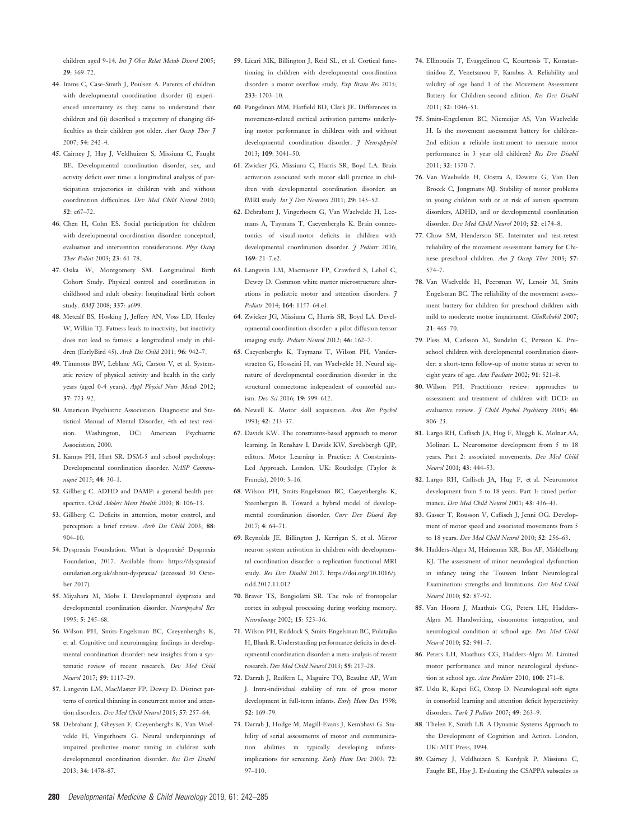children aged 9-14. Int J Obes Relat Metab Disord 2005; 29: 369–72.

- 44. Imms C, Case-Smith J, Poulsen A. Parents of children with developmental coordination disorder (i) experienced uncertainty as they came to understand their children and (ii) described a trajectory of changing difficulties as their children got older. Aust Occup Ther J 2007; 54: 242–4.
- 45. Cairney J, Hay J, Veldhuizen S, Missiuna C, Faught BE. Developmental coordination disorder, sex, and activity deficit over time: a longitudinal analysis of participation trajectories in children with and without coordination difficulties. Dev Med Child Neurol 2010; 52: e67–72.
- 46. Chen H, Cohn ES. Social participation for children with developmental coordination disorder: conceptual evaluation and intervention considerations. Phys Occup Ther Pediat 2003; 23: 61–78.
- 47. Osika W, Montgomery SM. Longitudinal Birth Cohort Study. Physical control and coordination in childhood and adult obesity: longitudinal birth cohort study. BMJ 2008; 337: a699.
- 48. Metcalf BS, Hosking J, Jeffery AN, Voss LD, Henley W, Wilkin TJ. Fatness leads to inactivity, but inactivity does not lead to fatness: a longitudinal study in children (EarlyBird 45). Arch Dis Child 2011; 96: 942–7.
- 49. Timmons BW, Leblanc AG, Carson V, et al. Systematic review of physical activity and health in the early years (aged 0-4 years). Appl Physiol Nutr Metab 2012; 37: 773–92.
- 50. American Psychiatric Association. Diagnostic and Statistical Manual of Mental Disorder, 4th ed text revision. Washington, DC: American Psychiatric Association, 2000.
- 51. Kamps PH, Hart SR. DSM-5 and school psychology: Developmental coordination disorder. NASP Communique 2015; 44: 30–1.
- 52. Gillberg C. ADHD and DAMP: a general health perspective. Child Adolesc Ment Health 2003; 8: 106-13.
- 53. Gillberg C. Deficits in attention, motor control, and perception: a brief review. Arch Dis Child 2003; 88: 904–10.
- 54. Dyspraxia Foundation. What is dyspraxia? Dyspraxia Foundation, 2017. Available from: [https://dyspraxiaf](https://dyspraxiafoundation.org.uk/about-dyspraxia/) [oundation.org.uk/about-dyspraxia/](https://dyspraxiafoundation.org.uk/about-dyspraxia/) (accessed 30 October 2017).
- 55. Miyahara M, Mobs I. Developmental dyspraxia and developmental coordination disorder. Neuropsychol Rev 1995; 5: 245–68.
- 56. Wilson PH, Smits-Engelsman BC, Caeyenberghs K, et al. Cognitive and neuroimaging findings in developmental coordination disorder: new insights from a systematic review of recent research. Dev Med Child Neurol 2017; 59: 1117–29.
- 57. Langevin LM, MacMaster FP, Dewey D. Distinct patterns of cortical thinning in concurrent motor and attention disorders. Dev Med Child Neurol 2015; 57: 257–64.
- 58. Debrabant J, Gheysen F, Caeyenberghs K, Van Waelvelde H, Vingerhoets G. Neural underpinnings of impaired predictive motor timing in children with developmental coordination disorder. Res Dev Disabil 2013; 34: 1478–87.
- 59. Licari MK, Billington J, Reid SL, et al. Cortical functioning in children with developmental coordination disorder: a motor overflow study. Exp Brain Res 2015; 233: 1703–10.
- 60. Pangelinan MM, Hatfield BD, Clark JE. Differences in movement-related cortical activation patterns underlying motor performance in children with and without developmental coordination disorder. 7 Neurophysiol 2013; 109: 3041–50.
- 61. Zwicker JG, Missiuna C, Harris SR, Boyd LA. Brain activation associated with motor skill practice in children with developmental coordination disorder: an fMRI study. Int J Dev Neurosci 2011; 29: 145-52.
- 62. Debrabant J, Vingerhoets G, Van Waelvelde H, Leemans A, Taymans T, Caeyenberghs K. Brain connectomics of visual-motor deficits in children with developmental coordination disorder. 7 Pediatr 2016;  $169.21 - 7e2$
- 63. Langevin LM, Macmaster FP, Crawford S, Lebel C, Dewey D. Common white matter microstructure alterations in pediatric motor and attention disorders. 7 Pediatr 2014; 164: 1157–64.e1.
- 64. Zwicker JG, Missiuna C, Harris SR, Boyd LA. Developmental coordination disorder: a pilot diffusion tensor imaging study. Pediatr Neurol 2012; 46: 162–7.
- 65. Caeyenberghs K, Taymans T, Wilson PH, Vanderstraeten G, Hosseini H, van Waelvelde H. Neural signature of developmental coordination disorder in the structural connectome independent of comorbid autism. Dev Sci 2016; 19: 599–612.
- 66. Newell K. Motor skill acquisition. Ann Rev Psychol 1991; 42: 213–37.
- 67. Davids KW. The constraints-based approach to motor learning. In Renshaw I, Davids KW, Savelsbergh GJP, editors. Motor Learning in Practice: A Constraints-Led Approach. London, UK: Routledge (Taylor & Francis), 2010: 3–16.
- 68. Wilson PH, Smits-Engelsman BC, Caeyenberghs K, Steenbergen B. Toward a hybrid model of developmental coordination disorder. Curr Dev Disord Rep 2017; 4: 64–71.
- 69. Reynolds JE, Billington J, Kerrigan S, et al. Mirror neuron system activation in children with developmental coordination disorder: a replication functional MRI study. Res Dev Disabil 2017. [https://doi.org/10.1016/j.](https://doi.org/10.1016/j.ridd.2017.11.012) [ridd.2017.11.012](https://doi.org/10.1016/j.ridd.2017.11.012)
- 70. Braver TS, Bongiolatti SR. The role of frontopolar cortex in subgoal processing during working memory. NeuroImage 2002; 15: 523–36.
- 71. Wilson PH, Ruddock S, Smits-Engelsman BC, Polatajko H, Blank R. Understanding performance deficits in developmental coordination disorder: a meta-analysis of recent research. Dev Med Child Neurol 2013; 55: 217–28.
- 72. Darrah J, Redfern L, Maguire TO, Beaulne AP, Watt J. Intra-individual stability of rate of gross motor development in full-term infants. Early Hum Dev 1998; 52: 169–79.
- 73. Darrah J, Hodge M, Magill-Evans J, Kembhavi G. Stability of serial assessments of motor and communication abilities in typically developing infantsimplications for screening. Early Hum Dev 2003; 72: 97–110.
- 74. Ellinoudis T, Evaggelinou C, Kourtessis T, Konstantinidou Z, Venetsanou F, Kambas A. Reliability and validity of age band 1 of the Movement Assessment Battery for Children–second edition. Res Dev Disabil 2011; 32: 1046–51.
- 75. Smits-Engelsman BC, Niemeijer AS, Van Waelvelde H. Is the movement assessment battery for children-2nd edition a reliable instrument to measure motor performance in 3 year old children? Res Dev Disabil 2011; 32: 1370–7.
- 76. Van Waelvelde H, Oostra A, Dewitte G, Van Den Broeck C, Jongmans MJ. Stability of motor problems in young children with or at risk of autism spectrum disorders, ADHD, and or developmental coordination disorder. Dev Med Child Neurol 2010; 52: e174–8.
- 77. Chow SM, Henderson SE. Interrater and test-retest reliability of the movement assessment battery for Chinese preschool children. Am  $\frac{7}{7}$  Occup Ther 2003; 57: 574–7.
- 78. Van Waelvelde H, Peersman W, Lenoir M, Smits Engelsman BC. The reliability of the movement assessment battery for children for preschool children with mild to moderate motor impairment. ClinRehabil 2007; 21: 465–70.
- 79. Pless M, Carlsson M, Sundelin C, Persson K. Preschool children with developmental coordination disorder: a short-term follow-up of motor status at seven to eight years of age. Acta Paediatr 2002; 91: 521–8.
- 80. Wilson PH. Practitioner review: approaches to assessment and treatment of children with DCD: an evaluative review. 7 Child Psychol Psychiatry 2005; 46: 806–23.
- 81. Largo RH, Caflisch JA, Hug F, Muggli K, Molnar AA, Molinari L. Neuromotor development from 5 to 18 years. Part 2: associated movements. Dev Med Child Neurol 2001; 43: 444–53.
- 82. Largo RH, Caflisch JA, Hug F, et al. Neuromotor development from 5 to 18 years. Part 1: timed performance. Dev Med Child Neurol 2001; 43: 436–43.
- 83. Gasser T, Rousson V, Caflisch J, Jenni OG. Development of motor speed and associated movements from 5 to 18 years. Dev Med Child Neurol 2010; 52: 256–63.
- 84. Hadders-Algra M, Heineman KR, Bos AF, Middelburg KJ. The assessment of minor neurological dysfunction in infancy using the Touwen Infant Neurological Examination: strengths and limitations. Dev Med Child Neurol 2010; 52: 87–92.
- 85. Van Hoorn J, Maathuis CG, Peters LH, Hadders-Algra M. Handwriting, visuomotor integration, and neurological condition at school age. Dev Med Child Neurol 2010; 52: 941–7.
- 86. Peters LH, Maathuis CG, Hadders-Algra M. Limited motor performance and minor neurological dysfunction at school age. Acta Paediatr 2010; 100: 271–8.
- 87. Uslu R, Kapci EG, Oztop D. Neurological soft signs in comorbid learning and attention deficit hyperactivity disorders. Turk 7 Pediatr 2007; 49: 263-9.
- 88. Thelen E, Smith LB. A Dynamic Systems Approach to the Development of Cognition and Action. London, UK: MIT Press, 1994.
- 89. Cairney J, Veldhuizen S, Kurdyak P, Missiuna C, Faught BE, Hay J. Evaluating the CSAPPA subscales as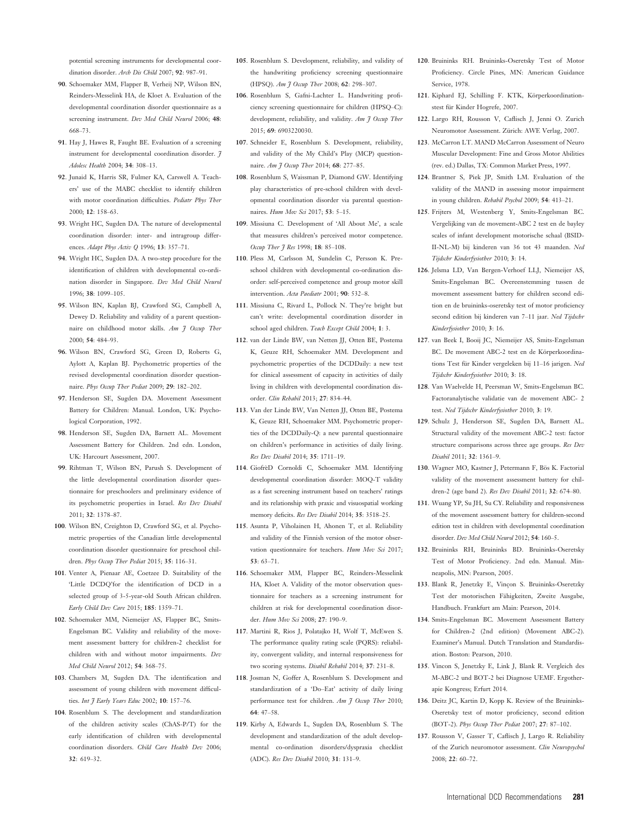potential screening instruments for developmental coordination disorder. Arch Dis Child 2007; 92: 987-91.

- 90. Schoemaker MM, Flapper B, Verheij NP, Wilson BN, Reinders-Messelink HA, de Kloet A. Evaluation of the developmental coordination disorder questionnaire as a screening instrument. Dev Med Child Neurol 2006: 48: 668–73.
- 91. Hay J, Hawes R, Faught BE. Evaluation of a screening instrument for developmental coordination disorder. 9 Adolesc Health 2004; 34: 308–13.
- 92. Junaid K, Harris SR, Fulmer KA, Carswell A. Teachers' use of the MABC checklist to identify children with motor coordination difficulties. Pediatr Phys Ther 2000; 12: 158–63.
- 93. Wright HC, Sugden DA. The nature of developmental coordination disorder: inter- and intragroup differences. Adapt Phys Activ Q 1996; 13: 357-71.
- 94. Wright HC, Sugden DA. A two-step procedure for the identification of children with developmental co-ordination disorder in Singapore. Dev Med Child Neurol 1996; 38: 1099–105.
- 95. Wilson BN, Kaplan BJ, Crawford SG, Campbell A, Dewey D. Reliability and validity of a parent questionnaire on childhood motor skills. Am 7 Occup Ther 2000; 54: 484–93.
- 96. Wilson BN, Crawford SG, Green D, Roberts G, Aylott A, Kaplan BJ. Psychometric properties of the revised developmental coordination disorder questionnaire. Phys Occup Ther Pediat 2009; 29: 182–202.
- 97. Henderson SE, Sugden DA. Movement Assessment Battery for Children: Manual. London, UK: Psychological Corporation, 1992.
- 98. Henderson SE, Sugden DA, Barnett AL. Movement Assessment Battery for Children. 2nd edn. London, UK: Harcourt Assessment, 2007.
- 99. Rihtman T, Wilson BN, Parush S. Development of the little developmental coordination disorder questionnaire for preschoolers and preliminary evidence of its psychometric properties in Israel. Res Dev Disabil 2011; 32: 1378–87.
- 100. Wilson BN, Creighton D, Crawford SG, et al. Psychometric properties of the Canadian little developmental coordination disorder questionnaire for preschool children. Phys Occup Ther Pediat 2015; 35: 116–31.
- 101. Venter A, Pienaar AE, Coetzee D. Suitability of the 'Little DCDQ'for the identification of DCD in a selected group of 3-5-year-old South African children. Early Child Dev Care 2015; 185: 1359–71.
- 102. Schoemaker MM, Niemeijer AS, Flapper BC, Smits-Engelsman BC. Validity and reliability of the movement assessment battery for children-2 checklist for children with and without motor impairments. Dev Med Child Neurol 2012; 54: 368–75.
- 103. Chambers M, Sugden DA. The identification and assessment of young children with movement difficulties. *Int 7 Early Years Educ* 2002: **10**: 157-76.
- 104. Rosenblum S. The development and standardization of the children activity scales (ChAS-P/T) for the early identification of children with developmental coordination disorders. Child Care Health Dev 2006; 32: 619–32.
- 105. Rosenblum S. Development, reliability, and validity of the handwriting proficiency screening questionnaire (HPSO). Am 7 Occup Ther 2008: 62: 298-307.
- 106. Rosenblum S, Gafni-Lachter L. Handwriting proficiency screening questionnaire for children (HPSQ–C): development, reliability, and validity. Am 7 Occup Ther 2015; 69: 6903220030.
- 107. Schneider E, Rosenblum S. Development, reliability, and validity of the My Child's Play (MCP) questionnaire. Am J Occup Ther 2014; 68: 277-85.
- 108. Rosenblum S, Waissman P, Diamond GW. Identifying play characteristics of pre-school children with developmental coordination disorder via parental questionnaires. Hum Mov Sci 2017; 53: 5–15.
- 109. Missiuna C. Development of 'All About Me', a scale that measures children's perceived motor competence. Occup Ther 7 Res 1998; 18: 85-108.
- 110. Pless M, Carlsson M, Sundelin C, Persson K. Preschool children with developmental co-ordination disorder: self-perceived competence and group motor skill intervention. Acta Paediatr 2001; 90: 532–8.
- 111. Missiuna C, Rivard L, Pollock N. They're bright but can't write: developmental coordination disorder in school aged children. Teach Except Child 2004; 1: 3.
- 112. van der Linde BW, van Netten JJ, Otten BE, Postema K, Geuze RH, Schoemaker MM. Development and psychometric properties of the DCDDaily: a new test for clinical assessment of capacity in activities of daily living in children with developmental coordination disorder. Clin Rehabil 2013; 27: 834–44.
- 113. Van der Linde BW, Van Netten II, Otten BE, Postema K, Geuze RH, Schoemaker MM. Psychometric properties of the DCDDaily-Q: a new parental questionnaire on children's performance in activities of daily living. Res Dev Disabil 2014; 35: 1711–19.
- 114. GiofreD Cornoldi C, Schoemaker MM. Identifying developmental coordination disorder: MOQ-T validity as a fast screening instrument based on teachers' ratings and its relationship with praxic and visuospatial working memory deficits. Res Dev Disabil 2014; 35: 3518–25.
- 115. Asunta P, Viholainen H, Ahonen T, et al. Reliability and validity of the Finnish version of the motor observation questionnaire for teachers. Hum Mov Sci 2017: 53: 63–71.
- 116. Schoemaker MM, Flapper BC, Reinders-Messelink HA, Kloet A. Validity of the motor observation questionnaire for teachers as a screening instrument for children at risk for developmental coordination disorder. Hum Mov Sci 2008; 27: 190–9.
- 117. Martini R, Rios J, Polatajko H, Wolf T, McEwen S. The performance quality rating scale (PQRS): reliability, convergent validity, and internal responsiveness for two scoring systems. Disabil Rehabil 2014; 37: 231–8.
- 118. Josman N, Goffer A, Rosenblum S. Development and standardization of a 'Do–Eat' activity of daily living performance test for children.  $Am \nvert T$  Occup Ther 2010: 64: 47–58.
- 119. Kirby A, Edwards L, Sugden DA, Rosenblum S. The development and standardization of the adult developmental co-ordination disorders/dyspraxia checklist (ADC). Res Dev Disabil 2010; 31: 131–9.
- 120. Bruininks RH. Bruininks-Oseretsky Test of Motor Proficiency. Circle Pines, MN: American Guidance Service, 1978.
- 121. Kiphard EJ, Schilling F. KTK, Körperkoordinationstest für Kinder Hogrefe, 2007.
- 122. Largo RH, Rousson V, Caflisch J, Jenni O. Zurich Neuromotor Assessment. Zürich: AWE Verlag, 2007.
- 123. McCarron LT. MAND McCarron Assessment of Neuro Muscular Development: Fine and Gross Motor Abilities (rev. ed.) Dallas, TX: Common Market Press, 1997.
- 124. Brantner S, Piek JP, Smith LM. Evaluation of the validity of the MAND in assessing motor impairment in young children. Rehabil Psychol 2009; 54: 413–21.
- 125. Frijters M, Westenberg Y, Smits-Engelsman BC. Vergelijking van de movement-ABC 2 test en de bayley scales of infant development motorische schaal (BSID-II-NL-M) bij kinderen van 36 tot 43 maanden. Ned Tijdschr Kinderfysiother 2010; 3: 14.
- 126. Jelsma LD, Van Bergen-Verhoef LLJ, Niemeijer AS, Smits-Engelsman BC. Overeenstemming tussen de movement assessment battery for children second edition en de bruininks-oseretsky test of motor proficiency second edition bij kinderen van 7-11 jaar. Ned Tijdschr Kinderfysiother 2010; 3: 16.
- 127. van Beek I, Booij JC, Niemeijer AS, Smits-Engelsman BC. De movement ABC-2 test en de Körperkoordinations Test für Kinder vergeleken bij 11-16 jarigen. Ned Tijdschr Kinderfysiother 2010; 3: 18.
- 128. Van Waelvelde H, Peersman W, Smits-Engelsman BC. Factoranalytische validatie van de movement ABC- 2 test. Ned Tijdschr Kinderfysiother 2010; 3: 19.
- 129. Schulz J, Henderson SE, Sugden DA, Barnett AL. Structural validity of the movement ABC-2 test: factor structure comparisons across three age groups. Res Dev Disabil 2011; 32: 1361–9.
- 130. Wagner MO, Kastner J, Petermann F, Bös K, Factorial validity of the movement assessment battery for children-2 (age band 2). Res Dev Disabil 2011; 32: 674–80.
- 131. Wuang YP, Su JH, Su CY. Reliability and responsiveness of the movement assessment battery for children-second edition test in children with developmental coordination disorder. Dev Med Child Neurol 2012; 54: 160-5.
- 132. Bruininks RH, Bruininks BD. Bruininks-Oseretsky Test of Motor Proficiency. 2nd edn. Manual. Minneapolis, MN: Pearson, 2005.
- 133. Blank R, Jenetzky E, Vincon S. Bruininks-Oseretzky Test der motorischen Fähigkeiten, Zweite Ausgabe, Handbuch. Frankfurt am Main: Pearson, 2014.
- 134. Smits-Engelsman BC. Movement Assessment Battery for Children-2 (2nd edition) (Movement ABC-2). Examiner's Manual. Dutch Translation and Standardisation. Boston: Pearson, 2010.
- 135. Vincon S, Jenetzky E, Link J, Blank R. Vergleich des M-ABC-2 und BOT-2 bei Diagnose UEMF. Ergotherapie Kongress; Erfurt 2014.
- 136. Deitz JC, Kartin D, Kopp K. Review of the Bruininks-Oseretsky test of motor proficiency, second edition (BOT-2). Phys Occup Ther Pediat 2007; 27: 87–102.
- 137. Rousson V, Gasser T, Caflisch J, Largo R. Reliability of the Zurich neuromotor assessment. Clin Neuropsychol 2008; 22: 60–72.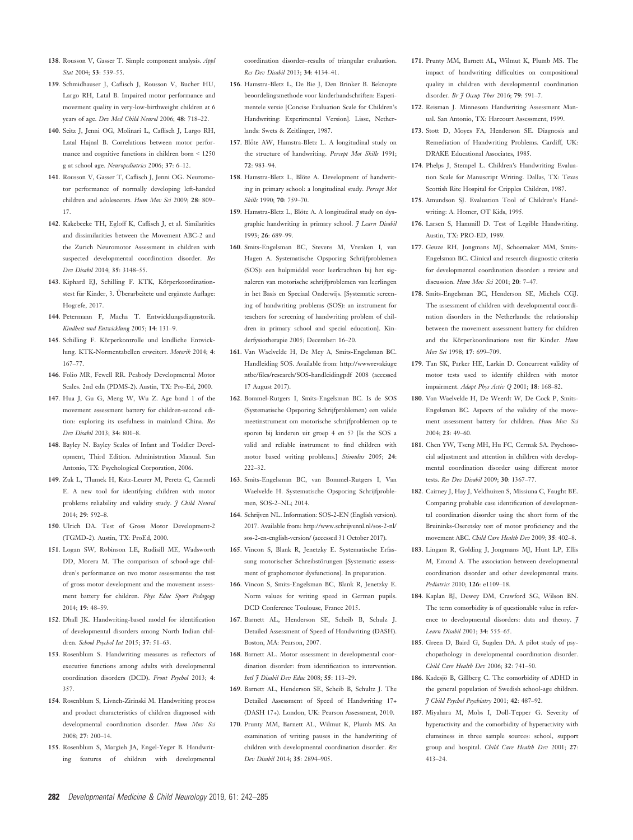- 138. Rousson V, Gasser T. Simple component analysis. Appl Stat 2004; 53: 539–55.
- 139. Schmidhauser J, Caflisch J, Rousson V, Bucher HU, Largo RH, Latal B. Impaired motor performance and movement quality in very-low-birthweight children at 6 years of age. Dev Med Child Neurol 2006; 48: 718–22.
- 140. Seitz J, Jenni OG, Molinari L, Caflisch J, Largo RH, Latal Hajnal B. Correlations between motor performance and cognitive functions in children born  $\leq 1250$ g at school age. Neuropediatrics 2006; 37: 6–12.
- 141. Rousson V, Gasser T, Caflisch J, Jenni OG. Neuromotor performance of normally developing left-handed children and adolescents. Hum Mov Sci 2009; 28: 809– 17.
- 142. Kakebeeke TH, Egloff K, Caflisch J, et al. Similarities and dissimilarities between the Movement ABC-2 and the Zurich Neuromotor Assessment in children with suspected developmental coordination disorder. Res Dev Disabil 2014; 35: 3148–55.
- 143. Kiphard EJ, Schilling F. KTK, Körperkoordinationstest für Kinder, 3. Überarbeitete und ergänzte Auflage: Hogrefe, 2017.
- 144. Petermann F, Macha T. Entwicklungsdiagnstorik. Kindheit und Entwicklung 2005; 14: 131–9.
- 145. Schilling F. Körperkontrolle und kindliche Entwicklung. KTK-Normentabellen erweitert. Motorik 2014; 4: 167–77.
- 146. Folio MR, Fewell RR. Peabody Developmental Motor Scales. 2nd edn (PDMS-2). Austin, TX: Pro-Ed, 2000.
- 147. Hua J, Gu G, Meng W, Wu Z. Age band 1 of the movement assessment battery for children-second edition: exploring its usefulness in mainland China. Res Dev Disabil 2013; 34: 801–8.
- 148. Bayley N. Bayley Scales of Infant and Toddler Development, Third Edition. Administration Manual. San Antonio, TX: Psychological Corporation, 2006.
- 149. Zuk L, Tlumek H, Katz-Leurer M, Peretz C, Carmeli E. A new tool for identifying children with motor problems reliability and validity study.  $\tilde{f}$  Child Neurol 2014; 29: 592–8.
- 150. Ulrich DA. Test of Gross Motor Development-2 (TGMD-2). Austin, TX: ProEd, 2000.
- 151. Logan SW, Robinson LE, Rudisill ME, Wadsworth DD, Morera M. The comparison of school-age children's performance on two motor assessments: the test of gross motor development and the movement assessment battery for children. Phys Educ Sport Pedagogy 2014; 19: 48–59.
- 152. Dhall JK. Handwriting-based model for identification of developmental disorders among North Indian children. School Psychol Int 2015; 37: 51–63.
- 153. Rosenblum S. Handwriting measures as reflectors of executive functions among adults with developmental coordination disorders (DCD). Front Psychol 2013; 4: 357.
- 154. Rosenblum S, Livneh-Zirinski M. Handwriting process and product characteristics of children diagnosed with developmental coordination disorder. Hum Mov Sci 2008; 27: 200–14.
- 155. Rosenblum S, Margieh JA, Engel-Yeger B. Handwriting features of children with developmental

coordination disorder–results of triangular evaluation. Res Dev Disabil 2013; 34: 4134–41.

- 156. Hamstra-Bletz L, De Bie J, Den Brinker B. Beknopte beoordelingsmethode voor kinderhandschriften: Experimentele versie [Concise Evaluation Scale for Children's Handwriting: Experimental Version]. Lisse, Netherlands: Swets & Zeitlinger, 1987.
- 157. Blöte AW, Hamstra-Bletz L. A longitudinal study on the structure of handwriting. Percept Mot Skills 1991; 72: 983–94.
- 158. Hamstra-Bletz L, Blöte A. Development of handwriting in primary school: a longitudinal study. Percept Mot Skills 1990; 70: 759–70.
- 159. Hamstra-Bletz L, Blöte A. A longitudinal study on dysgraphic handwriting in primary school. J Learn Disabil 1993; 26: 689–99.
- 160. Smits-Engelsman BC, Stevens M, Vrenken I, van Hagen A. Systematische Opsporing Schrijfproblemen (SOS): een hulpmiddel voor leerkrachten bij het signaleren van motorische schrijfproblemen van leerlingen in het Basis en Speciaal Onderwijs. [Systematic screening of handwriting problems (SOS): an instrument for teachers for screening of handwriting problem of children in primary school and special education]. Kinderfysiotherapie 2005; December: 16–20.
- 161. Van Waelvelde H, De Mey A, Smits-Engelsman BC. Handleiding SOS. Available from: [http://wwwrevakiuge](http://wwwrevakiugentbe/files/research/SOS-handleidingpdf) [ntbe/files/research/SOS-handleidingpdf](http://wwwrevakiugentbe/files/research/SOS-handleidingpdf) 2008 (accessed 17 August 2017).
- 162. Bommel-Rutgers I, Smits-Engelsman BC. Is de SOS (Systematische Opsporing Schrijfproblemen) een valide meetinstrument om motorische schrijfproblemen op te sporen bij kinderen uit groep 4 en 5? [Is the SOS a valid and reliable instrument to find children with motor based writing problems.] Stimulus 2005; 24:  $222-32$
- 163. Smits-Engelsman BC, van Bommel-Rutgers I, Van Waelvelde H. Systematische Opsporing Schrijfproblemen, SOS-2–NL; 2014.
- 164. Schrijven NL. Information: SOS-2-EN (English version). 2017. Available from: [http://www.schrijvennl.nl/sos-2-nl/](http://www.schrijvennl.nl/sos-2-nl/sos-2-en-english-version/) [sos-2-en-english-version/](http://www.schrijvennl.nl/sos-2-nl/sos-2-en-english-version/) (accessed 31 October 2017).
- 165. Vincon S, Blank R, Jenetzky E. Systematische Erfassung motorischer Schreibstörungen [Systematic assessment of graphomotor dysfunctions]. In preparation.
- 166. Vincon S, Smits-Engelsman BC, Blank R, Jenetzky E. Norm values for writing speed in German pupils. DCD Conference Toulouse, France 2015.
- 167. Barnett AL, Henderson SE, Scheib B, Schulz J. Detailed Assessment of Speed of Handwriting (DASH). Boston, MA: Pearson, 2007.
- 168. Barnett AL. Motor assessment in developmental coordination disorder: from identification to intervention. Intl 7 Disabil Dev Educ 2008: 55: 113-29.
- 169. Barnett AL, Henderson SE, Scheib B, Schultz J. The Detailed Assessment of Speed of Handwriting 17+ (DASH 17+). London, UK: Pearson Assessment, 2010.
- 170. Prunty MM, Barnett AL, Wilmut K, Plumb MS. An examination of writing pauses in the handwriting of children with developmental coordination disorder. Res Dev Disabil 2014; 35: 2894–905.
- 171. Prunty MM, Barnett AL, Wilmut K, Plumb MS. The impact of handwriting difficulties on compositional quality in children with developmental coordination disorder. Br 7 Occup Ther 2016; 79: 591-7.
- 172. Reisman J. Minnesota Handwriting Assessment Manual. San Antonio, TX: Harcourt Assessment, 1999.
- 173. Stott D, Moyes FA, Henderson SE. Diagnosis and Remediation of Handwriting Problems. Cardiff, UK: DRAKE Educational Associates, 1985.
- 174. Phelps J, Stempel L. Children's Handwriting Evaluation Scale for Manuscript Writing. Dallas, TX: Texas Scottish Rite Hospital for Cripples Children, 1987.
- 175. Amundson SJ. Evaluation Tool of Children's Handwriting: A. Homer, OT Kids, 1995.
- 176. Larsen S, Hammill D. Test of Legible Handwriting. Austin, TX: PRO-ED, 1989.
- 177. Geuze RH, Jongmans MJ, Schoemaker MM, Smits-Engelsman BC. Clinical and research diagnostic criteria for developmental coordination disorder: a review and discussion. Hum Mov Sci 2001; 20: 7–47.
- 178. Smits-Engelsman BC, Henderson SE, Michels CGJ. The assessment of children with developmental coordination disorders in the Netherlands: the relationship between the movement assessment battery for children and the Körperkoordinations test für Kinder. Hum Mov Sci 1998; 17: 699–709.
- 179. Tan SK, Parker HE, Larkin D. Concurrent validity of motor tests used to identify children with motor impairment. Adapt Phys Activ Q 2001; 18: 168–82.
- 180. Van Waelvelde H, De Weerdt W, De Cock P, Smits-Engelsman BC. Aspects of the validity of the movement assessment battery for children. Hum Mov Sci 2004; 23: 49–60.
- 181. Chen YW, Tseng MH, Hu FC, Cermak SA. Psychosocial adjustment and attention in children with developmental coordination disorder using different motor tests. Res Dev Disabil 2009; 30: 1367–77.
- 182. Cairney J, Hay J, Veldhuizen S, Missiuna C, Faught BE. Comparing probable case identification of developmental coordination disorder using the short form of the Bruininks-Oseretsky test of motor proficiency and the movement ABC. Child Care Health Dev 2009; 35: 402–8.
- 183. Lingam R, Golding J, Jongmans MJ, Hunt LP, Ellis M, Emond A. The association between developmental coordination disorder and other developmental traits. Pediatrics 2010; 126: e1109–18.
- 184. Kaplan BJ, Dewey DM, Crawford SG, Wilson BN. The term comorbidity is of questionable value in reference to developmental disorders: data and theory.  $7$ Learn Disabil 2001; 34: 555–65.
- 185. Green D, Baird G, Sugden DA. A pilot study of psychopathology in developmental coordination disorder. Child Care Health Dev 2006; 32: 741–50.
- 186. Kadesjö B, Gillberg C. The comorbidity of ADHD in the general population of Swedish school-age children. J Child Psychol Psychiatry 2001; 42: 487–92.
- 187. Miyahara M, Mobs I, Doll-Tepper G. Severity of hyperactivity and the comorbidity of hyperactivity with clumsiness in three sample sources: school, support group and hospital. Child Care Health Dev 2001; 27: 413–24.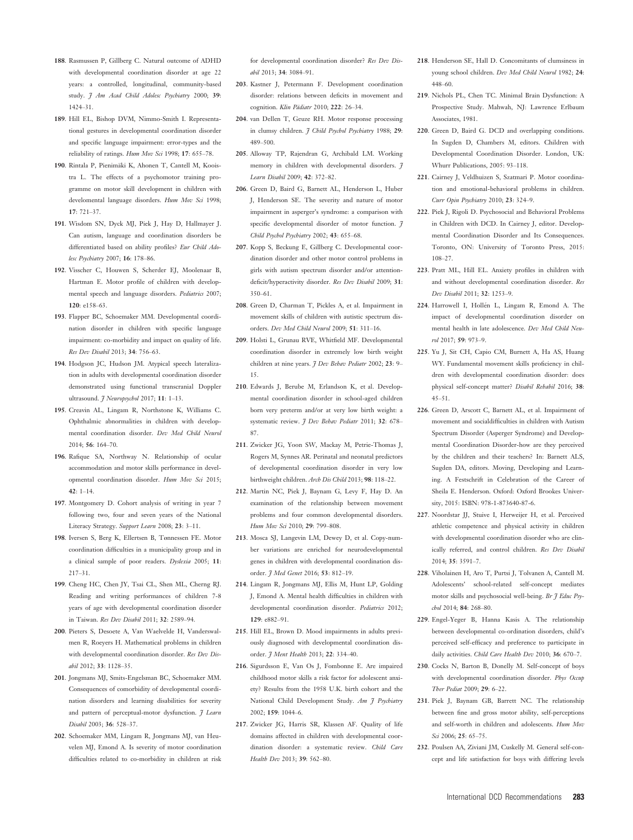- 188. Rasmussen P, Gillberg C. Natural outcome of ADHD with developmental coordination disorder at age 22 years: a controlled, longitudinal, community-based study. J Am Acad Child Adolesc Psychiatry 2000; 39: 1424–31.
- 189. Hill EL, Bishop DVM, Nimmo-Smith I. Representational gestures in developmental coordination disorder and specific language impairment: error-types and the reliability of ratings. Hum Mov Sci 1998; 17: 655–78.
- 190. Rintala P, Pienimäki K, Ahonen T, Cantell M, Kooistra L. The effects of a psychomotor training programme on motor skill development in children with develomental language disorders. Hum Mov Sci 1998; 17: 721–37.
- 191. Wisdom SN, Dyck MJ, Piek J, Hay D, Hallmayer J. Can autism, language and coordination disorders be differentiated based on ability profiles? Eur Child Adolesc Psychiatry 2007; 16: 178–86.
- 192. Visscher C, Houwen S, Scherder EJ, Moolenaar B, Hartman E. Motor profile of children with developmental speech and language disorders. Pediatrics 2007; 120: e158–63.
- 193. Flapper BC, Schoemaker MM. Developmental coordination disorder in children with specific language impairment: co-morbidity and impact on quality of life. Res Dev Disabil 2013; 34: 756–63.
- 194. Hodgson JC, Hudson JM. Atypical speech lateralization in adults with developmental coordination disorder demonstrated using functional transcranial Doppler ultrasound. *I Neuropsychol* 2017; 11: 1-13.
- 195. Creavin AL, Lingam R, Northstone K, Williams C. Ophthalmic abnormalities in children with developmental coordination disorder. Dev Med Child Neurol 2014; 56: 164–70.
- 196. Rafique SA, Northway N. Relationship of ocular accommodation and motor skills performance in developmental coordination disorder. Hum Mov Sci 2015;  $42 \cdot 1 - 14$
- 197. Montgomery D. Cohort analysis of writing in year 7 following two, four and seven years of the National Literacy Strategy. Support Learn 2008; 23: 3–11.
- 198. Iversen S, Berg K, Ellertsen B, Tønnessen FE. Motor coordination difficulties in a municipality group and in a clinical sample of poor readers. Dyslexia 2005; 11: 217–31.
- 199. Cheng HC, Chen JY, Tsai CL, Shen ML, Cherng RJ. Reading and writing performances of children 7-8 years of age with developmental coordination disorder in Taiwan. Res Dev Disabil 2011; 32: 2589–94.
- 200. Pieters S, Desoete A, Van Waelvelde H, Vanderswalmen R, Roeyers H. Mathematical problems in children with developmental coordination disorder. Res Dev Disabil 2012; 33: 1128–35.
- 201. Jongmans MJ, Smits-Engelsman BC, Schoemaker MM. Consequences of comorbidity of developmental coordination disorders and learning disabilities for severity and pattern of perceptual-motor dysfunction.  $\tilde{\tau}$  Learn Disabil 2003; 36: 528–37.
- 202. Schoemaker MM, Lingam R, Jongmans MJ, van Heuvelen MJ, Emond A. Is severity of motor coordination difficulties related to co-morbidity in children at risk

for developmental coordination disorder? Res Dev Disabil 2013; 34: 3084–91.

- 203. Kastner J, Petermann F. Development coordination disorder: relations between deficits in movement and cognition. Klin Pädiatr 2010: 222: 26-34.
- 204. van Dellen T, Geuze RH. Motor response processing in clumsy children. J Child Psychol Psychiatry 1988; 29: 489–500.
- 205. Alloway TP, Rajendran G, Archibald LM. Working memory in children with developmental disorders.  $\tilde{\tau}$ Learn Disabil 2009; 42: 372–82.
- 206. Green D, Baird G, Barnett AL, Henderson L, Huber J, Henderson SE. The severity and nature of motor impairment in asperger's syndrome: a comparison with specific developmental disorder of motor function. 7 Child Psychol Psychiatry 2002; 43: 655-68.
- 207. Kopp S, Beckung E, Gillberg C. Developmental coordination disorder and other motor control problems in girls with autism spectrum disorder and/or attentiondeficit/hyperactivity disorder. Res Dev Disabil 2009; 31: 350–61.
- 208. Green D, Charman T, Pickles A, et al. Impairment in movement skills of children with autistic spectrum disorders. Dev Med Child Neurol 2009; 51: 311–16.
- 209. Holsti L, Grunau RVE, Whitfield MF. Developmental coordination disorder in extremely low birth weight children at nine years. J Dev Behav Pediatr 2002; 23: 9-15.
- 210. Edwards J, Berube M, Erlandson K, et al. Developmental coordination disorder in school-aged children born very preterm and/or at very low birth weight: a systematic review. 7 Dev Behav Pediatr 2011: 32: 678– 87.
- 211. Zwicker JG, Yoon SW, Mackay M, Petrie-Thomas J, Rogers M, Synnes AR. Perinatal and neonatal predictors of developmental coordination disorder in very low birthweight children. Arch Dis Child 2013; 98: 118–22.
- 212. Martin NC, Piek J, Baynam G, Levy F, Hay D. An examination of the relationship between movement problems and four common developmental disorders. Hum Mov Sci 2010; 29: 799–808.
- 213. Mosca SJ, Langevin LM, Dewey D, et al. Copy-number variations are enriched for neurodevelopmental genes in children with developmental coordination disorder. *I Med Genet* 2016: **53**: 812-19.
- 214. Lingam R, Jongmans MJ, Ellis M, Hunt LP, Golding J, Emond A. Mental health difficulties in children with developmental coordination disorder. Pediatrics 2012; 129: e882–91.
- 215. Hill EL, Brown D. Mood impairments in adults previously diagnosed with developmental coordination disorder. *J Ment Health* 2013; 22: 334-40.
- 216. Sigurdsson E, Van Os J, Fombonne E. Are impaired childhood motor skills a risk factor for adolescent anxiety? Results from the 1958 U.K. birth cohort and the National Child Development Study. Am 7 Psychiatry  $2002 \cdot 159 \cdot 1044 - 6$
- 217. Zwicker JG, Harris SR, Klassen AF. Quality of life domains affected in children with developmental coordination disorder: a systematic review. Child Care Health Dev 2013; 39: 562–80.
- 218. Henderson SE, Hall D. Concomitants of clumsiness in young school children. Dev Med Child Neurol 1982; 24: 448–60.
- 219. Nichols PL, Chen TC. Minimal Brain Dysfunction: A Prospective Study. Mahwah, NJ: Lawrence Erlbaum Associates, 1981.
- 220. Green D, Baird G. DCD and overlapping conditions. In Sugden D, Chambers M, editors. Children with Developmental Coordination Disorder. London, UK: Whurr Publications, 2005: 93–118.
- 221. Cairney J, Veldhuizen S, Szatmari P. Motor coordination and emotional-behavioral problems in children. Curr Opin Psychiatry 2010; 23: 324–9.
- 222. Piek J, Rigoli D. Psychosocial and Behavioral Problems in Children with DCD. In Cairney J, editor. Developmental Coordination Disorder and Its Consequences. Toronto, ON: University of Toronto Press, 2015: 108–27.
- 223. Pratt ML, Hill EL. Anxiety profiles in children with and without developmental coordination disorder. Res Dev Disabil 2011; 32: 1253–9.
- 224. Harrowell I, Hollén L, Lingam R, Emond A. The impact of developmental coordination disorder on mental health in late adolescence. Dev Med Child Neu $rel$  2017; 59: 973-9.
- 225. Yu J, Sit CH, Capio CM, Burnett A, Ha AS, Huang WY. Fundamental movement skills proficiency in children with developmental coordination disorder: does physical self-concept matter? Disabil Rehabil 2016; 38:  $45 - 51$
- 226. Green D, Arscott C, Barnett AL, et al. Impairment of movement and socialdifficulties in children with Autism Spectrum Disorder (Asperger Syndrome) and Developmental Coordination Disorder-how are they perceived by the children and their teachers? In: Barnett ALS, Sugden DA, editors. Moving, Developing and Learning. A Festschrift in Celebration of the Career of Sheila E. Henderson. Oxford: Oxford Brookes University, 2015: ISBN: 978-1-873640-87-6.
- 227. Noordstar JJ, Stuive I, Herweijer H, et al. Perceived athletic competence and physical activity in children with developmental coordination disorder who are clinically referred, and control children. Res Dev Disabil 2014; 35: 3591–7.
- 228. Viholainen H, Aro T, Purtsi J, Tolvanen A, Cantell M. Adolescents' school-related self-concept mediates motor skills and psychosocial well-being. Br J Educ Psychol 2014; 84: 268–80.
- 229. Engel-Yeger B, Hanna Kasis A. The relationship between developmental co-ordination disorders, child's perceived self-efficacy and preference to participate in daily activities. Child Care Health Dev 2010; 36: 670-7.
- 230. Cocks N, Barton B, Donelly M. Self-concept of boys with developmental coordination disorder. Phys Occup Ther Pediat 2009; 29: 6–22.
- 231. Piek J, Baynam GB, Barrett NC. The relationship between fine and gross motor ability, self-perceptions and self-worth in children and adolescents. Hum Moz Sci 2006; 25: 65-75.
- 232. Poulsen AA, Ziviani JM, Cuskelly M. General self-concept and life satisfaction for boys with differing levels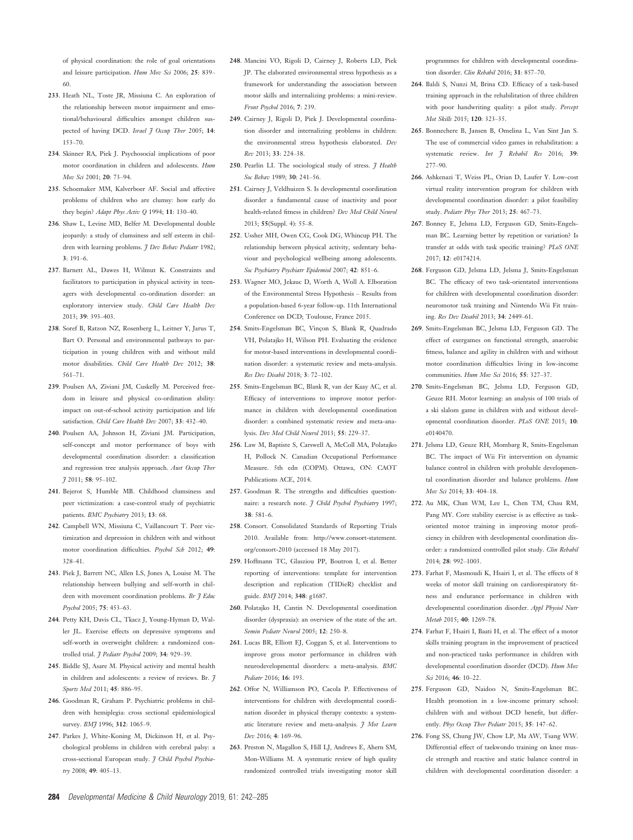of physical coordination: the role of goal orientations and leisure participation. Hum Mov Sci 2006; 25: 839– 60.

- 233. Heath NL, Toste JR, Missiuna C. An exploration of the relationship between motor impairment and emotional/behavioural difficulties amongst children suspected of having DCD. Israel J Occup Ther 2005; 14: 153–70.
- 234. Skinner RA, Piek J. Psychosocial implications of poor motor coordination in children and adolescents. Hum Mov Sci 2001; 20: 73–94.
- 235. Schoemaker MM, Kalverboer AF. Social and affective problems of children who are clumsy: how early do they begin? Adapt Phys Activ Q 1994; 11: 130-40.
- 236. Shaw L, Levine MD, Belfer M. Developmental double jeopardy: a study of clumsiness and self esteem in children with learning problems. *I Dev Behav Pediatr* 1982;  $3.191-6$
- 237. Barnett AL, Dawes H, Wilmut K. Constraints and facilitators to participation in physical activity in teenagers with developmental co-ordination disorder: an exploratory interview study. Child Care Health Dev 2013; 39: 393–403.
- 238. Soref B, Ratzon NZ, Rosenberg L, Leitner Y, Jarus T, Bart O. Personal and environmental pathways to participation in young children with and without mild motor disabilities. Child Care Health Dev 2012; 38: 561–71.
- 239. Poulsen AA, Ziviani JM, Cuskelly M. Perceived freedom in leisure and physical co-ordination ability: impact on out-of-school activity participation and life satisfaction. Child Care Health Dev 2007; 33: 432–40.
- 240. Poulsen AA, Johnson H, Ziviani JM. Participation, self-concept and motor performance of boys with developmental coordination disorder: a classification and regression tree analysis approach. Aust Occup Ther J 2011; 58: 95–102.
- 241. Bejerot S, Humble MB. Childhood clumsiness and peer victimization: a case-control study of psychiatric patients. BMC Psychiatry 2013; 13: 68.
- 242. Campbell WN, Missiuna C, Vaillancourt T. Peer victimization and depression in children with and without motor coordination difficulties. Psychol Sch 2012; 49: 328–41.
- 243. Piek J, Barrett NC, Allen LS, Jones A, Louise M. The relationship between bullying and self-worth in children with movement coordination problems. Br J Educ Psychol 2005; 75: 453–63.
- 244. Petty KH, Davis CL, Tkacz J, Young-Hyman D, Waller JL. Exercise effects on depressive symptoms and self-worth in overweight children: a randomized controlled trial. J Pediatr Psychol 2009; 34: 929-39.
- 245. Biddle SJ, Asare M. Physical activity and mental health in children and adolescents: a review of reviews. Br.  $\tilde{J}$ Sports Med 2011; 45: 886–95.
- 246. Goodman R, Graham P. Psychiatric problems in children with hemiplegia: cross sectional epidemiological survey. BM7 1996; 312: 1065-9.
- 247. Parkes J, White-Koning M, Dickinson H, et al. Psychological problems in children with cerebral palsy: a cross-sectional European study. J Child Psychol Psychiatry 2008; 49: 405–13.
- 248. Mancini VO, Rigoli D, Cairney J, Roberts LD, Piek JP. The elaborated environmental stress hypothesis as a framework for understanding the association between motor skills and internalizing problems: a mini-review. Front Psychol 2016; 7: 239.
- 249. Cairney J, Rigoli D, Piek J. Developmental coordination disorder and internalizing problems in children: the environmental stress hypothesis elaborated. Dev Rev 2013; 33: 224–38.
- 250. Pearlin LI. The sociological study of stress.  $\tilde{f}$  Health Soc Behav 1989; 30: 241–56.
- 251. Cairney J, Veldhuizen S. Is developmental coordination disorder a fundamental cause of inactivity and poor health-related fitness in children? Dev Med Child Neurol 2013; 55(Suppl. 4): 55–8.
- 252. Ussher MH, Owen CG, Cook DG, Whincup PH. The relationship between physical activity, sedentary behaviour and psychological wellbeing among adolescents. Soc Psychiatry Psychiatr Epidemiol 2007; 42: 851–6.
- 253. Wagner MO, Jekauc D, Worth A, Woll A. Elboration of the Environmental Stress Hypothesis – Results from a population-based 6-year follow-up. 11th International Conference on DCD; Toulouse, France 2015.
- 254. Smits-Engelsman BC, Vincon S, Blank R, Quadrado VH, Polatajko H, Wilson PH. Evaluating the evidence for motor-based interventions in developmental coordination disorder: a systematic review and meta-analysis. Res Dev Disabil 2018; 3: 72–102.
- 255. Smits-Engelsman BC, Blank R, van der Kaay AC, et al. Efficacy of interventions to improve motor performance in children with developmental coordination disorder: a combined systematic review and meta-analysis. Dev Med Child Neurol 2013; 55: 229–37.
- 256. Law M, Baptiste S, Carswell A, McColl MA, Polatajko H, Pollock N. Canadian Occupational Performance Measure. 5th edn (COPM). Ottawa, ON: CAOT Publications ACE, 2014.
- 257. Goodman R. The strengths and difficulties questionnaire: a research note. J Child Psychol Psychiatry 1997; 38: 581–6.
- 258. Consort. Consolidated Standards of Reporting Trials 2010. Available from: [http://www.consort-statement.](http://www.consort-statement.org/consort-2010) [org/consort-2010](http://www.consort-statement.org/consort-2010) (accessed 18 May 2017).
- 259. Hoffmann TC, Glasziou PP, Boutron I, et al. Better reporting of interventions: template for intervention description and replication (TIDieR) checklist and guide. BMJ 2014; 348: g1687.
- 260. Polatajko H, Cantin N. Developmental coordination disorder (dyspraxia): an overview of the state of the art. Semin Pediatr Neurol 2005; 12: 250–8.
- 261. Lucas BR, Elliott EJ, Coggan S, et al. Interventions to improve gross motor performance in children with neurodevelopmental disorders: a meta-analysis. BMC Pediatr 2016; 16: 193.
- 262. Offor N, Williamson PO, Cacola P. Effectiveness of interventions for children with developmental coordination disorder in physical therapy contexts: a systematic literature review and meta-analysis. *I Mot Learn* Dev 2016; 4: 169–96.
- 263. Preston N, Magallon S, Hill LJ, Andrews E, Ahern SM, Mon-Williams M. A systematic review of high quality randomized controlled trials investigating motor skill

programmes for children with developmental coordination disorder. Clin Rehabil 2016; 31: 857–70.

- 264. Baldi S, Nunzi M, Brina CD. Efficacy of a task-based training approach in the rehabilitation of three children with poor handwriting quality: a pilot study. Percept Mot Skills 2015; 120: 323–35.
- 265. Bonnechere B, Jansen B, Omelina L, Van Sint Jan S. The use of commercial video games in rehabilitation: a systematic review. Int  $\bar{f}$  Rehabil Res 2016; 39: 277–90.
- 266. Ashkenazi T, Weiss PL, Orian D, Laufer Y. Low-cost virtual reality intervention program for children with developmental coordination disorder: a pilot feasibility study. Pediatr Phys Ther 2013; 25: 467–73.
- 267. Bonney E, Jelsma LD, Ferguson GD, Smits-Engelsman BC. Learning better by repetition or variation? Is transfer at odds with task specific training? PLoS ONE 2017; 12: e0174214.
- 268. Ferguson GD, Jelsma LD, Jelsma J, Smits-Engelsman BC. The efficacy of two task-orientated interventions for children with developmental coordination disorder: neuromotor task training and Nintendo Wii Fit training. Res Dev Disabil 2013; 34: 2449–61.
- 269. Smits-Engelsman BC, Jelsma LD, Ferguson GD. The effect of exergames on functional strength, anaerobic fitness, balance and agility in children with and without motor coordination difficulties living in low-income communities. Hum Mov Sci 2016; 55: 327–37.
- 270. Smits-Engelsman BC, Jelsma LD, Ferguson GD, Geuze RH. Motor learning: an analysis of 100 trials of a ski slalom game in children with and without developmental coordination disorder. PLoS ONE 2015; 10: e0140470.
- 271. Jelsma LD, Geuze RH, Mombarg R, Smits-Engelsman BC. The impact of Wii Fit intervention on dynamic balance control in children with probable developmental coordination disorder and balance problems. Hum Mov. Sci 2014: 33: 404-18.
- 272. Au MK, Chan WM, Lee L, Chen TM, Chau RM, Pang MY. Core stability exercise is as effective as taskoriented motor training in improving motor proficiency in children with developmental coordination disorder: a randomized controlled pilot study. Clin Rehabil 2014; 28: 992–1003.
- 273. Farhat F, Masmoudi K, Hsairi I, et al. The effects of 8 weeks of motor skill training on cardiorespiratory fitness and endurance performance in children with developmental coordination disorder. Appl Physiol Nutr Metab 2015; 40: 1269–78.
- 274. Farhat F, Hsairi I, Baati H, et al. The effect of a motor skills training program in the improvement of practiced and non-practiced tasks performance in children with developmental coordination disorder (DCD). Hum Mov Sci 2016; 46: 10–22.
- 275. Ferguson GD, Naidoo N, Smits-Engelsman BC. Health promotion in a low-income primary school: children with and without DCD benefit, but differently. Phys Occup Ther Pediatr 2015; 35: 147–62.
- 276. Fong SS, Chung JW, Chow LP, Ma AW, Tsang WW. Differential effect of taekwondo training on knee muscle strength and reactive and static balance control in children with developmental coordination disorder: a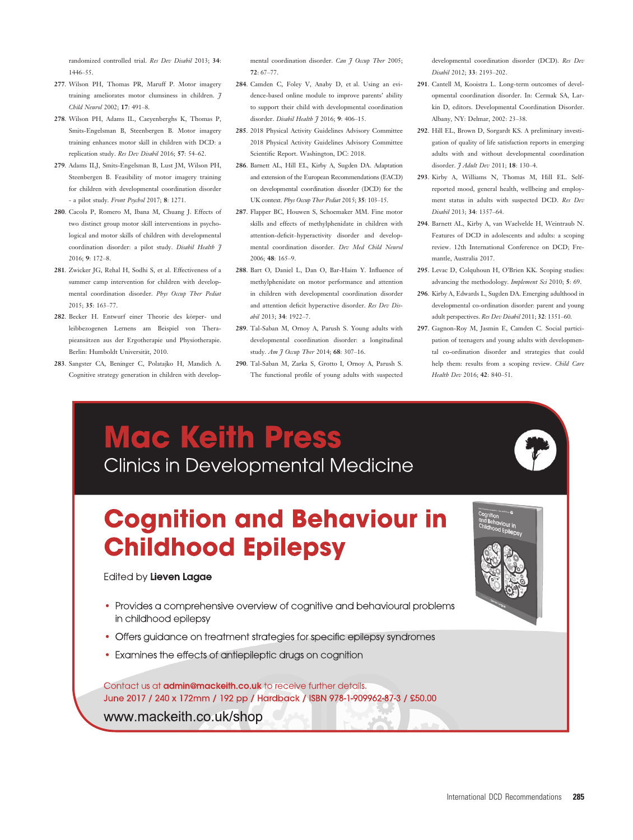randomized controlled trial. Res Dev Disabil 2013; 34: 1446–55.

- 277. Wilson PH, Thomas PR, Maruff P. Motor imagery training ameliorates motor clumsiness in children. 7 Child Neurol 2002; 17: 491–8.
- 278. Wilson PH, Adams IL, Caeyenberghs K, Thomas P, Smits-Engelsman B, Steenbergen B. Motor imagery training enhances motor skill in children with DCD: a replication study. Res Dev Disabil 2016; 57: 54–62.
- 279. Adams ILJ, Smits-Engelsman B, Lust JM, Wilson PH, Steenbergen B. Feasibility of motor imagery training for children with developmental coordination disorder - a pilot study. Front Psychol 2017; 8: 1271.
- 280. Cacola P, Romero M, Ibana M, Chuang J. Effects of two distinct group motor skill interventions in psychological and motor skills of children with developmental coordination disorder: a pilot study. Disabil Health 7 2016; 9: 172–8.
- 281. Zwicker JG, Rehal H, Sodhi S, et al. Effectiveness of a summer camp intervention for children with developmental coordination disorder. Phys Occup Ther Pediat 2015; 35: 163–77.
- 282. Becker H. Entwurf einer Theorie des körper- und leibbezogenen Lernens am Beispiel von Therapieansätzen aus der Ergotherapie und Physiotherapie. Berlin: Humboldt Universität, 2010.
- 283. Sangster CA, Beninger C, Polatajko H, Mandich A. Cognitive strategy generation in children with develop-

mental coordination disorder. Can J Occup Ther 2005; 72: 67–77.

- 284. Camden C, Foley V, Anaby D, et al. Using an evidence-based online module to improve parents' ability to support their child with developmental coordination disorder. Disabil Health 7 2016: 9: 406-15.
- 285. 2018 Physical Activity Guidelines Advisory Committee 2018 Physical Activity Guidelines Advisory Committee Scientific Report. Washington, DC: 2018.
- 286. Barnett AL, Hill EL, Kirby A, Sugden DA. Adaptation and extension of the European Recommendations (EACD) on developmental coordination disorder (DCD) for the UK context. Phys Occup Ther Pediat 2015; 35: 103–15.
- 287. Flapper BC, Houwen S, Schoemaker MM. Fine motor skills and effects of methylphenidate in children with attention-deficit–hyperactivity disorder and developmental coordination disorder. Dev Med Child Neurol 2006; 48: 165–9.
- 288. Bart O, Daniel L, Dan O, Bar-Haim Y. Influence of methylphenidate on motor performance and attention in children with developmental coordination disorder and attention deficit hyperactive disorder. Res Dev Disabil 2013; 34: 1922–7.
- 289. Tal-Saban M, Ornoy A, Parush S. Young adults with developmental coordination disorder: a longitudinal study. Am J Occup Ther 2014; 68: 307-16.
- 290. Tal-Saban M, Zarka S, Grotto I, Ornoy A, Parush S. The functional profile of young adults with suspected

developmental coordination disorder (DCD). Res Dev Disabil 2012; 33: 2193–202.

- 291. Cantell M, Kooistra L. Long-term outcomes of developmental coordination disorder. In: Cermak SA, Larkin D, editors. Developmental Coordination Disorder. Albany, NY: Delmar, 2002: 23–38.
- 292. Hill EL, Brown D, Sorgardt KS. A preliminary investigation of quality of life satisfaction reports in emerging adults with and without developmental coordination disorder. *J Adult Dev* 2011; 18: 130-4.
- 293. Kirby A, Williams N, Thomas M, Hill EL. Selfreported mood, general health, wellbeing and employment status in adults with suspected DCD. Res Dev Disabil 2013; 34: 1357–64.
- 294. Barnett AL, Kirby A, van Waelvelde H, Weintraub N. Features of DCD in adolescents and adults: a scoping review. 12th International Conference on DCD; Fremantle, Australia 2017.
- 295. Levac D, Colquhoun H, O'Brien KK. Scoping studies: advancing the methodology. Implement Sci 2010; 5: 69.
- 296. Kirby A, Edwards L, Sugden DA. Emerging adulthood in developmental co-ordination disorder: parent and young adult perspectives. Res Dev Disabil 2011; 32: 1351–60.
- 297. Gagnon-Roy M, Jasmin E, Camden C. Social participation of teenagers and young adults with developmental co-ordination disorder and strategies that could help them: results from a scoping review. Child Care Health Dev 2016; 42: 840–51.

# **Mac Keith Press Clinics in Developmental Medicine**

# **Cognition and Behaviour in Childhood Epilepsy**

#### Edited by Lieven Lagae

- Provides a comprehensive overview of cognitive and behavioural problems in childhood epilepsy
- Offers guidance on treatment strategies for specific epilepsy syndromes
- Examines the effects of antiepileptic drugs on cognition

Contact us at **admin@mackeith.co.uk** to receive further details. June 2017 / 240 x 172mm / 192 pp / Hardback / ISBN 978-1-909962-87-3 / £50.00

www.mackeith.co.uk/shop